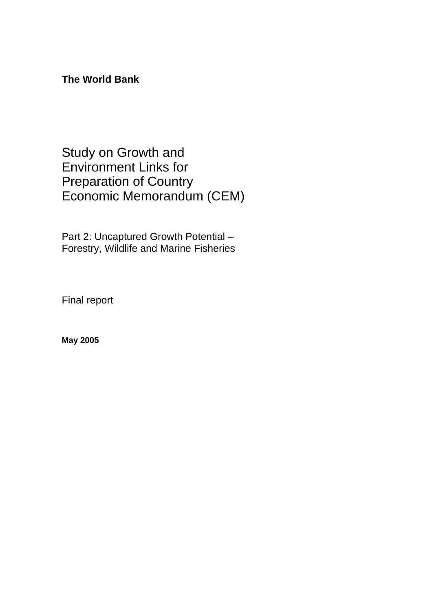**The World Bank** 

Study on Growth and Environment Links for Preparation of Country Economic Memorandum (CEM)

Part 2: Uncaptured Growth Potential – Forestry, Wildlife and Marine Fisheries

Final report

**May 2005**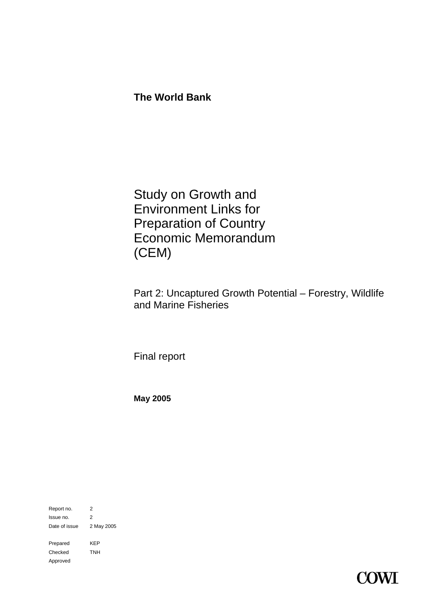**The World Bank** 

Study on Growth and Environment Links for Preparation of Country Economic Memorandum (CEM)

Part 2: Uncaptured Growth Potential – Forestry, Wildlife and Marine Fisheries

Final report

**May 2005**

Report no. 2 Issue no. 2 Date of issue 2 May 2005 Prepared KEP Checked TNH Approved

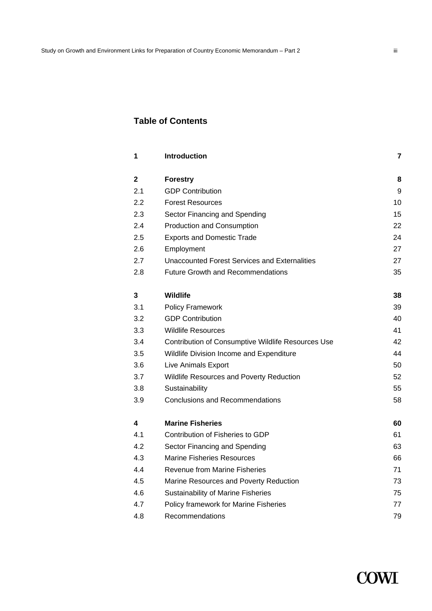# **Table of Contents**

| 1                | Introduction                                         | 7  |
|------------------|------------------------------------------------------|----|
| 2                | <b>Forestry</b>                                      | 8  |
| 2.1              | <b>GDP Contribution</b>                              | 9  |
| $2.2\phantom{0}$ | <b>Forest Resources</b>                              | 10 |
| 2.3              | Sector Financing and Spending                        | 15 |
| 2.4              | Production and Consumption                           | 22 |
| 2.5              | <b>Exports and Domestic Trade</b>                    | 24 |
| 2.6              | Employment                                           | 27 |
| 2.7              | <b>Unaccounted Forest Services and Externalities</b> | 27 |
| 2.8              | <b>Future Growth and Recommendations</b>             | 35 |
| 3                | <b>Wildlife</b>                                      | 38 |
| 3.1              | <b>Policy Framework</b>                              | 39 |
| 3.2              | <b>GDP Contribution</b>                              | 40 |
| 3.3              | <b>Wildlife Resources</b>                            | 41 |
| 3.4              | Contribution of Consumptive Wildlife Resources Use   | 42 |
| 3.5              | Wildlife Division Income and Expenditure             | 44 |
| 3.6              | Live Animals Export                                  | 50 |
| 3.7              | Wildlife Resources and Poverty Reduction             | 52 |
| 3.8              | Sustainability                                       | 55 |
| 3.9              | <b>Conclusions and Recommendations</b>               | 58 |
| 4                | <b>Marine Fisheries</b>                              | 60 |
| 4.1              | Contribution of Fisheries to GDP                     | 61 |
| 4.2              | Sector Financing and Spending                        | 63 |
| 4.3              | <b>Marine Fisheries Resources</b>                    | 66 |
| 4.4              | Revenue from Marine Fisheries                        | 71 |
| 4.5              | Marine Resources and Poverty Reduction               | 73 |
| 4.6              | Sustainability of Marine Fisheries                   | 75 |
| 4.7              | Policy framework for Marine Fisheries                | 77 |
| 4.8              | Recommendations                                      | 79 |

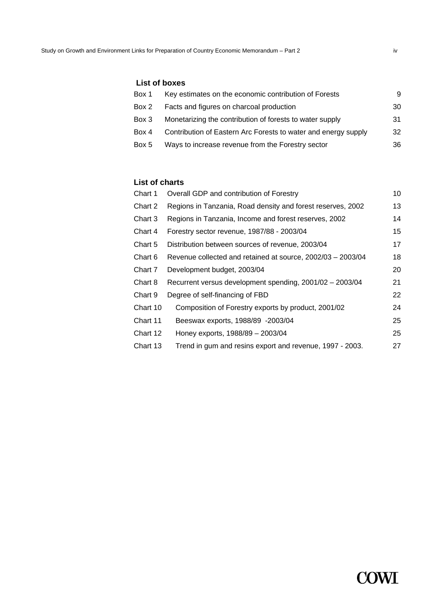# **List of boxes**

| Box 1 | Key estimates on the economic contribution of Forests          | 9  |
|-------|----------------------------------------------------------------|----|
| Box 2 | Facts and figures on charcoal production                       | 30 |
| Box 3 | Monetarizing the contribution of forests to water supply       | 31 |
| Box 4 | Contribution of Eastern Arc Forests to water and energy supply | 32 |
| Box 5 | Ways to increase revenue from the Forestry sector              | 36 |

# **List of charts**

| Chart 1  | Overall GDP and contribution of Forestry                    | 10 |
|----------|-------------------------------------------------------------|----|
| Chart 2  | Regions in Tanzania, Road density and forest reserves, 2002 | 13 |
| Chart 3  | Regions in Tanzania, Income and forest reserves, 2002       | 14 |
| Chart 4  | Forestry sector revenue, 1987/88 - 2003/04                  | 15 |
| Chart 5  | Distribution between sources of revenue, 2003/04            | 17 |
| Chart 6  | Revenue collected and retained at source, 2002/03 - 2003/04 | 18 |
| Chart 7  | Development budget, 2003/04                                 | 20 |
| Chart 8  | Recurrent versus development spending, 2001/02 - 2003/04    | 21 |
| Chart 9  | Degree of self-financing of FBD                             | 22 |
| Chart 10 | Composition of Forestry exports by product, 2001/02         | 24 |
| Chart 11 | Beeswax exports, 1988/89 -2003/04                           | 25 |
| Chart 12 | Honey exports, 1988/89 - 2003/04                            | 25 |
| Chart 13 | Trend in gum and resins export and revenue, 1997 - 2003.    | 27 |

**COWI**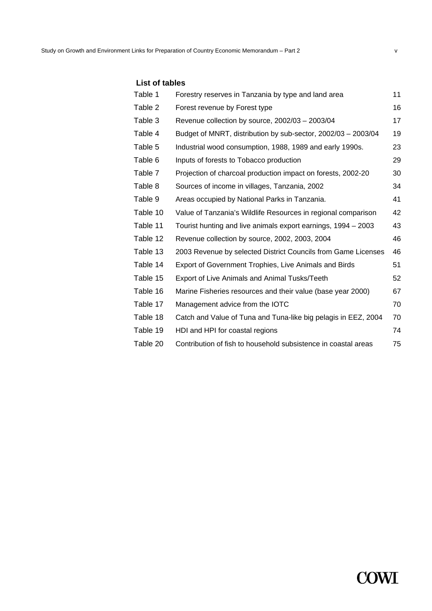| Table 1  | Forestry reserves in Tanzania by type and land area            | 11 |
|----------|----------------------------------------------------------------|----|
| Table 2  | Forest revenue by Forest type                                  | 16 |
| Table 3  | Revenue collection by source, 2002/03 - 2003/04                | 17 |
| Table 4  | Budget of MNRT, distribution by sub-sector, 2002/03 - 2003/04  | 19 |
| Table 5  | Industrial wood consumption, 1988, 1989 and early 1990s.       | 23 |
| Table 6  | Inputs of forests to Tobacco production                        | 29 |
| Table 7  | Projection of charcoal production impact on forests, 2002-20   | 30 |
| Table 8  | Sources of income in villages, Tanzania, 2002                  | 34 |
| Table 9  | Areas occupied by National Parks in Tanzania.                  | 41 |
| Table 10 | Value of Tanzania's Wildlife Resources in regional comparison  | 42 |
| Table 11 | Tourist hunting and live animals export earnings, 1994 – 2003  | 43 |
| Table 12 | Revenue collection by source, 2002, 2003, 2004                 | 46 |
| Table 13 | 2003 Revenue by selected District Councils from Game Licenses  | 46 |
| Table 14 | Export of Government Trophies, Live Animals and Birds          | 51 |
| Table 15 | Export of Live Animals and Animal Tusks/Teeth                  | 52 |
| Table 16 | Marine Fisheries resources and their value (base year 2000)    | 67 |
| Table 17 | Management advice from the IOTC                                | 70 |
| Table 18 | Catch and Value of Tuna and Tuna-like big pelagis in EEZ, 2004 | 70 |
| Table 19 | HDI and HPI for coastal regions                                | 74 |
| Table 20 | Contribution of fish to household subsistence in coastal areas | 75 |

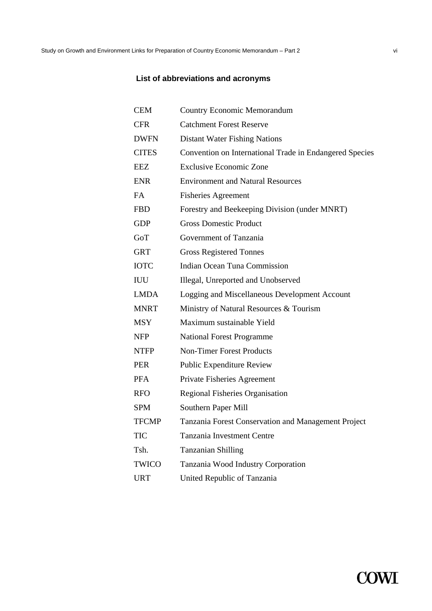# **List of abbreviations and acronyms**

| <b>CEM</b>   | <b>Country Economic Memorandum</b>                      |
|--------------|---------------------------------------------------------|
| <b>CFR</b>   | <b>Catchment Forest Reserve</b>                         |
| <b>DWFN</b>  | <b>Distant Water Fishing Nations</b>                    |
| <b>CITES</b> | Convention on International Trade in Endangered Species |
| <b>EEZ</b>   | <b>Exclusive Economic Zone</b>                          |
| <b>ENR</b>   | <b>Environment and Natural Resources</b>                |
| <b>FA</b>    | <b>Fisheries Agreement</b>                              |
| <b>FBD</b>   | Forestry and Beekeeping Division (under MNRT)           |
| GDP          | <b>Gross Domestic Product</b>                           |
| GoT          | Government of Tanzania                                  |
| <b>GRT</b>   | <b>Gross Registered Tonnes</b>                          |
| <b>IOTC</b>  | Indian Ocean Tuna Commission                            |
| <b>IUU</b>   | Illegal, Unreported and Unobserved                      |
| <b>LMDA</b>  | Logging and Miscellaneous Development Account           |
| <b>MNRT</b>  | Ministry of Natural Resources & Tourism                 |
| <b>MSY</b>   | Maximum sustainable Yield                               |
| NFP          | <b>National Forest Programme</b>                        |
| <b>NTFP</b>  | <b>Non-Timer Forest Products</b>                        |
| <b>PER</b>   | <b>Public Expenditure Review</b>                        |
| <b>PFA</b>   | Private Fisheries Agreement                             |
| <b>RFO</b>   | Regional Fisheries Organisation                         |
| <b>SPM</b>   | Southern Paper Mill                                     |
| <b>TFCMP</b> | Tanzania Forest Conservation and Management Project     |
| <b>TIC</b>   | <b>Tanzania Investment Centre</b>                       |
| Tsh.         | <b>Tanzanian Shilling</b>                               |
| <b>TWICO</b> | Tanzania Wood Industry Corporation                      |
| <b>URT</b>   | United Republic of Tanzania                             |

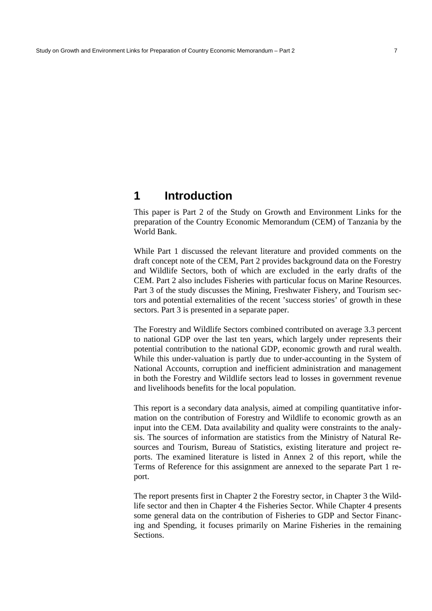# **1 Introduction**

This paper is Part 2 of the Study on Growth and Environment Links for the preparation of the Country Economic Memorandum (CEM) of Tanzania by the World Bank.

While Part 1 discussed the relevant literature and provided comments on the draft concept note of the CEM, Part 2 provides background data on the Forestry and Wildlife Sectors, both of which are excluded in the early drafts of the CEM. Part 2 also includes Fisheries with particular focus on Marine Resources. Part 3 of the study discusses the Mining, Freshwater Fishery, and Tourism sectors and potential externalities of the recent 'success stories' of growth in these sectors. Part 3 is presented in a separate paper.

The Forestry and Wildlife Sectors combined contributed on average 3.3 percent to national GDP over the last ten years, which largely under represents their potential contribution to the national GDP, economic growth and rural wealth. While this under-valuation is partly due to under-accounting in the System of National Accounts, corruption and inefficient administration and management in both the Forestry and Wildlife sectors lead to losses in government revenue and livelihoods benefits for the local population.

This report is a secondary data analysis, aimed at compiling quantitative information on the contribution of Forestry and Wildlife to economic growth as an input into the CEM. Data availability and quality were constraints to the analysis. The sources of information are statistics from the Ministry of Natural Resources and Tourism, Bureau of Statistics, existing literature and project reports. The examined literature is listed in Annex 2 of this report, while the Terms of Reference for this assignment are annexed to the separate Part 1 report.

The report presents first in Chapter 2 the Forestry sector, in Chapter 3 the Wildlife sector and then in Chapter 4 the Fisheries Sector. While Chapter 4 presents some general data on the contribution of Fisheries to GDP and Sector Financing and Spending, it focuses primarily on Marine Fisheries in the remaining Sections.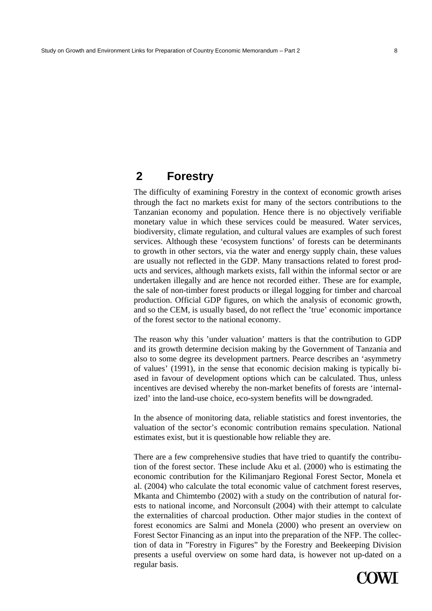# **2 Forestry**

The difficulty of examining Forestry in the context of economic growth arises through the fact no markets exist for many of the sectors contributions to the Tanzanian economy and population. Hence there is no objectively verifiable monetary value in which these services could be measured. Water services, biodiversity, climate regulation, and cultural values are examples of such forest services. Although these 'ecosystem functions' of forests can be determinants to growth in other sectors, via the water and energy supply chain, these values are usually not reflected in the GDP. Many transactions related to forest products and services, although markets exists, fall within the informal sector or are undertaken illegally and are hence not recorded either. These are for example, the sale of non-timber forest products or illegal logging for timber and charcoal production. Official GDP figures, on which the analysis of economic growth, and so the CEM, is usually based, do not reflect the 'true' economic importance of the forest sector to the national economy.

The reason why this 'under valuation' matters is that the contribution to GDP and its growth determine decision making by the Government of Tanzania and also to some degree its development partners. Pearce describes an 'asymmetry of values' (1991), in the sense that economic decision making is typically biased in favour of development options which can be calculated. Thus, unless incentives are devised whereby the non-market benefits of forests are 'internalized' into the land-use choice, eco-system benefits will be downgraded.

In the absence of monitoring data, reliable statistics and forest inventories, the valuation of the sector's economic contribution remains speculation. National estimates exist, but it is questionable how reliable they are.

There are a few comprehensive studies that have tried to quantify the contribution of the forest sector. These include Aku et al. (2000) who is estimating the economic contribution for the Kilimanjaro Regional Forest Sector, Monela et al. (2004) who calculate the total economic value of catchment forest reserves, Mkanta and Chimtembo (2002) with a study on the contribution of natural forests to national income, and Norconsult (2004) with their attempt to calculate the externalities of charcoal production. Other major studies in the context of forest economics are Salmi and Monela (2000) who present an overview on Forest Sector Financing as an input into the preparation of the NFP. The collection of data in "Forestry in Figures" by the Forestry and Beekeeping Division presents a useful overview on some hard data, is however not up-dated on a regular basis.

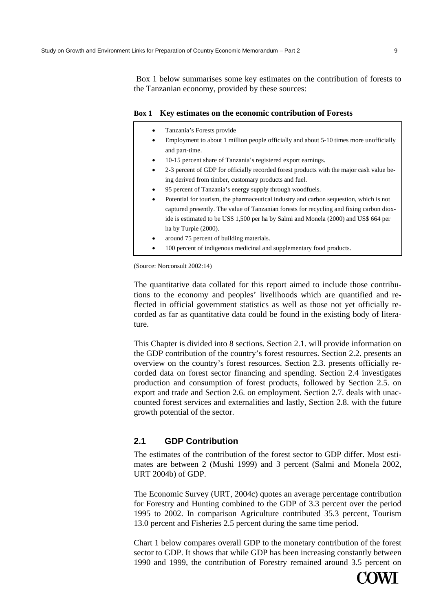Box 1 below summarises some key estimates on the contribution of forests to the Tanzanian economy, provided by these sources:

# **Box 1 Key estimates on the economic contribution of Forests**

- Tanzania's Forests provide
- Employment to about 1 million people officially and about 5-10 times more unofficially and part-time.
- 10-15 percent share of Tanzania's registered export earnings.
- 2-3 percent of GDP for officially recorded forest products with the major cash value being derived from timber, customary products and fuel.
- 95 percent of Tanzania's energy supply through woodfuels.
- Potential for tourism, the pharmaceutical industry and carbon sequestion, which is not captured presently. The value of Tanzanian forests for recycling and fixing carbon dioxide is estimated to be US\$ 1,500 per ha by Salmi and Monela (2000) and US\$ 664 per ha by Turpie (2000).
- around 75 percent of building materials.
- 100 percent of indigenous medicinal and supplementary food products.

(Source: Norconsult 2002:14)

The quantitative data collated for this report aimed to include those contributions to the economy and peoples' livelihoods which are quantified and reflected in official government statistics as well as those not yet officially recorded as far as quantitative data could be found in the existing body of literature.

This Chapter is divided into 8 sections. Section 2.1. will provide information on the GDP contribution of the country's forest resources. Section 2.2. presents an overview on the country's forest resources. Section 2.3. presents officially recorded data on forest sector financing and spending. Section 2.4 investigates production and consumption of forest products, followed by Section 2.5. on export and trade and Section 2.6. on employment. Section 2.7. deals with unaccounted forest services and externalities and lastly, Section 2.8. with the future growth potential of the sector.

# **2.1 GDP Contribution**

The estimates of the contribution of the forest sector to GDP differ. Most estimates are between 2 (Mushi 1999) and 3 percent (Salmi and Monela 2002, URT 2004b) of GDP.

The Economic Survey (URT, 2004c) quotes an average percentage contribution for Forestry and Hunting combined to the GDP of 3.3 percent over the period 1995 to 2002. In comparison Agriculture contributed 35.3 percent, Tourism 13.0 percent and Fisheries 2.5 percent during the same time period.

Chart 1 below compares overall GDP to the monetary contribution of the forest sector to GDP. It shows that while GDP has been increasing constantly between 1990 and 1999, the contribution of Forestry remained around 3.5 percent on

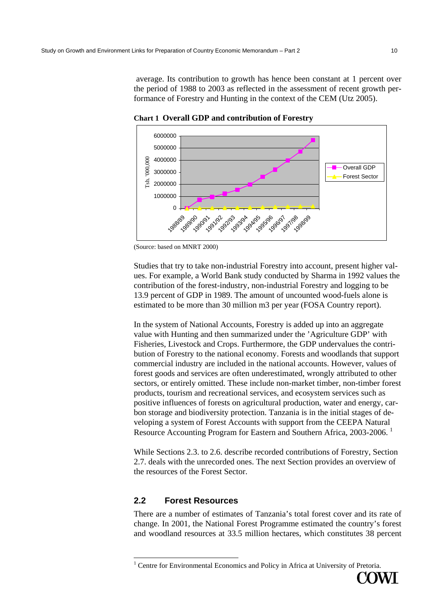average. Its contribution to growth has hence been constant at 1 percent over the period of 1988 to 2003 as reflected in the assessment of recent growth performance of Forestry and Hunting in the context of the CEM (Utz 2005).



**Chart 1 Overall GDP and contribution of Forestry** 

Studies that try to take non-industrial Forestry into account, present higher values. For example, a World Bank study conducted by Sharma in 1992 values the contribution of the forest-industry, non-industrial Forestry and logging to be 13.9 percent of GDP in 1989. The amount of uncounted wood-fuels alone is estimated to be more than 30 million m3 per year (FOSA Country report).

In the system of National Accounts, Forestry is added up into an aggregate value with Hunting and then summarized under the 'Agriculture GDP' with Fisheries, Livestock and Crops. Furthermore, the GDP undervalues the contribution of Forestry to the national economy. Forests and woodlands that support commercial industry are included in the national accounts. However, values of forest goods and services are often underestimated, wrongly attributed to other sectors, or entirely omitted. These include non-market timber, non-timber forest products, tourism and recreational services, and ecosystem services such as positive influences of forests on agricultural production, water and energy, carbon storage and biodiversity protection. Tanzania is in the initial stages of developing a system of Forest Accounts with support from the CEEPA Natural Resource Accounting Program for Eastern and Southern Africa, 2003-2006. 1

While Sections 2.3. to 2.6. describe recorded contributions of Forestry, Section 2.7. deals with the unrecorded ones. The next Section provides an overview of the resources of the Forest Sector.

# **2.2 Forest Resources**

There are a number of estimates of Tanzania's total forest cover and its rate of change. In 2001, the National Forest Programme estimated the country's forest and woodland resources at 33.5 million hectares, which constitutes 38 percent

<sup>&</sup>lt;sup>1</sup> Centre for Environmental Economics and Policy in Africa at University of Pretoria.



<sup>(</sup>Source: based on MNRT 2000)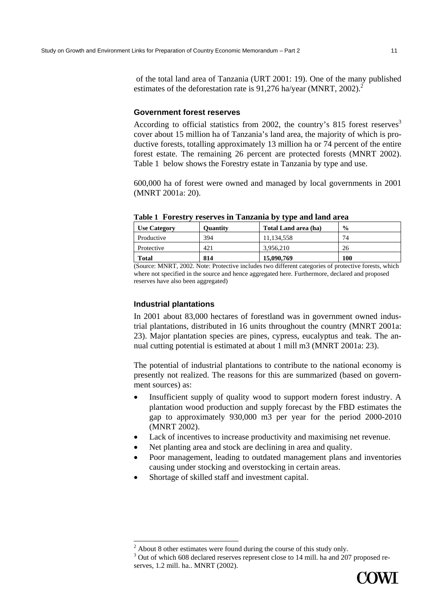of the total land area of Tanzania (URT 2001: 19). One of the many published estimates of the deforestation rate is 91,276 ha/year (MNRT, 2002).<sup>2</sup>

#### **Government forest reserves**

According to official statistics from 2002, the country's 815 forest reserves<sup>3</sup> cover about 15 million ha of Tanzania's land area, the majority of which is productive forests, totalling approximately 13 million ha or 74 percent of the entire forest estate. The remaining 26 percent are protected forests (MNRT 2002). Table 1 below shows the Forestry estate in Tanzania by type and use.

600,000 ha of forest were owned and managed by local governments in 2001 (MNRT 2001a: 20).

| <b>Ouantity</b> | Total Land area (ha) | $\frac{6}{9}$ |
|-----------------|----------------------|---------------|
| 394             | 11,134,558           | 74            |
| 421             | 3.956.210            | 26            |
| 814             | 15,090,769           | 100           |
|                 |                      |               |

# **Table 1 Forestry reserves in Tanzania by type and land area**

(Source: MNRT, 2002. Note: Protective includes two different categories of protective forests, which where not specified in the source and hence aggregated here. Furthermore, declared and proposed reserves have also been aggregated)

# **Industrial plantations**

 $\overline{a}$ 

In 2001 about 83,000 hectares of forestland was in government owned industrial plantations, distributed in 16 units throughout the country (MNRT 2001a: 23). Major plantation species are pines, cypress, eucalyptus and teak. The annual cutting potential is estimated at about 1 mill m3 (MNRT 2001a: 23).

The potential of industrial plantations to contribute to the national economy is presently not realized. The reasons for this are summarized (based on government sources) as:

- Insufficient supply of quality wood to support modern forest industry. A plantation wood production and supply forecast by the FBD estimates the gap to approximately 930,000 m3 per year for the period 2000-2010 (MNRT 2002).
- Lack of incentives to increase productivity and maximising net revenue.
- Net planting area and stock are declining in area and quality.
- Poor management, leading to outdated management plans and inventories causing under stocking and overstocking in certain areas.
- Shortage of skilled staff and investment capital.

<sup>&</sup>lt;sup>3</sup> Out of which 608 declared reserves represent close to 14 mill. ha and 207 proposed reserves, 1.2 mill. ha.. MNRT (2002).



 $2$  About 8 other estimates were found during the course of this study only.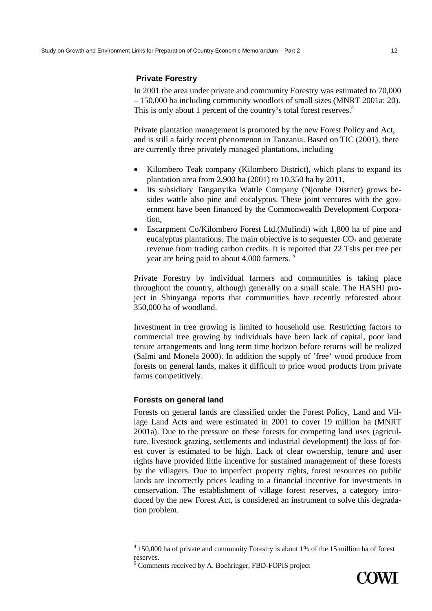# **Private Forestry**

In 2001 the area under private and community Forestry was estimated to 70,000 – 150,000 ha including community woodlots of small sizes (MNRT 2001a: 20). This is only about 1 percent of the country's total forest reserves.<sup>4</sup>

Private plantation management is promoted by the new Forest Policy and Act, and is still a fairly recent phenomenon in Tanzania. Based on TIC (2001), there are currently three privately managed plantations, including

- Kilombero Teak company (Kilombero District), which plans to expand its plantation area from 2,900 ha (2001) to 10,350 ha by 2011,
- Its subsidiary Tanganyika Wattle Company (Njombe District) grows besides wattle also pine and eucalyptus. These joint ventures with the government have been financed by the Commonwealth Development Corporation,
- Escarpment Co/Kilombero Forest Ltd.(Mufindi) with 1,800 ha of pine and eucalyptus plantations. The main objective is to sequester  $CO<sub>2</sub>$  and generate revenue from trading carbon credits. It is reported that 22 Tshs per tree per year are being paid to about 4,000 farmers. <sup>5</sup>

Private Forestry by individual farmers and communities is taking place throughout the country, although generally on a small scale. The HASHI project in Shinyanga reports that communities have recently reforested about 350,000 ha of woodland.

Investment in tree growing is limited to household use. Restricting factors to commercial tree growing by individuals have been lack of capital, poor land tenure arrangements and long term time horizon before returns will be realized (Salmi and Monela 2000). In addition the supply of 'free' wood produce from forests on general lands, makes it difficult to price wood products from private farms competitively.

# **Forests on general land**

 $\overline{a}$ 

Forests on general lands are classified under the Forest Policy, Land and Village Land Acts and were estimated in 2001 to cover 19 million ha (MNRT 2001a). Due to the pressure on these forests for competing land uses (agriculture, livestock grazing, settlements and industrial development) the loss of forest cover is estimated to be high. Lack of clear ownership, tenure and user rights have provided little incentive for sustained management of these forests by the villagers. Due to imperfect property rights, forest resources on public lands are incorrectly prices leading to a financial incentive for investments in conservation. The establishment of village forest reserves, a category introduced by the new Forest Act, is considered an instrument to solve this degradation problem.



<sup>&</sup>lt;sup>4</sup> 150,000 ha of private and community Forestry is about 1% of the 15 million ha of forest reserves.

<sup>&</sup>lt;sup>5</sup> Comments received by A. Boehringer, FBD-FOPIS project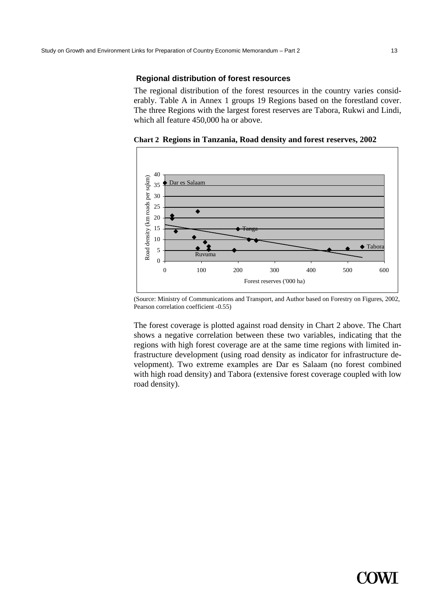# **Regional distribution of forest resources**

The regional distribution of the forest resources in the country varies considerably. Table A in Annex 1 groups 19 Regions based on the forestland cover. The three Regions with the largest forest reserves are Tabora, Rukwi and Lindi, which all feature 450,000 ha or above.

**Chart 2 Regions in Tanzania, Road density and forest reserves, 2002** 



(Source: Ministry of Communications and Transport, and Author based on Forestry on Figures, 2002, Pearson correlation coefficient -0.55)

The forest coverage is plotted against road density in Chart 2 above. The Chart shows a negative correlation between these two variables, indicating that the regions with high forest coverage are at the same time regions with limited infrastructure development (using road density as indicator for infrastructure development). Two extreme examples are Dar es Salaam (no forest combined with high road density) and Tabora (extensive forest coverage coupled with low road density).

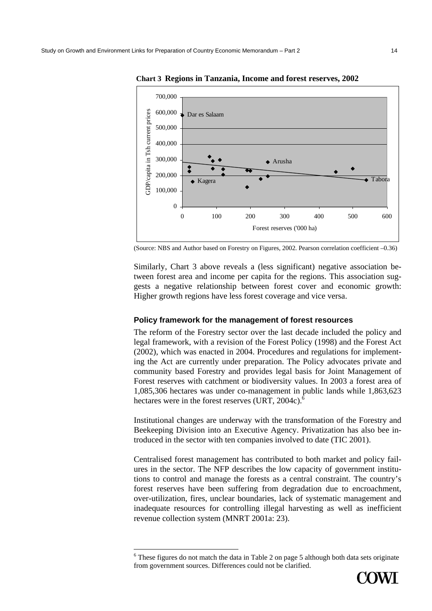

**Chart 3 Regions in Tanzania, Income and forest reserves, 2002** 

(Source: NBS and Author based on Forestry on Figures, 2002. Pearson correlation coefficient –0.36)

Similarly, Chart 3 above reveals a (less significant) negative association between forest area and income per capita for the regions. This association suggests a negative relationship between forest cover and economic growth: Higher growth regions have less forest coverage and vice versa.

#### **Policy framework for the management of forest resources**

The reform of the Forestry sector over the last decade included the policy and legal framework, with a revision of the Forest Policy (1998) and the Forest Act (2002), which was enacted in 2004. Procedures and regulations for implementing the Act are currently under preparation. The Policy advocates private and community based Forestry and provides legal basis for Joint Management of Forest reserves with catchment or biodiversity values. In 2003 a forest area of 1,085,306 hectares was under co-management in public lands while 1,863,623 hectares were in the forest reserves (URT, 2004c).<sup> $\bar{6}$ </sup>

Institutional changes are underway with the transformation of the Forestry and Beekeeping Division into an Executive Agency. Privatization has also bee introduced in the sector with ten companies involved to date (TIC 2001).

Centralised forest management has contributed to both market and policy failures in the sector. The NFP describes the low capacity of government institutions to control and manage the forests as a central constraint. The country's forest reserves have been suffering from degradation due to encroachment, over-utilization, fires, unclear boundaries, lack of systematic management and inadequate resources for controlling illegal harvesting as well as inefficient revenue collection system (MNRT 2001a: 23).



 $6$  These figures do not match the data in Table 2 on page 5 although both data sets originate from government sources. Differences could not be clarified.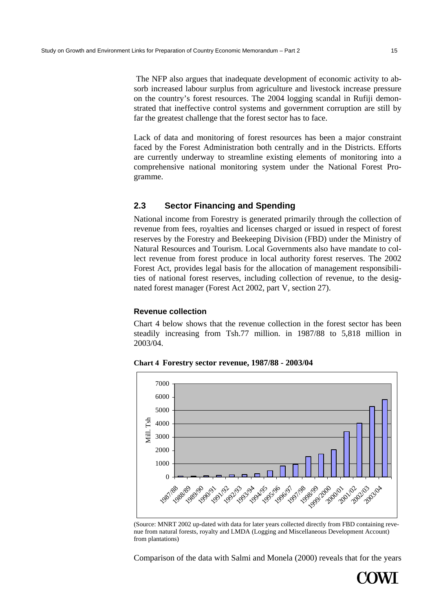The NFP also argues that inadequate development of economic activity to absorb increased labour surplus from agriculture and livestock increase pressure on the country's forest resources. The 2004 logging scandal in Rufiji demonstrated that ineffective control systems and government corruption are still by far the greatest challenge that the forest sector has to face.

Lack of data and monitoring of forest resources has been a major constraint faced by the Forest Administration both centrally and in the Districts. Efforts are currently underway to streamline existing elements of monitoring into a comprehensive national monitoring system under the National Forest Programme.

# **2.3 Sector Financing and Spending**

National income from Forestry is generated primarily through the collection of revenue from fees, royalties and licenses charged or issued in respect of forest reserves by the Forestry and Beekeeping Division (FBD) under the Ministry of Natural Resources and Tourism. Local Governments also have mandate to collect revenue from forest produce in local authority forest reserves. The 2002 Forest Act, provides legal basis for the allocation of management responsibilities of national forest reserves, including collection of revenue, to the designated forest manager (Forest Act 2002, part V, section 27).

# **Revenue collection**

Chart 4 below shows that the revenue collection in the forest sector has been steadily increasing from Tsh.77 million. in 1987/88 to 5,818 million in 2003/04.



**Chart 4 Forestry sector revenue, 1987/88 - 2003/04** 

(Source: MNRT 2002 up-dated with data for later years collected directly from FBD containing revenue from natural forests, royalty and LMDA (Logging and Miscellaneous Development Account) from plantations)

Comparison of the data with Salmi and Monela (2000) reveals that for the years

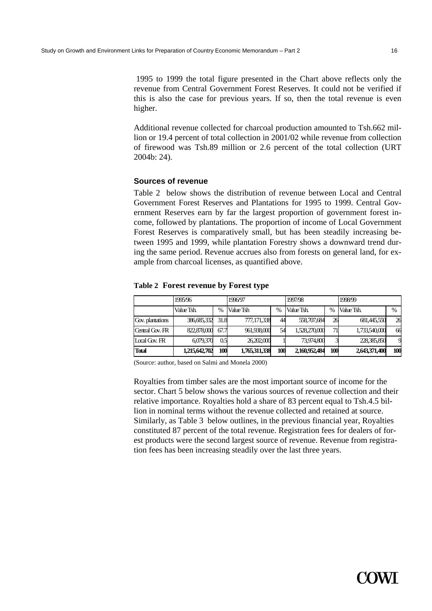1995 to 1999 the total figure presented in the Chart above reflects only the revenue from Central Government Forest Reserves. It could not be verified if this is also the case for previous years. If so, then the total revenue is even higher.

Additional revenue collected for charcoal production amounted to Tsh.662 million or 19.4 percent of total collection in 2001/02 while revenue from collection of firewood was Tsh.89 million or 2.6 percent of the total collection (URT 2004b: 24).

## **Sources of revenue**

Table 2 below shows the distribution of revenue between Local and Central Government Forest Reserves and Plantations for 1995 to 1999. Central Government Reserves earn by far the largest proportion of government forest income, followed by plantations. The proportion of income of Local Government Forest Reserves is comparatively small, but has been steadily increasing between 1995 and 1999, while plantation Forestry shows a downward trend during the same period. Revenue accrues also from forests on general land, for example from charcoal licenses, as quantified above.

#### **Table 2 Forest revenue by Forest type**

|                       | 1995/96<br>1996/97 |      |               | 1997/98 |               | 1998/99       |               |               |
|-----------------------|--------------------|------|---------------|---------|---------------|---------------|---------------|---------------|
|                       | Value Tsh.         | %    | Value Tsh     | $\%$    | Value Tsh.    | $\frac{0}{0}$ | Value Tsh.    | $\frac{0}{0}$ |
| Gov. plantations      | 386,685,332        | 31.8 | 777,171,338   | 44      | 558,707,684   | 26            | 681,445,550   | 26            |
| Central Gov. FR       | 822,878,000        | 67.7 | 961,938,000   | 54      | 1,528,270,000 | 71            | 1,733,540,000 | 66            |
| $I \alpha$ al Gov. FR | 6,079,370          | 0.5  | 26,202,000    |         | 73,974,800    |               | 228,385,850   |               |
| <b>Total</b>          | 1,215,642,702      | 100  | 1,765,311,338 | 100     | 2.160.952.484 | 100           | 2,643,371,400 | 100           |

(Source: author, based on Salmi and Monela 2000)

Royalties from timber sales are the most important source of income for the sector. Chart 5 below shows the various sources of revenue collection and their relative importance. Royalties hold a share of 83 percent equal to Tsh.4.5 billion in nominal terms without the revenue collected and retained at source. Similarly, as Table 3 below outlines, in the previous financial year, Royalties constituted 87 percent of the total revenue. Registration fees for dealers of forest products were the second largest source of revenue. Revenue from registration fees has been increasing steadily over the last three years.

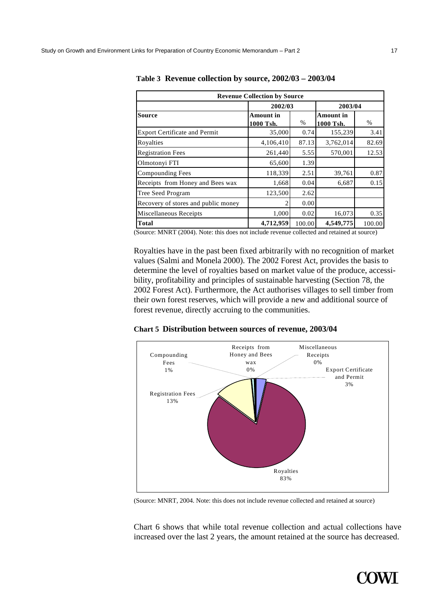| <b>Revenue Collection by Source</b>  |                               |        |                               |        |  |  |
|--------------------------------------|-------------------------------|--------|-------------------------------|--------|--|--|
|                                      | 2002/03                       |        | 2003/04                       |        |  |  |
| <b>Source</b>                        | <b>Amount</b> in<br>1000 Tsh. | $\%$   | <b>Amount</b> in<br>1000 Tsh. | $\%$   |  |  |
| <b>Export Certificate and Permit</b> | 35,000                        | 0.74   | 155,239                       | 3.41   |  |  |
| Royalties                            | 4,106,410                     | 87.13  | 3,762,014                     | 82.69  |  |  |
| <b>Registration Fees</b>             | 261,440                       | 5.55   | 570,001                       | 12.53  |  |  |
| Olmotonyi FTI                        | 65,600                        | 1.39   |                               |        |  |  |
| Compounding Fees                     | 118,339                       | 2.51   | 39,761                        | 0.87   |  |  |
| Receipts from Honey and Bees wax     | 1,668                         | 0.04   | 6,687                         | 0.15   |  |  |
| Tree Seed Program                    | 123,500                       | 2.62   |                               |        |  |  |
| Recovery of stores and public money  |                               | 0.00   |                               |        |  |  |
| Miscellaneous Receipts               | 1,000                         | 0.02   | 16,073                        | 0.35   |  |  |
| <b>Total</b>                         | 4,712,959                     | 100.00 | 4,549,775                     | 100.00 |  |  |

**Table 3 Revenue collection by source, 2002/03 – 2003/04** 

(Source: MNRT (2004). Note: this does not include revenue collected and retained at source)

Royalties have in the past been fixed arbitrarily with no recognition of market values (Salmi and Monela 2000). The 2002 Forest Act, provides the basis to determine the level of royalties based on market value of the produce, accessibility, profitability and principles of sustainable harvesting (Section 78, the 2002 Forest Act). Furthermore, the Act authorises villages to sell timber from their own forest reserves, which will provide a new and additional source of forest revenue, directly accruing to the communities.





(Source: MNRT, 2004. Note: this does not include revenue collected and retained at source)

Chart 6 shows that while total revenue collection and actual collections have increased over the last 2 years, the amount retained at the source has decreased.

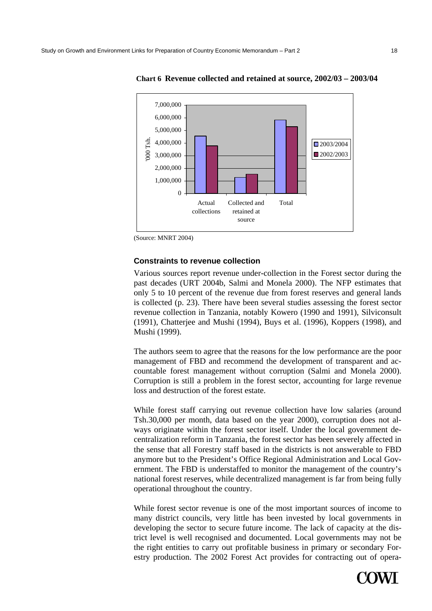

**Chart 6 Revenue collected and retained at source, 2002/03 – 2003/04** 

(Source: MNRT 2004)

## **Constraints to revenue collection**

Various sources report revenue under-collection in the Forest sector during the past decades (URT 2004b, Salmi and Monela 2000). The NFP estimates that only 5 to 10 percent of the revenue due from forest reserves and general lands is collected (p. 23). There have been several studies assessing the forest sector revenue collection in Tanzania, notably Kowero (1990 and 1991), Silviconsult (1991), Chatterjee and Mushi (1994), Buys et al. (1996), Koppers (1998), and Mushi (1999).

The authors seem to agree that the reasons for the low performance are the poor management of FBD and recommend the development of transparent and accountable forest management without corruption (Salmi and Monela 2000). Corruption is still a problem in the forest sector, accounting for large revenue loss and destruction of the forest estate.

While forest staff carrying out revenue collection have low salaries (around Tsh.30,000 per month, data based on the year 2000), corruption does not always originate within the forest sector itself. Under the local government decentralization reform in Tanzania, the forest sector has been severely affected in the sense that all Forestry staff based in the districts is not answerable to FBD anymore but to the President's Office Regional Administration and Local Government. The FBD is understaffed to monitor the management of the country's national forest reserves, while decentralized management is far from being fully operational throughout the country.

While forest sector revenue is one of the most important sources of income to many district councils, very little has been invested by local governments in developing the sector to secure future income. The lack of capacity at the district level is well recognised and documented. Local governments may not be the right entities to carry out profitable business in primary or secondary Forestry production. The 2002 Forest Act provides for contracting out of opera-

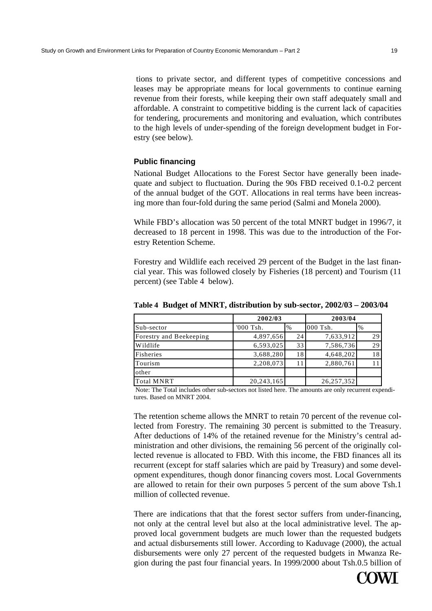tions to private sector, and different types of competitive concessions and leases may be appropriate means for local governments to continue earning revenue from their forests, while keeping their own staff adequately small and affordable. A constraint to competitive bidding is the current lack of capacities for tendering, procurements and monitoring and evaluation, which contributes to the high levels of under-spending of the foreign development budget in Forestry (see below).

# **Public financing**

National Budget Allocations to the Forest Sector have generally been inadequate and subject to fluctuation. During the 90s FBD received 0.1-0.2 percent of the annual budget of the GOT. Allocations in real terms have been increasing more than four-fold during the same period (Salmi and Monela 2000).

While FBD's allocation was 50 percent of the total MNRT budget in 1996/7, it decreased to 18 percent in 1998. This was due to the introduction of the Forestry Retention Scheme.

Forestry and Wildlife each received 29 percent of the Budget in the last financial year. This was followed closely by Fisheries (18 percent) and Tourism (11 percent) (see Table 4 below).

|                         | 2002/03    |      |            | 2003/04 |
|-------------------------|------------|------|------------|---------|
| Sub-sector              | '000 Tsh.  | $\%$ | $000$ Tsh. | $\%$    |
| Forestry and Beekeeping | 4,897,656  | 24   | 7,633,912  | 29      |
| Wildlife                | 6,593,025  | 33   | 7,586,736  | 29      |
| Fisheries               | 3,688,280  | 18   | 4,648,202  | 18      |
| Tourism                 | 2,208,073  | 11   | 2,880,761  |         |
| other                   |            |      |            |         |
| <b>Total MNRT</b>       | 20,243,165 |      | 26,257,352 |         |

**Table 4 Budget of MNRT, distribution by sub-sector, 2002/03 – 2003/04** 

 Note: The Total includes other sub-sectors not listed here. The amounts are only recurrent expenditures. Based on MNRT 2004.

The retention scheme allows the MNRT to retain 70 percent of the revenue collected from Forestry. The remaining 30 percent is submitted to the Treasury. After deductions of 14% of the retained revenue for the Ministry's central administration and other divisions, the remaining 56 percent of the originally collected revenue is allocated to FBD. With this income, the FBD finances all its recurrent (except for staff salaries which are paid by Treasury) and some development expenditures, though donor financing covers most. Local Governments are allowed to retain for their own purposes 5 percent of the sum above Tsh.1 million of collected revenue.

There are indications that that the forest sector suffers from under-financing, not only at the central level but also at the local administrative level. The approved local government budgets are much lower than the requested budgets and actual disbursements still lower. According to Kaduvage (2000), the actual disbursements were only 27 percent of the requested budgets in Mwanza Region during the past four financial years. In 1999/2000 about Tsh.0.5 billion of

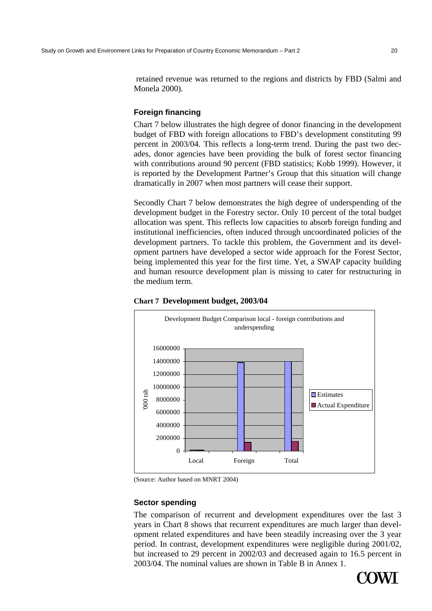retained revenue was returned to the regions and districts by FBD (Salmi and Monela 2000).

# **Foreign financing**

Chart 7 below illustrates the high degree of donor financing in the development budget of FBD with foreign allocations to FBD's development constituting 99 percent in 2003/04. This reflects a long-term trend. During the past two decades, donor agencies have been providing the bulk of forest sector financing with contributions around 90 percent (FBD statistics; Kobb 1999). However, it is reported by the Development Partner's Group that this situation will change dramatically in 2007 when most partners will cease their support.

Secondly Chart 7 below demonstrates the high degree of underspending of the development budget in the Forestry sector. Only 10 percent of the total budget allocation was spent. This reflects low capacities to absorb foreign funding and institutional inefficiencies, often induced through uncoordinated policies of the development partners. To tackle this problem, the Government and its development partners have developed a sector wide approach for the Forest Sector, being implemented this year for the first time. Yet, a SWAP capacity building and human resource development plan is missing to cater for restructuring in the medium term.





# **Sector spending**

The comparison of recurrent and development expenditures over the last 3 years in Chart 8 shows that recurrent expenditures are much larger than development related expenditures and have been steadily increasing over the 3 year period. In contrast, development expenditures were negligible during 2001/02, but increased to 29 percent in 2002/03 and decreased again to 16.5 percent in 2003/04. The nominal values are shown in Table B in Annex 1.



<sup>(</sup>Source: Author based on MNRT 2004)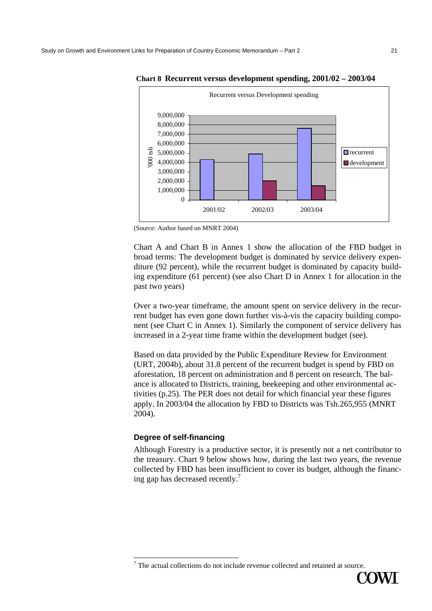

**Chart 8 Recurrent versus development spending, 2001/02 – 2003/04** 

Chart A and Chart B in Annex 1 show the allocation of the FBD budget in broad terms: The development budget is dominated by service delivery expenditure (92 percent), while the recurrent budget is dominated by capacity building expenditure (61 percent) (see also Chart D in Annex 1 for allocation in the past two years)

Over a two-year timeframe, the amount spent on service delivery in the recurrent budget has even gone down further vis-à-vis the capacity building component (see Chart C in Annex 1). Similarly the component of service delivery has increased in a 2-year time frame within the development budget (see).

Based on data provided by the Public Expenditure Review for Environment (URT, 2004b), about 31.8 percent of the recurrent budget is spend by FBD on aforestation, 18 percent on administration and 8 percent on research. The balance is allocated to Districts, training, beekeeping and other environmental activities (p.25). The PER does not detail for which financial year these figures apply. In 2003/04 the allocation by FBD to Districts was Tsh.265,955 (MNRT 2004).

# **Degree of self-financing**

Although Forestry is a productive sector, it is presently not a net contributor to the treasury. Chart 9 below shows how, during the last two years, the revenue collected by FBD has been insufficient to cover its budget, although the financing gap has decreased recently.<sup>7</sup>

 $7$  The actual collections do not include revenue collected and retained at source.



<sup>(</sup>Source: Author based on MNRT 2004)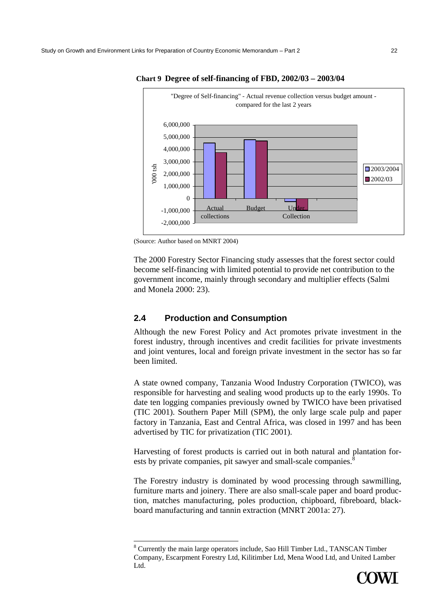

**Chart 9 Degree of self-financing of FBD, 2002/03 – 2003/04** 

 $\overline{a}$ 

The 2000 Forestry Sector Financing study assesses that the forest sector could become self-financing with limited potential to provide net contribution to the government income, mainly through secondary and multiplier effects (Salmi and Monela 2000: 23).

# **2.4 Production and Consumption**

Although the new Forest Policy and Act promotes private investment in the forest industry, through incentives and credit facilities for private investments and joint ventures, local and foreign private investment in the sector has so far been limited.

A state owned company, Tanzania Wood Industry Corporation (TWICO), was responsible for harvesting and sealing wood products up to the early 1990s. To date ten logging companies previously owned by TWICO have been privatised (TIC 2001). Southern Paper Mill (SPM), the only large scale pulp and paper factory in Tanzania, East and Central Africa, was closed in 1997 and has been advertised by TIC for privatization (TIC 2001).

Harvesting of forest products is carried out in both natural and plantation forests by private companies, pit sawyer and small-scale companies.<sup>8</sup>

The Forestry industry is dominated by wood processing through sawmilling, furniture marts and joinery. There are also small-scale paper and board production, matches manufacturing, poles production, chipboard, fibreboard, blackboard manufacturing and tannin extraction (MNRT 2001a: 27).

<sup>&</sup>lt;sup>8</sup> Currently the main large operators include, Sao Hill Timber Ltd., TANSCAN Timber Company, Escarpment Forestry Ltd, Kilitimber Ltd, Mena Wood Ltd, and United Lamber Ltd.



<sup>(</sup>Source: Author based on MNRT 2004)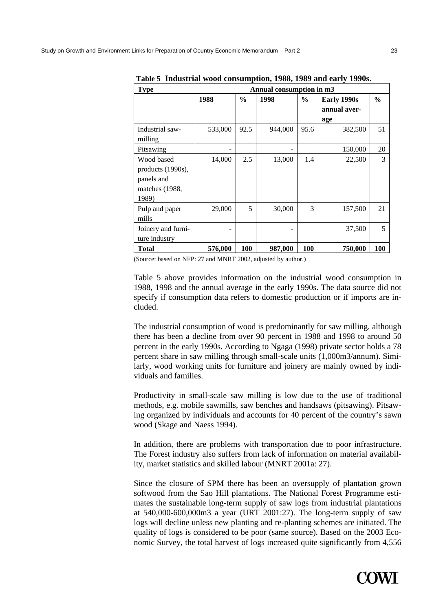| <b>Type</b>                                                              | Annual consumption in m3 |               |         |               |                                    |               |  |  |
|--------------------------------------------------------------------------|--------------------------|---------------|---------|---------------|------------------------------------|---------------|--|--|
|                                                                          | 1988                     | $\frac{0}{0}$ | 1998    | $\frac{6}{9}$ | Early 1990s<br>annual aver-<br>age | $\frac{6}{9}$ |  |  |
| Industrial saw-<br>milling                                               | 533,000                  | 92.5          | 944,000 | 95.6          | 382,500                            | 51            |  |  |
| Pitsawing                                                                |                          |               |         |               | 150,000                            | 20            |  |  |
| Wood based<br>products (1990s),<br>panels and<br>matches (1988,<br>1989) | 14,000                   | 2.5           | 13,000  | 1.4           | 22,500                             | 3             |  |  |
| Pulp and paper<br>mills                                                  | 29,000                   | 5             | 30,000  | 3             | 157,500                            | 21            |  |  |
| Joinery and furni-<br>ture industry                                      |                          |               |         |               | 37,500                             | 5             |  |  |
| <b>Total</b>                                                             | 576,000                  | 100           | 987,000 | 100           | 750,000                            | 100           |  |  |

**Table 5 Industrial wood consumption, 1988, 1989 and early 1990s.** 

(Source: based on NFP: 27 and MNRT 2002, adjusted by author.)

Table 5 above provides information on the industrial wood consumption in 1988, 1998 and the annual average in the early 1990s. The data source did not specify if consumption data refers to domestic production or if imports are included.

The industrial consumption of wood is predominantly for saw milling, although there has been a decline from over 90 percent in 1988 and 1998 to around 50 percent in the early 1990s. According to Ngaga (1998) private sector holds a 78 percent share in saw milling through small-scale units (1,000m3/annum). Similarly, wood working units for furniture and joinery are mainly owned by individuals and families.

Productivity in small-scale saw milling is low due to the use of traditional methods, e.g. mobile sawmills, saw benches and handsaws (pitsawing). Pitsawing organized by individuals and accounts for 40 percent of the country's sawn wood (Skage and Naess 1994).

In addition, there are problems with transportation due to poor infrastructure. The Forest industry also suffers from lack of information on material availability, market statistics and skilled labour (MNRT 2001a: 27).

Since the closure of SPM there has been an oversupply of plantation grown softwood from the Sao Hill plantations. The National Forest Programme estimates the sustainable long-term supply of saw logs from industrial plantations at 540,000-600,000m3 a year (URT 2001:27). The long-term supply of saw logs will decline unless new planting and re-planting schemes are initiated. The quality of logs is considered to be poor (same source). Based on the 2003 Economic Survey, the total harvest of logs increased quite significantly from 4,556

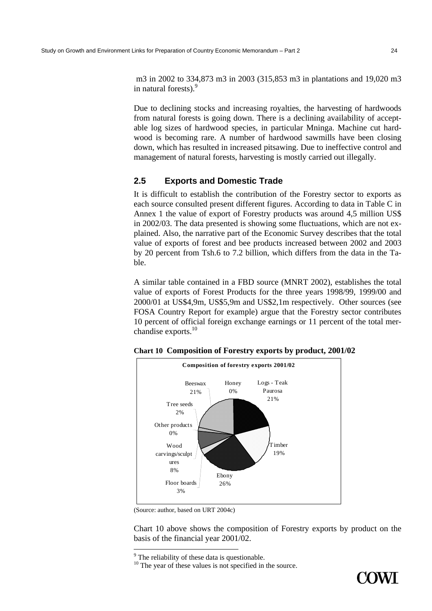m3 in 2002 to 334,873 m3 in 2003 (315,853 m3 in plantations and 19,020 m3 in natural forests).<sup>9</sup>

Due to declining stocks and increasing royalties, the harvesting of hardwoods from natural forests is going down. There is a declining availability of acceptable log sizes of hardwood species, in particular Mninga. Machine cut hardwood is becoming rare. A number of hardwood sawmills have been closing down, which has resulted in increased pitsawing. Due to ineffective control and management of natural forests, harvesting is mostly carried out illegally.

# **2.5 Exports and Domestic Trade**

It is difficult to establish the contribution of the Forestry sector to exports as each source consulted present different figures. According to data in Table C in Annex 1 the value of export of Forestry products was around 4,5 million US\$ in 2002/03. The data presented is showing some fluctuations, which are not explained. Also, the narrative part of the Economic Survey describes that the total value of exports of forest and bee products increased between 2002 and 2003 by 20 percent from Tsh.6 to 7.2 billion, which differs from the data in the Table.

A similar table contained in a FBD source (MNRT 2002), establishes the total value of exports of Forest Products for the three years 1998/99, 1999/00 and 2000/01 at US\$4,9m, US\$5,9m and US\$2,1m respectively. Other sources (see FOSA Country Report for example) argue that the Forestry sector contributes 10 percent of official foreign exchange earnings or 11 percent of the total merchandise exports.<sup>10</sup>



**Chart 10 Composition of Forestry exports by product, 2001/02** 

Chart 10 above shows the composition of Forestry exports by product on the basis of the financial year 2001/02.



<sup>(</sup>Source: author, based on URT 2004c)

<sup>&</sup>lt;sup>9</sup> The reliability of these data is questionable.

<sup>&</sup>lt;sup>10</sup> The year of these values is not specified in the source.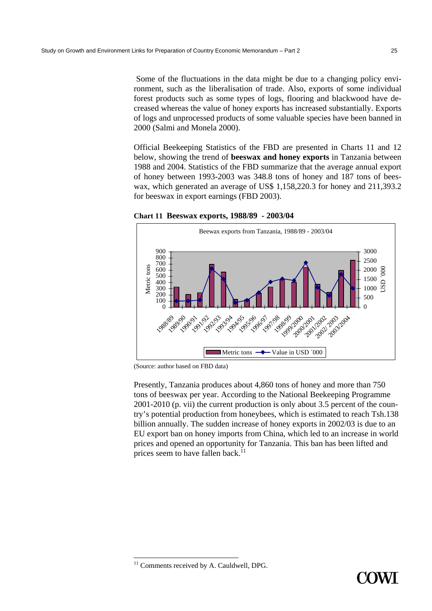Some of the fluctuations in the data might be due to a changing policy environment, such as the liberalisation of trade. Also, exports of some individual forest products such as some types of logs, flooring and blackwood have decreased whereas the value of honey exports has increased substantially. Exports of logs and unprocessed products of some valuable species have been banned in 2000 (Salmi and Monela 2000).

Official Beekeeping Statistics of the FBD are presented in Charts 11 and 12 below, showing the trend of **beeswax and honey exports** in Tanzania between 1988 and 2004. Statistics of the FBD summarize that the average annual export of honey between 1993-2003 was 348.8 tons of honey and 187 tons of beeswax, which generated an average of US\$ 1,158,220.3 for honey and 211,393.2 for beeswax in export earnings (FBD 2003).

**Chart 11 Beeswax exports, 1988/89 - 2003/04** 



(Source: author based on FBD data)

Presently, Tanzania produces about 4,860 tons of honey and more than 750 tons of beeswax per year. According to the National Beekeeping Programme 2001-2010 (p. vii) the current production is only about 3.5 percent of the country's potential production from honeybees, which is estimated to reach Tsh.138 billion annually. The sudden increase of honey exports in 2002/03 is due to an EU export ban on honey imports from China, which led to an increase in world prices and opened an opportunity for Tanzania. This ban has been lifted and prices seem to have fallen back.<sup>11</sup>

 $11$  Comments received by A. Cauldwell, DPG.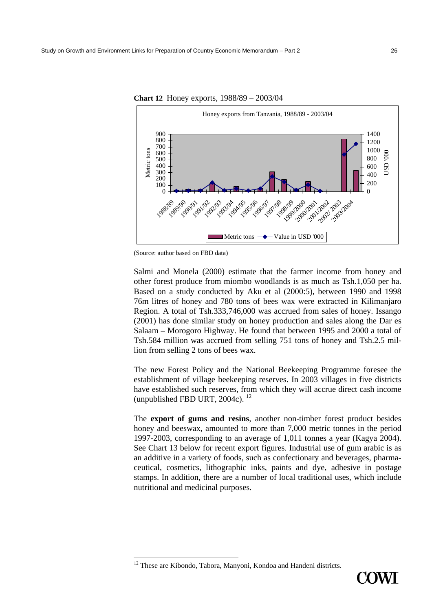

**Chart 12** Honey exports, 1988/89 – 2003/04

(Source: author based on FBD data)

Salmi and Monela (2000) estimate that the farmer income from honey and other forest produce from miombo woodlands is as much as Tsh.1,050 per ha. Based on a study conducted by Aku et al (2000:5), between 1990 and 1998 76m litres of honey and 780 tons of bees wax were extracted in Kilimanjaro Region. A total of Tsh.333,746,000 was accrued from sales of honey. Issango (2001) has done similar study on honey production and sales along the Dar es Salaam – Morogoro Highway. He found that between 1995 and 2000 a total of Tsh.584 million was accrued from selling 751 tons of honey and Tsh.2.5 million from selling 2 tons of bees wax.

The new Forest Policy and the National Beekeeping Programme foresee the establishment of village beekeeping reserves. In 2003 villages in five districts have established such reserves, from which they will accrue direct cash income (unpublished FBD URT, 2004c). 12

The **export of gums and resins**, another non-timber forest product besides honey and beeswax, amounted to more than 7,000 metric tonnes in the period 1997-2003, corresponding to an average of 1,011 tonnes a year (Kagya 2004). See Chart 13 below for recent export figures. Industrial use of gum arabic is as an additive in a variety of foods, such as confectionary and beverages, pharmaceutical, cosmetics, lithographic inks, paints and dye, adhesive in postage stamps. In addition, there are a number of local traditional uses, which include nutritional and medicinal purposes.



<sup>&</sup>lt;sup>12</sup> These are Kibondo, Tabora, Manyoni, Kondoa and Handeni districts.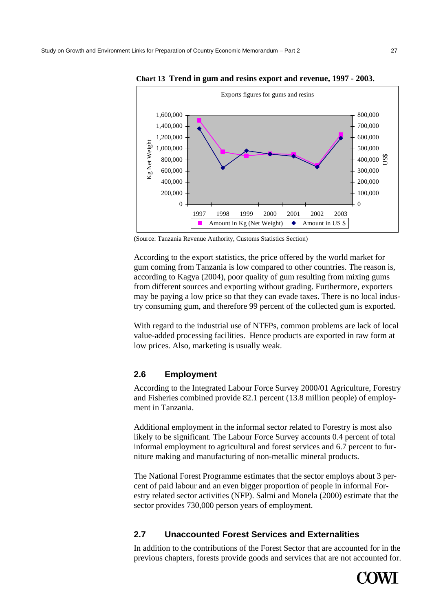

**Chart 13 Trend in gum and resins export and revenue, 1997 - 2003.** 

(Source: Tanzania Revenue Authority, Customs Statistics Section)

According to the export statistics, the price offered by the world market for gum coming from Tanzania is low compared to other countries. The reason is, according to Kagya (2004), poor quality of gum resulting from mixing gums from different sources and exporting without grading. Furthermore, exporters may be paying a low price so that they can evade taxes. There is no local industry consuming gum, and therefore 99 percent of the collected gum is exported.

With regard to the industrial use of NTFPs, common problems are lack of local value-added processing facilities. Hence products are exported in raw form at low prices. Also, marketing is usually weak.

# **2.6 Employment**

According to the Integrated Labour Force Survey 2000/01 Agriculture, Forestry and Fisheries combined provide 82.1 percent (13.8 million people) of employment in Tanzania.

Additional employment in the informal sector related to Forestry is most also likely to be significant. The Labour Force Survey accounts 0.4 percent of total informal employment to agricultural and forest services and 6.7 percent to furniture making and manufacturing of non-metallic mineral products.

The National Forest Programme estimates that the sector employs about 3 percent of paid labour and an even bigger proportion of people in informal Forestry related sector activities (NFP). Salmi and Monela (2000) estimate that the sector provides 730,000 person years of employment.

# **2.7 Unaccounted Forest Services and Externalities**

In addition to the contributions of the Forest Sector that are accounted for in the previous chapters, forests provide goods and services that are not accounted for.

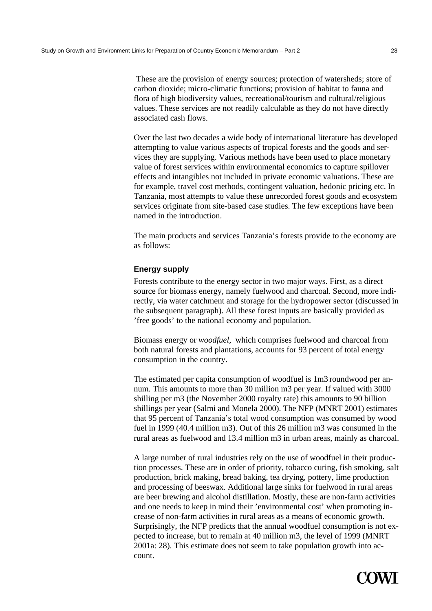These are the provision of energy sources; protection of watersheds; store of carbon dioxide; micro-climatic functions; provision of habitat to fauna and flora of high biodiversity values, recreational/tourism and cultural/religious values. These services are not readily calculable as they do not have directly associated cash flows.

Over the last two decades a wide body of international literature has developed attempting to value various aspects of tropical forests and the goods and services they are supplying. Various methods have been used to place monetary value of forest services within environmental economics to capture spillover effects and intangibles not included in private economic valuations. These are for example, travel cost methods, contingent valuation, hedonic pricing etc. In Tanzania, most attempts to value these unrecorded forest goods and ecosystem services originate from site-based case studies. The few exceptions have been named in the introduction.

The main products and services Tanzania's forests provide to the economy are as follows:

# **Energy supply**

Forests contribute to the energy sector in two major ways. First, as a direct source for biomass energy, namely fuelwood and charcoal. Second, more indirectly, via water catchment and storage for the hydropower sector (discussed in the subsequent paragraph). All these forest inputs are basically provided as 'free goods' to the national economy and population.

Biomass energy or *woodfuel,* which comprises fuelwood and charcoal from both natural forests and plantations, accounts for 93 percent of total energy consumption in the country.

The estimated per capita consumption of woodfuel is 1m3 roundwood per annum. This amounts to more than 30 million m3 per year. If valued with 3000 shilling per m3 (the November 2000 royalty rate) this amounts to 90 billion shillings per year (Salmi and Monela 2000). The NFP (MNRT 2001) estimates that 95 percent of Tanzania's total wood consumption was consumed by wood fuel in 1999 (40.4 million m3). Out of this 26 million m3 was consumed in the rural areas as fuelwood and 13.4 million m3 in urban areas, mainly as charcoal.

A large number of rural industries rely on the use of woodfuel in their production processes. These are in order of priority, tobacco curing, fish smoking, salt production, brick making, bread baking, tea drying, pottery, lime production and processing of beeswax. Additional large sinks for fuelwood in rural areas are beer brewing and alcohol distillation. Mostly, these are non-farm activities and one needs to keep in mind their 'environmental cost' when promoting increase of non-farm activities in rural areas as a means of economic growth. Surprisingly, the NFP predicts that the annual woodfuel consumption is not expected to increase, but to remain at 40 million m3, the level of 1999 (MNRT 2001a: 28). This estimate does not seem to take population growth into account.

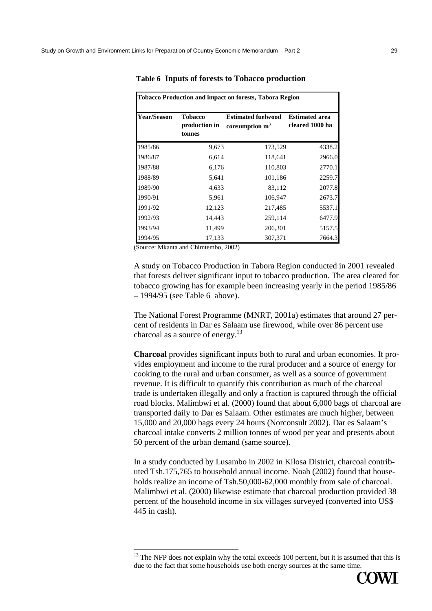| <b>Tobacco Production and impact on forests, Tabora Region</b> |                                           |                                               |                                          |  |  |  |  |
|----------------------------------------------------------------|-------------------------------------------|-----------------------------------------------|------------------------------------------|--|--|--|--|
| <b>Year/Season</b>                                             | <b>Tobacco</b><br>production in<br>tonnes | <b>Estimated fuelwood</b><br>consumption $m3$ | <b>Estimated area</b><br>cleared 1000 ha |  |  |  |  |
| 1985/86                                                        | 9,673                                     | 173,529                                       | 4338.2                                   |  |  |  |  |
| 1986/87                                                        | 6,614                                     | 118,641                                       | 2966.0                                   |  |  |  |  |
| 1987/88                                                        | 6,176                                     | 110,803                                       | 2770.1                                   |  |  |  |  |
| 1988/89                                                        | 5,641                                     | 101,186                                       | 2259.7                                   |  |  |  |  |
| 1989/90                                                        | 4,633                                     | 83,112                                        | 2077.8                                   |  |  |  |  |
| 1990/91                                                        | 5,961                                     | 106,947                                       | 2673.7                                   |  |  |  |  |
| 1991/92                                                        | 12,123                                    | 217,485                                       | 5537.1                                   |  |  |  |  |
| 1992/93                                                        | 14,443                                    | 259,114                                       | 6477.9                                   |  |  |  |  |
| 1993/94                                                        | 11,499                                    | 206,301                                       | 5157.5                                   |  |  |  |  |
| 1994/95                                                        | 17,133                                    | 307,371                                       | 7664.3                                   |  |  |  |  |

**Table 6 Inputs of forests to Tobacco production** 

(Source: Mkanta and Chimtembo, 2002)

A study on Tobacco Production in Tabora Region conducted in 2001 revealed that forests deliver significant input to tobacco production. The area cleared for tobacco growing has for example been increasing yearly in the period 1985/86 – 1994/95 (see Table 6 above).

The National Forest Programme (MNRT, 2001a) estimates that around 27 percent of residents in Dar es Salaam use firewood, while over 86 percent use charcoal as a source of energy.<sup>13</sup>

**Charcoal** provides significant inputs both to rural and urban economies. It provides employment and income to the rural producer and a source of energy for cooking to the rural and urban consumer, as well as a source of government revenue. It is difficult to quantify this contribution as much of the charcoal trade is undertaken illegally and only a fraction is captured through the official road blocks. Malimbwi et al. (2000) found that about 6,000 bags of charcoal are transported daily to Dar es Salaam. Other estimates are much higher, between 15,000 and 20,000 bags every 24 hours (Norconsult 2002). Dar es Salaam's charcoal intake converts 2 million tonnes of wood per year and presents about 50 percent of the urban demand (same source).

In a study conducted by Lusambo in 2002 in Kilosa District, charcoal contributed Tsh.175,765 to household annual income. Noah (2002) found that households realize an income of Tsh.50,000-62,000 monthly from sale of charcoal. Malimbwi et al. (2000) likewise estimate that charcoal production provided 38 percent of the household income in six villages surveyed (converted into US\$ 445 in cash).





 $13$  The NFP does not explain why the total exceeds 100 percent, but it is assumed that this is due to the fact that some households use both energy sources at the same time.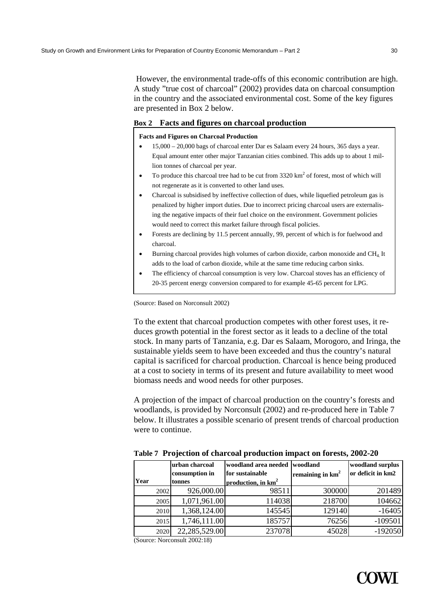However, the environmental trade-offs of this economic contribution are high. A study "true cost of charcoal" (2002) provides data on charcoal consumption in the country and the associated environmental cost. Some of the key figures are presented in Box 2 below.

# **Box 2 Facts and figures on charcoal production**

#### **Facts and Figures on Charcoal Production**

- 15,000 20,000 bags of charcoal enter Dar es Salaam every 24 hours, 365 days a year. Equal amount enter other major Tanzanian cities combined. This adds up to about 1 million tonnes of charcoal per year.
- To produce this charcoal tree had to be cut from  $3320 \text{ km}^2$  of forest, most of which will not regenerate as it is converted to other land uses.
- Charcoal is subsidised by ineffective collection of dues, while liquefied petroleum gas is penalized by higher import duties. Due to incorrect pricing charcoal users are externalising the negative impacts of their fuel choice on the environment. Government policies would need to correct this market failure through fiscal policies.
- Forests are declining by 11.5 percent annually, 99, percent of which is for fuelwood and charcoal.
- Burning charcoal provides high volumes of carbon dioxide, carbon monoxide and CH4. It adds to the load of carbon dioxide, while at the same time reducing carbon sinks.
- The efficiency of charcoal consumption is very low. Charcoal stoves has an efficiency of 20-35 percent energy conversion compared to for example 45-65 percent for LPG.

(Source: Based on Norconsult 2002)

To the extent that charcoal production competes with other forest uses, it reduces growth potential in the forest sector as it leads to a decline of the total stock. In many parts of Tanzania, e.g. Dar es Salaam, Morogoro, and Iringa, the sustainable yields seem to have been exceeded and thus the country's natural capital is sacrificed for charcoal production. Charcoal is hence being produced at a cost to society in terms of its present and future availability to meet wood biomass needs and wood needs for other purposes.

A projection of the impact of charcoal production on the country's forests and woodlands, is provided by Norconsult (2002) and re-produced here in Table 7 below. It illustrates a possible scenario of present trends of charcoal production were to continue.

| Year |      | lurban charcoal<br>consumption in<br><b>Itonnes</b> | woodland area needed<br>for sustainable<br>production, in km <sup>2</sup> | woodland<br>remaining in $km2$ | woodland surplus<br>or deficit in km2 |
|------|------|-----------------------------------------------------|---------------------------------------------------------------------------|--------------------------------|---------------------------------------|
|      | 2002 | 926,000.00                                          | 98511                                                                     | 300000                         | 201489                                |
|      | 2005 | 1,071,961.00                                        | 114038                                                                    | 218700                         | 104662                                |
|      | 2010 | 1,368,124.00                                        | 145545                                                                    | 129140                         | $-16405$                              |
|      | 2015 | 1,746,111.00                                        | 185757                                                                    | 76256                          | $-109501$                             |
|      | 2020 | 22,285,529.00                                       | 237078                                                                    | 45028                          | $-192050$                             |

**Table 7 Projection of charcoal production impact on forests, 2002-20** 

(Source: Norconsult 2002:18)

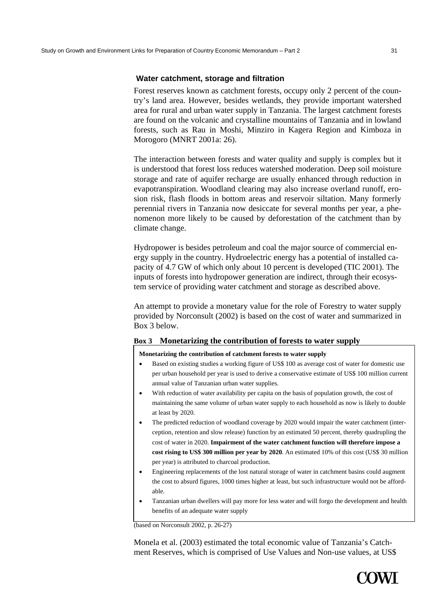## **Water catchment, storage and filtration**

Forest reserves known as catchment forests, occupy only 2 percent of the country's land area. However, besides wetlands, they provide important watershed area for rural and urban water supply in Tanzania. The largest catchment forests are found on the volcanic and crystalline mountains of Tanzania and in lowland forests, such as Rau in Moshi, Minziro in Kagera Region and Kimboza in Morogoro (MNRT 2001a: 26).

The interaction between forests and water quality and supply is complex but it is understood that forest loss reduces watershed moderation. Deep soil moisture storage and rate of aquifer recharge are usually enhanced through reduction in evapotranspiration. Woodland clearing may also increase overland runoff, erosion risk, flash floods in bottom areas and reservoir siltation. Many formerly perennial rivers in Tanzania now desiccate for several months per year, a phenomenon more likely to be caused by deforestation of the catchment than by climate change.

Hydropower is besides petroleum and coal the major source of commercial energy supply in the country. Hydroelectric energy has a potential of installed capacity of 4.7 GW of which only about 10 percent is developed (TIC 2001). The inputs of forests into hydropower generation are indirect, through their ecosystem service of providing water catchment and storage as described above.

An attempt to provide a monetary value for the role of Forestry to water supply provided by Norconsult (2002) is based on the cost of water and summarized in Box 3 below.

# **Box 3 Monetarizing the contribution of forests to water supply**

**Monetarizing the contribution of catchment forests to water supply** 

- Based on existing studies a working figure of US\$ 100 as average cost of water for domestic use per urban household per year is used to derive a conservative estimate of US\$ 100 million current annual value of Tanzanian urban water supplies.
- With reduction of water availability per capita on the basis of population growth, the cost of maintaining the same volume of urban water supply to each household as now is likely to double at least by 2020.
- The predicted reduction of woodland coverage by 2020 would impair the water catchment (interception, retention and slow release) function by an estimated 50 percent, thereby quadrupling the cost of water in 2020. **Impairment of the water catchment function will therefore impose a cost rising to US\$ 300 million per year by 2020**. An estimated 10% of this cost (US\$ 30 million per year) is attributed to charcoal production.
- Engineering replacements of the lost natural storage of water in catchment basins could augment the cost to absurd figures, 1000 times higher at least, but such infrastructure would not be affordable.
- Tanzanian urban dwellers will pay more for less water and will forgo the development and health benefits of an adequate water supply

(based on Norconsult 2002, p. 26-27)

Monela et al. (2003) estimated the total economic value of Tanzania's Catchment Reserves, which is comprised of Use Values and Non-use values, at US\$

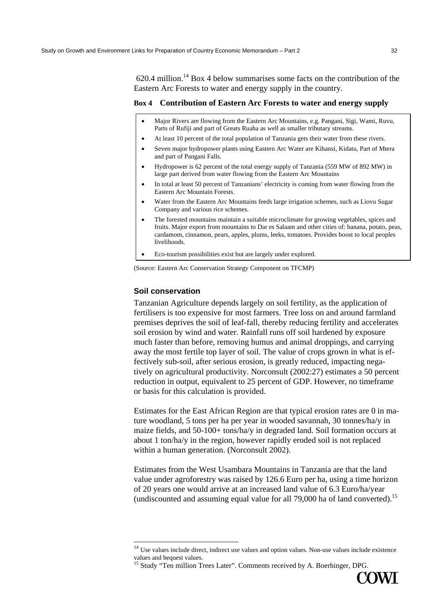$620.4$  million.<sup>14</sup> Box 4 below summarises some facts on the contribution of the Eastern Arc Forests to water and energy supply in the country.

# **Box 4 Contribution of Eastern Arc Forests to water and energy supply**

- Major Rivers are flowing from the Eastern Arc Mountains, e.g. Pangani, Sigi, Wami, Ruvu, Parts of Rufiji and part of Greats Ruaha as well as smaller tributary streams.
- At least 10 percent of the total population of Tanzania gets their water from these rivers.
- Seven major hydropower plants using Eastern Arc Water are Kihansi, Kidatu, Part of Mtera and part of Pangani Falls.
- Hydropower is 62 percent of the total energy supply of Tanzania (559 MW of 892 MW) in large part derived from water flowing from the Eastern Arc Mountains
- In total at least 50 percent of Tanzanians' electricity is coming from water flowing from the Eastern Arc Mountain Forests.
- Water from the Eastern Arc Mountains feeds large irrigation schemes, such as Liovu Sugar Company and various rice schemes.
- The forested mountains maintain a suitable microclimate for growing vegetables, spices and fruits. Major export from mountains to Dar es Salaam and other cities of: banana, potato, peas, cardamom, cinnamon, pears, apples, plums, leeks, tomatoes. Provides boost to local peoples livelihoods.
- Eco-tourism possibilities exist but are largely under explored.

(Source: Eastern Arc Conservation Strategy Component on TFCMP)

# **Soil conservation**

 $\overline{a}$ 

Tanzanian Agriculture depends largely on soil fertility, as the application of fertilisers is too expensive for most farmers. Tree loss on and around farmland premises deprives the soil of leaf-fall, thereby reducing fertility and accelerates soil erosion by wind and water. Rainfall runs off soil hardened by exposure much faster than before, removing humus and animal droppings, and carrying away the most fertile top layer of soil. The value of crops grown in what is effectively sub-soil, after serious erosion, is greatly reduced, impacting negatively on agricultural productivity. Norconsult (2002:27) estimates a 50 percent reduction in output, equivalent to 25 percent of GDP. However, no timeframe or basis for this calculation is provided.

Estimates for the East African Region are that typical erosion rates are 0 in mature woodland, 5 tons per ha per year in wooded savannah, 30 tonnes/ha/y in maize fields, and 50-100+ tons/ha/y in degraded land. Soil formation occurs at about 1 ton/ha/y in the region, however rapidly eroded soil is not replaced within a human generation. (Norconsult 2002).

Estimates from the West Usambara Mountains in Tanzania are that the land value under agroforestry was raised by 126.6 Euro per ha, using a time horizon of 20 years one would arrive at an increased land value of 6.3 Euro/ha/year (undiscounted and assuming equal value for all 79,000 ha of land converted).15

<sup>&</sup>lt;sup>15</sup> Study "Ten million Trees Later". Comments received by A. Boerhinger, DPG.



 $14$  Use values include direct, indirect use values and option values. Non-use values include existence values and bequest values.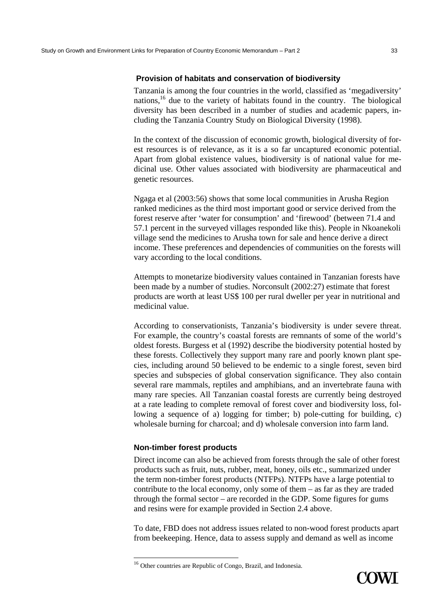# **Provision of habitats and conservation of biodiversity**

Tanzania is among the four countries in the world, classified as 'megadiversity' nations,<sup>16</sup> due to the variety of habitats found in the country. The biological diversity has been described in a number of studies and academic papers, including the Tanzania Country Study on Biological Diversity (1998).

In the context of the discussion of economic growth, biological diversity of forest resources is of relevance, as it is a so far uncaptured economic potential. Apart from global existence values, biodiversity is of national value for medicinal use. Other values associated with biodiversity are pharmaceutical and genetic resources.

Ngaga et al (2003:56) shows that some local communities in Arusha Region ranked medicines as the third most important good or service derived from the forest reserve after 'water for consumption' and 'firewood' (between 71.4 and 57.1 percent in the surveyed villages responded like this). People in Nkoanekoli village send the medicines to Arusha town for sale and hence derive a direct income. These preferences and dependencies of communities on the forests will vary according to the local conditions.

Attempts to monetarize biodiversity values contained in Tanzanian forests have been made by a number of studies. Norconsult (2002:27) estimate that forest products are worth at least US\$ 100 per rural dweller per year in nutritional and medicinal value.

According to conservationists, Tanzania's biodiversity is under severe threat. For example, the country's coastal forests are remnants of some of the world's oldest forests. Burgess et al (1992) describe the biodiversity potential hosted by these forests. Collectively they support many rare and poorly known plant species, including around 50 believed to be endemic to a single forest, seven bird species and subspecies of global conservation significance. They also contain several rare mammals, reptiles and amphibians, and an invertebrate fauna with many rare species. All Tanzanian coastal forests are currently being destroyed at a rate leading to complete removal of forest cover and biodiversity loss, following a sequence of a) logging for timber; b) pole-cutting for building, c) wholesale burning for charcoal; and d) wholesale conversion into farm land.

## **Non-timber forest products**

Direct income can also be achieved from forests through the sale of other forest products such as fruit, nuts, rubber, meat, honey, oils etc., summarized under the term non-timber forest products (NTFPs). NTFPs have a large potential to contribute to the local economy, only some of them – as far as they are traded through the formal sector – are recorded in the GDP. Some figures for gums and resins were for example provided in Section 2.4 above.

To date, FBD does not address issues related to non-wood forest products apart from beekeeping. Hence, data to assess supply and demand as well as income



<sup>&</sup>lt;sup>16</sup> Other countries are Republic of Congo, Brazil, and Indonesia.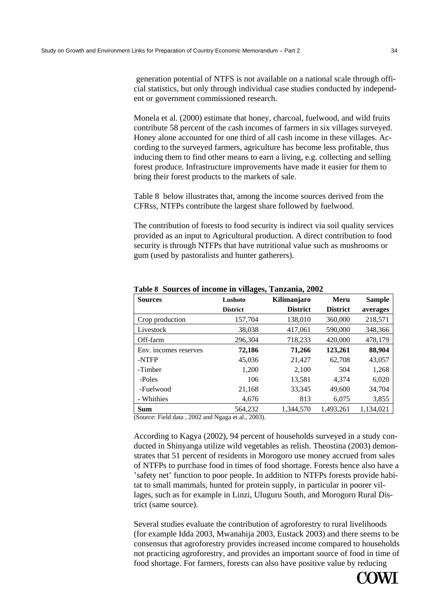generation potential of NTFS is not available on a national scale through official statistics, but only through individual case studies conducted by independent or government commissioned research.

Monela et al. (2000) estimate that honey, charcoal, fuelwood, and wild fruits contribute 58 percent of the cash incomes of farmers in six villages surveyed. Honey alone accounted for one third of all cash income in these villages. According to the surveyed farmers, agriculture has become less profitable, thus inducing them to find other means to earn a living, e.g. collecting and selling forest produce. Infrastructure improvements have made it easier for them to bring their forest products to the markets of sale.

Table 8 below illustrates that, among the income sources derived from the CFRss, NTFPs contribute the largest share followed by fuelwood.

The contribution of forests to food security is indirect via soil quality services provided as an input to Agricultural production. A direct contribution to food security is through NTFPs that have nutritional value such as mushrooms or gum (used by pastoralists and hunter gatherers).

| <b>Sources</b>        | Lushoto         | Kilimanjaro     | Meru            | <b>Sample</b> |
|-----------------------|-----------------|-----------------|-----------------|---------------|
|                       | <b>District</b> | <b>District</b> | <b>District</b> | averages      |
| Crop production       | 157,704         | 138,010         | 360,000         | 218,571       |
| Livestock             | 38,038          | 417,061         | 590,000         | 348,366       |
| Off-farm              | 296,304         | 718,233         | 420,000         | 478,179       |
| Env. incomes reserves | 72,186          | 71,266          | 123,261         | 88,904        |
| -NTFP                 | 45,036          | 21,427          | 62,708          | 43,057        |
| -Timber               | 1,200           | 2,100           | 504             | 1,268         |
| -Poles                | 106             | 13,581          | 4,374           | 6,020         |
| -Fuelwood             | 21,168          | 33,345          | 49,600          | 34,704        |
| - Whithies            | 4,676           | 813             | 6,075           | 3,855         |
| <b>Sum</b>            | 564,232         | 1.344.570       | 1.493.261       | 1.134.021     |

**Table 8 Sources of income in villages, Tanzania, 2002** 

(Source: Field data , 2002 and Ngaga et al., 2003).

According to Kagya (2002), 94 percent of households surveyed in a study conducted in Shinyanga utilize wild vegetables as relish. Theostina (2003) demonstrates that 51 percent of residents in Morogoro use money accrued from sales of NTFPs to purchase food in times of food shortage. Forests hence also have a 'safety net' function to poor people. In addition to NTFPs forests provide habitat to small mammals, hunted for protein supply, in particular in poorer villages, such as for example in Linzi, Uluguru South, and Morogoro Rural District (same source).

Several studies evaluate the contribution of agroforestry to rural livelihoods (for example Idda 2003, Mwanahija 2003, Eustack 2003) and there seems to be consensus that agroforestry provides increased income compared to households not practicing agroforestry, and provides an important source of food in time of food shortage. For farmers, forests can also have positive value by reducing

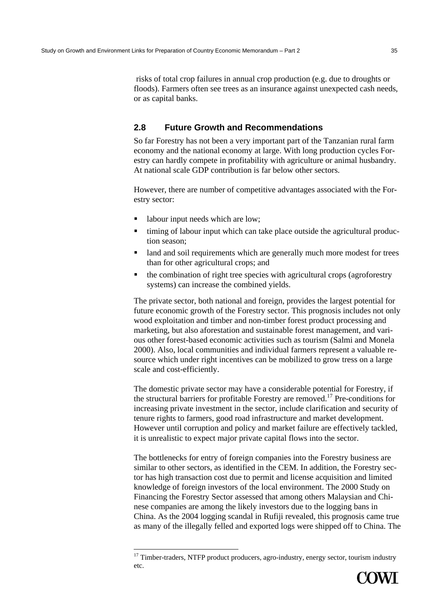risks of total crop failures in annual crop production (e.g. due to droughts or floods). Farmers often see trees as an insurance against unexpected cash needs, or as capital banks.

# **2.8 Future Growth and Recommendations**

So far Forestry has not been a very important part of the Tanzanian rural farm economy and the national economy at large. With long production cycles Forestry can hardly compete in profitability with agriculture or animal husbandry. At national scale GDP contribution is far below other sectors.

However, there are number of competitive advantages associated with the Forestry sector:

labour input needs which are low;

- timing of labour input which can take place outside the agricultural production season;
- land and soil requirements which are generally much more modest for trees than for other agricultural crops; and
- the combination of right tree species with agricultural crops (agroforestry systems) can increase the combined yields.

The private sector, both national and foreign, provides the largest potential for future economic growth of the Forestry sector. This prognosis includes not only wood exploitation and timber and non-timber forest product processing and marketing, but also aforestation and sustainable forest management, and various other forest-based economic activities such as tourism (Salmi and Monela 2000). Also, local communities and individual farmers represent a valuable resource which under right incentives can be mobilized to grow tress on a large scale and cost-efficiently.

The domestic private sector may have a considerable potential for Forestry, if the structural barriers for profitable Forestry are removed.<sup>17</sup> Pre-conditions for increasing private investment in the sector, include clarification and security of tenure rights to farmers, good road infrastructure and market development. However until corruption and policy and market failure are effectively tackled, it is unrealistic to expect major private capital flows into the sector.

The bottlenecks for entry of foreign companies into the Forestry business are similar to other sectors, as identified in the CEM. In addition, the Forestry sector has high transaction cost due to permit and license acquisition and limited knowledge of foreign investors of the local environment. The 2000 Study on Financing the Forestry Sector assessed that among others Malaysian and Chinese companies are among the likely investors due to the logging bans in China. As the 2004 logging scandal in Rufiji revealed, this prognosis came true as many of the illegally felled and exported logs were shipped off to China. The

 $17$  Timber-traders, NTFP product producers, agro-industry, energy sector, tourism industry etc.

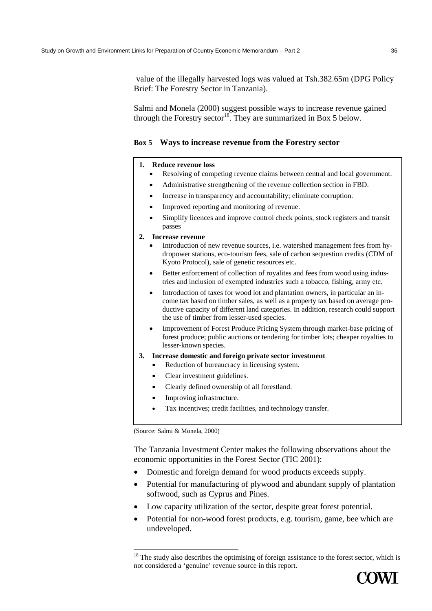value of the illegally harvested logs was valued at Tsh.382.65m (DPG Policy Brief: The Forestry Sector in Tanzania).

Salmi and Monela (2000) suggest possible ways to increase revenue gained through the Forestry sector<sup>18</sup>. They are summarized in Box 5 below.

# **Box 5 Ways to increase revenue from the Forestry sector**

#### **1. Reduce revenue loss**

- Resolving of competing revenue claims between central and local government.
- Administrative strengthening of the revenue collection section in FBD.
- Increase in transparency and accountability; eliminate corruption.
- Improved reporting and monitoring of revenue.
- Simplify licences and improve control check points, stock registers and transit passes

#### **2. Increase revenue**

- Introduction of new revenue sources, i.e. watershed management fees from hydropower stations, eco-tourism fees, sale of carbon sequestion credits (CDM of Kyoto Protocol), sale of genetic resources etc.
- Better enforcement of collection of royalites and fees from wood using industries and inclusion of exempted industries such a tobacco, fishing, army etc.
- Introduction of taxes for wood lot and plantation owners, in particular an income tax based on timber sales, as well as a property tax based on average productive capacity of different land categories. In addition, research could support the use of timber from lesser-used species.
- Improvement of Forest Produce Pricing System through market-base pricing of forest produce; public auctions or tendering for timber lots; cheaper royalties to lesser-known species.
- **3. Increase domestic and foreign private sector investment** 
	- Reduction of bureaucracy in licensing system.
		- Clear investment guidelines.
		- Clearly defined ownership of all forestland.
		- Improving infrastructure.
		- Tax incentives; credit facilities, and technology transfer.

(Source: Salmi & Monela, 2000)

The Tanzania Investment Center makes the following observations about the economic opportunities in the Forest Sector (TIC 2001):

- Domestic and foreign demand for wood products exceeds supply.
- Potential for manufacturing of plywood and abundant supply of plantation softwood, such as Cyprus and Pines.
- Low capacity utilization of the sector, despite great forest potential.
- Potential for non-wood forest products, e.g. tourism, game, bee which are undeveloped.

<sup>&</sup>lt;sup>18</sup> The study also describes the optimising of foreign assistance to the forest sector, which is not considered a 'genuine' revenue source in this report.

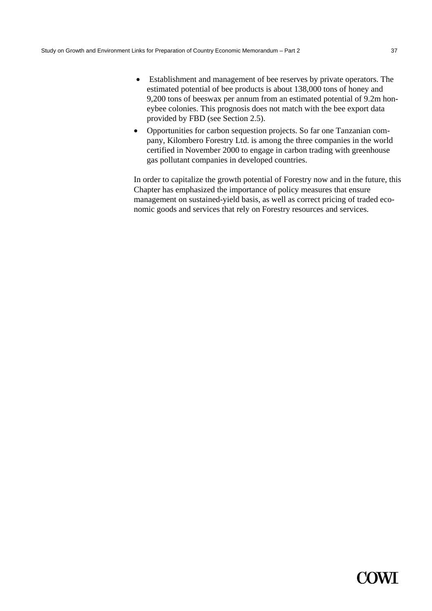- Establishment and management of bee reserves by private operators. The estimated potential of bee products is about 138,000 tons of honey and 9,200 tons of beeswax per annum from an estimated potential of 9.2m honeybee colonies. This prognosis does not match with the bee export data provided by FBD (see Section 2.5).
- Opportunities for carbon sequestion projects. So far one Tanzanian company, Kilombero Forestry Ltd. is among the three companies in the world certified in November 2000 to engage in carbon trading with greenhouse gas pollutant companies in developed countries.

In order to capitalize the growth potential of Forestry now and in the future, this Chapter has emphasized the importance of policy measures that ensure management on sustained-yield basis, as well as correct pricing of traded economic goods and services that rely on Forestry resources and services.

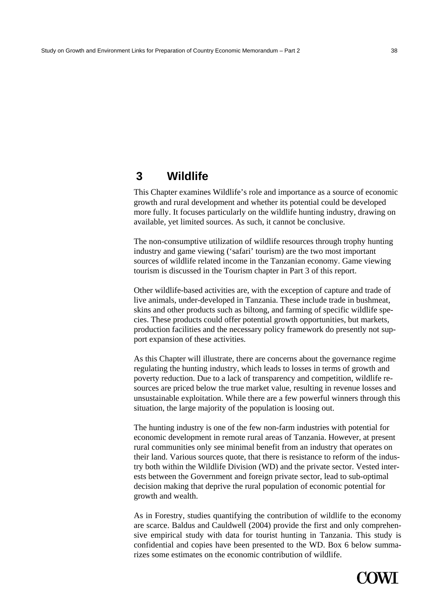# **3 Wildlife**

This Chapter examines Wildlife's role and importance as a source of economic growth and rural development and whether its potential could be developed more fully. It focuses particularly on the wildlife hunting industry, drawing on available, yet limited sources. As such, it cannot be conclusive.

The non-consumptive utilization of wildlife resources through trophy hunting industry and game viewing ('safari' tourism) are the two most important sources of wildlife related income in the Tanzanian economy. Game viewing tourism is discussed in the Tourism chapter in Part 3 of this report.

Other wildlife-based activities are, with the exception of capture and trade of live animals, under-developed in Tanzania. These include trade in bushmeat, skins and other products such as biltong, and farming of specific wildlife species. These products could offer potential growth opportunities, but markets, production facilities and the necessary policy framework do presently not support expansion of these activities.

As this Chapter will illustrate, there are concerns about the governance regime regulating the hunting industry, which leads to losses in terms of growth and poverty reduction. Due to a lack of transparency and competition, wildlife resources are priced below the true market value, resulting in revenue losses and unsustainable exploitation. While there are a few powerful winners through this situation, the large majority of the population is loosing out.

The hunting industry is one of the few non-farm industries with potential for economic development in remote rural areas of Tanzania. However, at present rural communities only see minimal benefit from an industry that operates on their land. Various sources quote, that there is resistance to reform of the industry both within the Wildlife Division (WD) and the private sector. Vested interests between the Government and foreign private sector, lead to sub-optimal decision making that deprive the rural population of economic potential for growth and wealth.

As in Forestry, studies quantifying the contribution of wildlife to the economy are scarce. Baldus and Cauldwell (2004) provide the first and only comprehensive empirical study with data for tourist hunting in Tanzania. This study is confidential and copies have been presented to the WD. Box 6 below summarizes some estimates on the economic contribution of wildlife.

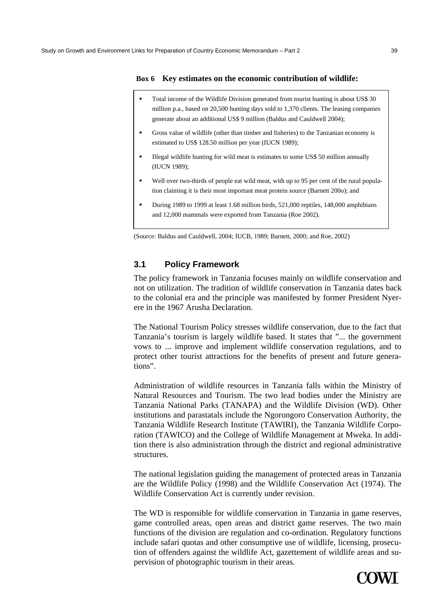#### **Box 6 Key estimates on the economic contribution of wildlife:**

- Total income of the Wildlife Division generated from tourist hunting is about US\$ 30 million p.a., based on 20,500 hunting days sold to 1,370 clients. The leasing companies generate about an additional US\$ 9 million (Baldus and Cauldwell 2004);
- Gross value of wildlife (other than timber and fisheries) to the Tanzanian economy is estimated to US\$ 128.50 million per year (IUCN 1989);
- Illegal wildlife hunting for wild meat is estimates to some US\$ 50 million annually (IUCN 1989);
- Well over two-thirds of people eat wild meat, with up to 95 per cent of the rural population claiming it is their most important meat protein source (Barnett 200o); and
- During 1989 to 1999 at least 1.68 million birds, 521,000 reptiles, 148,000 amphibians and 12,000 mammals were exported from Tanzania (Roe 2002).

(Source: Baldus and Cauldwell, 2004; IUCB, 1989; Barnett, 2000; and Roe, 2002)

#### **3.1 Policy Framework**

The policy framework in Tanzania focuses mainly on wildlife conservation and not on utilization. The tradition of wildlife conservation in Tanzania dates back to the colonial era and the principle was manifested by former President Nyerere in the 1967 Arusha Declaration.

The National Tourism Policy stresses wildlife conservation, due to the fact that Tanzania's tourism is largely wildlife based. It states that "... the government vows to ... improve and implement wildlife conservation regulations, and to protect other tourist attractions for the benefits of present and future generations".

Administration of wildlife resources in Tanzania falls within the Ministry of Natural Resources and Tourism. The two lead bodies under the Ministry are Tanzania National Parks (TANAPA) and the Wildlife Division (WD). Other institutions and parastatals include the Ngorongoro Conservation Authority, the Tanzania Wildlife Research Institute (TAWIRI), the Tanzania Wildlife Corporation (TAWICO) and the College of Wildlife Management at Mweka. In addition there is also administration through the district and regional administrative structures.

The national legislation guiding the management of protected areas in Tanzania are the Wildlife Policy (1998) and the Wildlife Conservation Act (1974). The Wildlife Conservation Act is currently under revision.

The WD is responsible for wildlife conservation in Tanzania in game reserves, game controlled areas, open areas and district game reserves. The two main functions of the division are regulation and co-ordination. Regulatory functions include safari quotas and other consumptive use of wildlife, licensing, prosecution of offenders against the wildlife Act, gazettement of wildlife areas and supervision of photographic tourism in their areas.

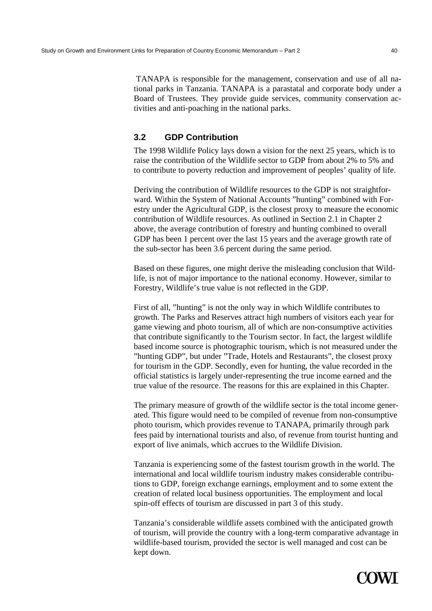TANAPA is responsible for the management, conservation and use of all national parks in Tanzania. TANAPA is a parastatal and corporate body under a Board of Trustees. They provide guide services, community conservation activities and anti-poaching in the national parks.

# **3.2 GDP Contribution**

The 1998 Wildlife Policy lays down a vision for the next 25 years, which is to raise the contribution of the Wildlife sector to GDP from about 2% to 5% and to contribute to poverty reduction and improvement of peoples' quality of life.

Deriving the contribution of Wildlife resources to the GDP is not straightforward. Within the System of National Accounts "hunting" combined with Forestry under the Agricultural GDP, is the closest proxy to measure the economic contribution of Wildlife resources. As outlined in Section 2.1 in Chapter 2 above, the average contribution of forestry and hunting combined to overall GDP has been 1 percent over the last 15 years and the average growth rate of the sub-sector has been 3.6 percent during the same period.

Based on these figures, one might derive the misleading conclusion that Wildlife, is not of major importance to the national economy. However, similar to Forestry, Wildlife's true value is not reflected in the GDP.

First of all, "hunting" is not the only way in which Wildlife contributes to growth. The Parks and Reserves attract high numbers of visitors each year for game viewing and photo tourism, all of which are non-consumptive activities that contribute significantly to the Tourism sector. In fact, the largest wildlife based income source is photographic tourism, which is not measured under the "hunting GDP", but under "Trade, Hotels and Restaurants", the closest proxy for tourism in the GDP. Secondly, even for hunting, the value recorded in the official statistics is largely under-representing the true income earned and the true value of the resource. The reasons for this are explained in this Chapter.

The primary measure of growth of the wildlife sector is the total income generated. This figure would need to be compiled of revenue from non-consumptive photo tourism, which provides revenue to TANAPA, primarily through park fees paid by international tourists and also, of revenue from tourist hunting and export of live animals, which accrues to the Wildlife Division.

Tanzania is experiencing some of the fastest tourism growth in the world. The international and local wildlife tourism industry makes considerable contributions to GDP, foreign exchange earnings, employment and to some extent the creation of related local business opportunities. The employment and local spin-off effects of tourism are discussed in part 3 of this study.

Tanzania's considerable wildlife assets combined with the anticipated growth of tourism, will provide the country with a long-term comparative advantage in wildlife-based tourism, provided the sector is well managed and cost can be kept down.

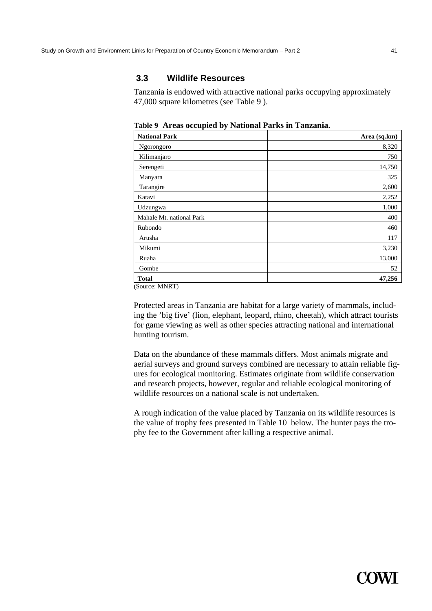## **3.3 Wildlife Resources**

Tanzania is endowed with attractive national parks occupying approximately 47,000 square kilometres (see Table 9 ).

**Table 9 Areas occupied by National Parks in Tanzania.** 

| <b>National Park</b>     | Area (sq.km) |
|--------------------------|--------------|
| Ngorongoro               | 8,320        |
| Kilimanjaro              | 750          |
| Serengeti                | 14,750       |
| Manyara                  | 325          |
| Tarangire                | 2,600        |
| Katavi                   | 2,252        |
| Udzungwa                 | 1,000        |
| Mahale Mt. national Park | 400          |
| Rubondo                  | 460          |
| Arusha                   | 117          |
| Mikumi                   | 3,230        |
| Ruaha                    | 13,000       |
| Gombe                    | 52           |
| <b>Total</b>             | 47,256       |

(Source: MNRT)

Protected areas in Tanzania are habitat for a large variety of mammals, including the 'big five' (lion, elephant, leopard, rhino, cheetah), which attract tourists for game viewing as well as other species attracting national and international hunting tourism.

Data on the abundance of these mammals differs. Most animals migrate and aerial surveys and ground surveys combined are necessary to attain reliable figures for ecological monitoring. Estimates originate from wildlife conservation and research projects, however, regular and reliable ecological monitoring of wildlife resources on a national scale is not undertaken.

A rough indication of the value placed by Tanzania on its wildlife resources is the value of trophy fees presented in Table 10 below. The hunter pays the trophy fee to the Government after killing a respective animal.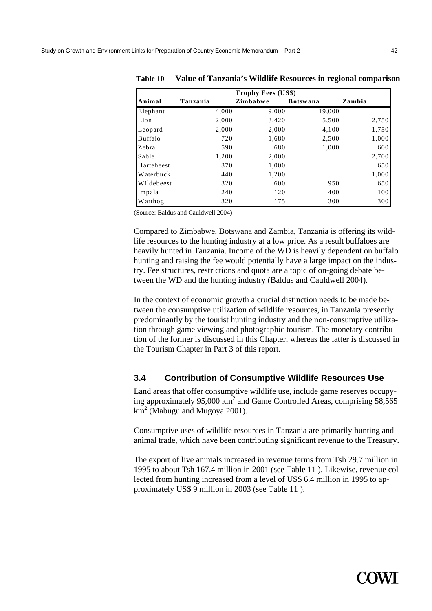| <b>Trophy Fees (US\$)</b> |          |          |                 |        |  |
|---------------------------|----------|----------|-----------------|--------|--|
| Animal                    | Tanzania | Zimbabwe | <b>Botswana</b> | Zambia |  |
| Elephant                  | 4,000    | 9,000    | 19,000          |        |  |
| Lion                      | 2,000    | 3,420    | 5,500           | 2,750  |  |
| Leopard                   | 2,000    | 2,000    | 4,100           | 1,750  |  |
| Buffalo                   | 720      | 1,680    | 2,500           | 1,000  |  |
| Zebra                     | 590      | 680      | 1,000           | 600    |  |
| Sable                     | 1,200    | 2,000    |                 | 2,700  |  |
| Hartebeest                | 370      | 1,000    |                 | 650    |  |
| <b>Waterbuck</b>          | 440      | 1,200    |                 | 1,000  |  |
| Wildebeest                | 320      | 600      | 950             | 650    |  |
| Impala                    | 240      | 120      | 400             | 100    |  |
| Warthog                   | 320      | 175      | 300             | 300    |  |

**Table 10 Value of Tanzania's Wildlife Resources in regional comparison** 

(Source: Baldus and Cauldwell 2004)

Compared to Zimbabwe, Botswana and Zambia, Tanzania is offering its wildlife resources to the hunting industry at a low price. As a result buffaloes are heavily hunted in Tanzania. Income of the WD is heavily dependent on buffalo hunting and raising the fee would potentially have a large impact on the industry. Fee structures, restrictions and quota are a topic of on-going debate between the WD and the hunting industry (Baldus and Cauldwell 2004).

In the context of economic growth a crucial distinction needs to be made between the consumptive utilization of wildlife resources, in Tanzania presently predominantly by the tourist hunting industry and the non-consumptive utilization through game viewing and photographic tourism. The monetary contribution of the former is discussed in this Chapter, whereas the latter is discussed in the Tourism Chapter in Part 3 of this report.

### **3.4 Contribution of Consumptive Wildlife Resources Use**

Land areas that offer consumptive wildlife use, include game reserves occupying approximately 95,000  $\text{km}^2$  and Game Controlled Areas, comprising 58,565  $km^2$  (Mabugu and Mugoya 2001).

Consumptive uses of wildlife resources in Tanzania are primarily hunting and animal trade, which have been contributing significant revenue to the Treasury.

The export of live animals increased in revenue terms from Tsh 29.7 million in 1995 to about Tsh 167.4 million in 2001 (see Table 11 ). Likewise, revenue collected from hunting increased from a level of US\$ 6.4 million in 1995 to approximately US\$ 9 million in 2003 (see Table 11 ).

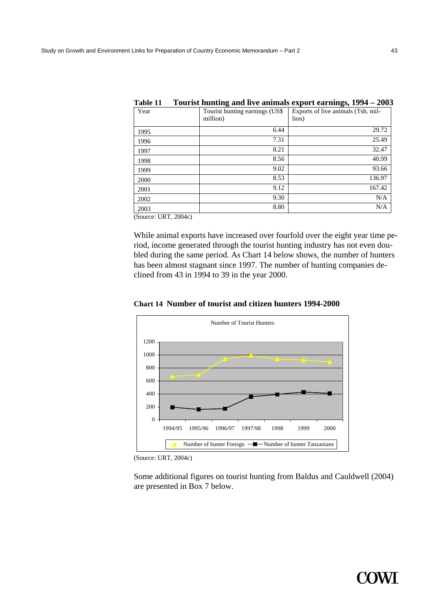| Table 11 |                                | Tourist nunting and live animals export earnings, 1994 – 2005 |
|----------|--------------------------------|---------------------------------------------------------------|
| Year     | Tourist hunting earnings (US\$ | Exports of live animals (Tsh. mil-                            |
|          | million)                       | lion)                                                         |
| 1995     |                                | 29.72<br>6.44                                                 |
| 1996     |                                | 25.49<br>7.31                                                 |
| 1997     |                                | 32.47<br>8.21                                                 |
| 1998     |                                | 40.99<br>8.56                                                 |
| 1999     |                                | 9.02<br>93.66                                                 |
| 2000     |                                | 8.53<br>136.97                                                |
| 2001     |                                | 9.12<br>167.42                                                |
| 2002     |                                | 9.30<br>N/A                                                   |
| 2003     |                                | 8.80<br>N/A                                                   |
|          |                                |                                                               |

| Table 11 |  |  | Tourist hunting and live animals export earnings, 1994 – 2003 |  |
|----------|--|--|---------------------------------------------------------------|--|
|----------|--|--|---------------------------------------------------------------|--|

(Source: URT, 2004c)

While animal exports have increased over fourfold over the eight year time period, income generated through the tourist hunting industry has not even doubled during the same period. As Chart 14 below shows, the number of hunters has been almost stagnant since 1997. The number of hunting companies declined from 43 in 1994 to 39 in the year 2000.



**Chart 14 Number of tourist and citizen hunters 1994-2000** 

(Source: URT, 2004c)

Some additional figures on tourist hunting from Baldus and Cauldwell (2004) are presented in Box 7 below.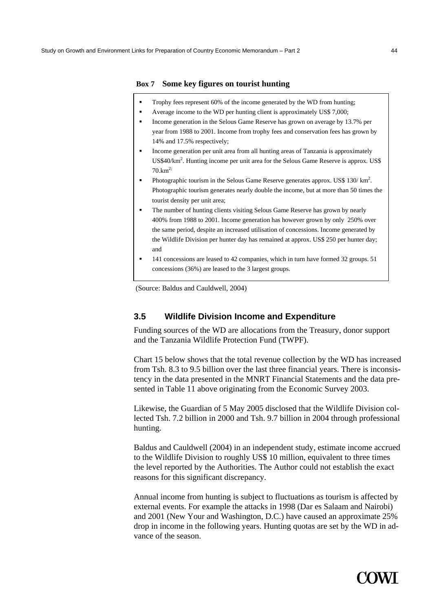#### **Box 7 Some key figures on tourist hunting**

- **Box 8** Trophy fees represent 60% of the income generated by the WD from hunting;
- **Box 4 Post 9 Average income to the WD per hunting client is approximately US\$ 7,000;** 
	- Income generation in the Selous Game Reserve has grown on average by 13.7% per year from 1988 to 2001. Income from trophy fees and conservation fees has grown by 14% and 17.5% respectively;
- Income generation per unit area from all hunting areas of Tanzania is approximately US\$40/km<sup>2</sup>. Hunting income per unit area for the Selous Game Reserve is approx. US\$  $70.km^{2}$ ;
- Photographic tourism in the Selous Game Reserve generates approx. US\$  $130 / \text{ km}^2$ . Photographic tourism generates nearly double the income, but at more than 50 times the tourist density per unit area;
- The number of hunting clients visiting Selous Game Reserve has grown by nearly 400% from 1988 to 2001. Income generation has however grown by only 250% over the same period, despite an increased utilisation of concessions. Income generated by the Wildlife Division per hunter day has remained at approx. US\$ 250 per hunter day; and
- 141 concessions are leased to 42 companies, which in turn have formed 32 groups. 51 concessions (36%) are leased to the 3 largest groups.

(Source: Baldus and Cauldwell, 2004)

#### **3.5 Wildlife Division Income and Expenditure**

Funding sources of the WD are allocations from the Treasury, donor support and the Tanzania Wildlife Protection Fund (TWPF).

Chart 15 below shows that the total revenue collection by the WD has increased from Tsh. 8.3 to 9.5 billion over the last three financial years. There is inconsistency in the data presented in the MNRT Financial Statements and the data presented in Table 11 above originating from the Economic Survey 2003.

Likewise, the Guardian of 5 May 2005 disclosed that the Wildlife Division collected Tsh. 7.2 billion in 2000 and Tsh. 9.7 billion in 2004 through professional hunting.

Baldus and Cauldwell (2004) in an independent study, estimate income accrued to the Wildlife Division to roughly US\$ 10 million, equivalent to three times the level reported by the Authorities. The Author could not establish the exact reasons for this significant discrepancy.

Annual income from hunting is subject to fluctuations as tourism is affected by external events. For example the attacks in 1998 (Dar es Salaam and Nairobi) and 2001 (New Your and Washington, D.C.) have caused an approximate 25% drop in income in the following years. Hunting quotas are set by the WD in advance of the season.

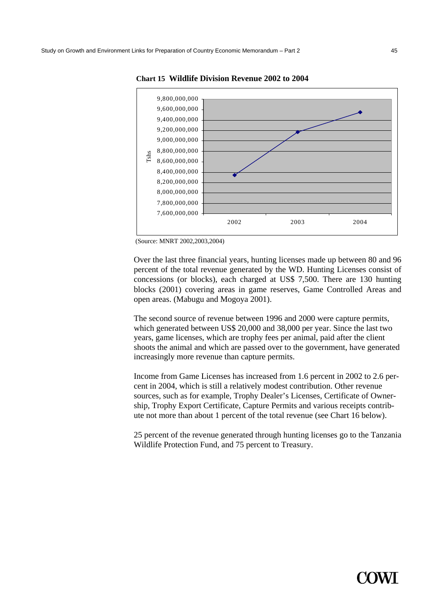

**Chart 15 Wildlife Division Revenue 2002 to 2004** 

Over the last three financial years, hunting licenses made up between 80 and 96 percent of the total revenue generated by the WD. Hunting Licenses consist of concessions (or blocks), each charged at US\$ 7,500. There are 130 hunting blocks (2001) covering areas in game reserves, Game Controlled Areas and open areas. (Mabugu and Mogoya 2001).

The second source of revenue between 1996 and 2000 were capture permits, which generated between US\$ 20,000 and 38,000 per year. Since the last two years, game licenses, which are trophy fees per animal, paid after the client shoots the animal and which are passed over to the government, have generated increasingly more revenue than capture permits.

Income from Game Licenses has increased from 1.6 percent in 2002 to 2.6 percent in 2004, which is still a relatively modest contribution. Other revenue sources, such as for example, Trophy Dealer's Licenses, Certificate of Ownership, Trophy Export Certificate, Capture Permits and various receipts contribute not more than about 1 percent of the total revenue (see Chart 16 below).

25 percent of the revenue generated through hunting licenses go to the Tanzania Wildlife Protection Fund, and 75 percent to Treasury.



 <sup>(</sup>Source: MNRT 2002,2003,2004)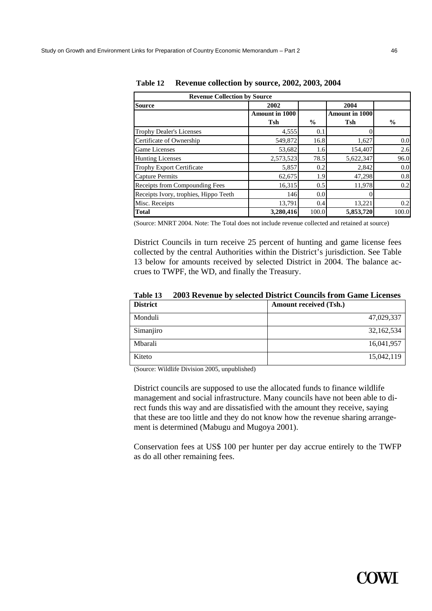| <b>Revenue Collection by Source</b>   |                       |               |                       |               |  |  |
|---------------------------------------|-----------------------|---------------|-----------------------|---------------|--|--|
| <b>Source</b>                         | 2002                  |               | 2004                  |               |  |  |
|                                       | <b>Amount in 1000</b> |               | <b>Amount in 1000</b> |               |  |  |
|                                       | <b>Tsh</b>            | $\frac{0}{0}$ | Tsh                   | $\frac{6}{9}$ |  |  |
| <b>Trophy Dealer's Licenses</b>       | 4,555                 | 0.1           |                       |               |  |  |
| Certificate of Ownership              | 549,872               | 16.8          | 1,627                 | 0.0           |  |  |
| <b>Game Licenses</b>                  | 53,682                | 1.6           | 154,407               | 2.6           |  |  |
| <b>Hunting Licenses</b>               | 2,573,523             | 78.5          | 5,622,347             | 96.0          |  |  |
| Trophy Export Certificate             | 5,857                 | 0.2           | 2,842                 | 0.0           |  |  |
| <b>Capture Permits</b>                | 62,675                | 1.9           | 47,298                | 0.8           |  |  |
| Receipts from Compounding Fees        | 16,315                | 0.5           | 11,978                | 0.2           |  |  |
| Receipts Ivory, trophies, Hippo Teeth | 146                   | 0.0           | 0                     |               |  |  |
| Misc. Receipts                        | 13,791                | 0.4           | 13,221                | 0.2           |  |  |
| <b>Total</b>                          | 3.280.416             | 100.0         | 5,853,720             | 100.0         |  |  |

**Table 12 Revenue collection by source, 2002, 2003, 2004** 

(Source: MNRT 2004. Note: The Total does not include revenue collected and retained at source)

District Councils in turn receive 25 percent of hunting and game license fees collected by the central Authorities within the District's jurisdiction. See Table 13 below for amounts received by selected District in 2004. The balance accrues to TWPF, the WD, and finally the Treasury.

| <b>District</b> | <b>Amount received (Tsh.)</b> |
|-----------------|-------------------------------|
| Monduli         | 47,029,337                    |
| Simanjiro       | 32,162,534                    |
| Mbarali         | 16,041,957                    |
| Kiteto          | 15,042,119                    |

**Table 13 2003 Revenue by selected District Councils from Game Licenses** 

(Source: Wildlife Division 2005, unpublished)

District councils are supposed to use the allocated funds to finance wildlife management and social infrastructure. Many councils have not been able to direct funds this way and are dissatisfied with the amount they receive, saying that these are too little and they do not know how the revenue sharing arrangement is determined (Mabugu and Mugoya 2001).

Conservation fees at US\$ 100 per hunter per day accrue entirely to the TWFP as do all other remaining fees.

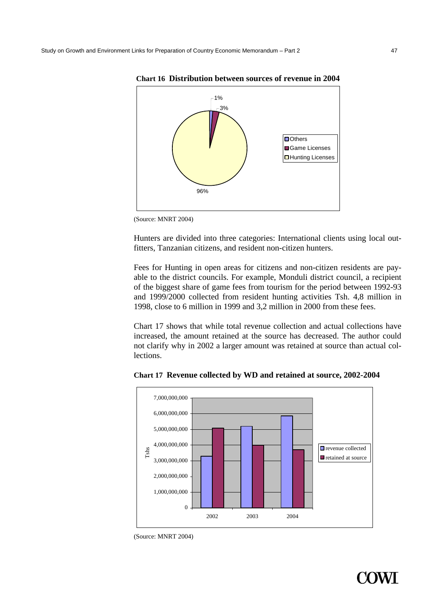

**Chart 16 Distribution between sources of revenue in 2004** 



Hunters are divided into three categories: International clients using local outfitters, Tanzanian citizens, and resident non-citizen hunters.

Fees for Hunting in open areas for citizens and non-citizen residents are payable to the district councils. For example, Monduli district council, a recipient of the biggest share of game fees from tourism for the period between 1992-93 and 1999/2000 collected from resident hunting activities Tsh. 4,8 million in 1998, close to 6 million in 1999 and 3,2 million in 2000 from these fees.

Chart 17 shows that while total revenue collection and actual collections have increased, the amount retained at the source has decreased. The author could not clarify why in 2002 a larger amount was retained at source than actual collections.



**Chart 17 Revenue collected by WD and retained at source, 2002-2004** 



<sup>(</sup>Source: MNRT 2004)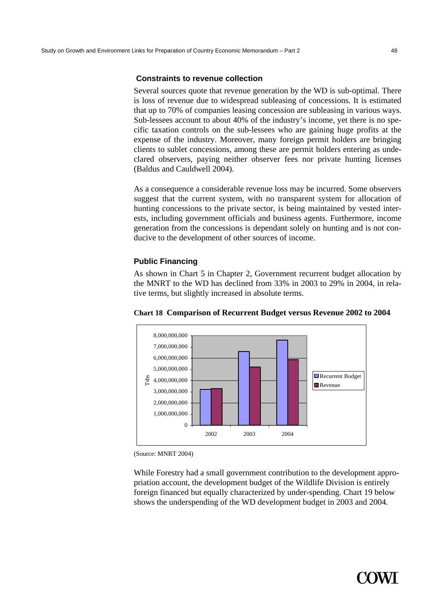#### **Constraints to revenue collection**

Several sources quote that revenue generation by the WD is sub-optimal. There is loss of revenue due to widespread subleasing of concessions. It is estimated that up to 70% of companies leasing concession are subleasing in various ways. Sub-lessees account to about 40% of the industry's income, yet there is no specific taxation controls on the sub-lessees who are gaining huge profits at the expense of the industry. Moreover, many foreign permit holders are bringing clients to sublet concessions, among these are permit holders entering as undeclared observers, paying neither observer fees nor private hunting licenses (Baldus and Cauldwell 2004).

As a consequence a considerable revenue loss may be incurred. Some observers suggest that the current system, with no transparent system for allocation of hunting concessions to the private sector, is being maintained by vested interests, including government officials and business agents. Furthermore, income generation from the concessions is dependant solely on hunting and is not conducive to the development of other sources of income.

#### **Public Financing**

As shown in Chart 5 in Chapter 2, Government recurrent budget allocation by the MNRT to the WD has declined from 33% in 2003 to 29% in 2004, in relative terms, but slightly increased in absolute terms.



**Chart 18 Comparison of Recurrent Budget versus Revenue 2002 to 2004** 

(Source: MNRT 2004)

While Forestry had a small government contribution to the development appropriation account, the development budget of the Wildlife Division is entirely foreign financed but equally characterized by under-spending. Chart 19 below shows the underspending of the WD development budget in 2003 and 2004.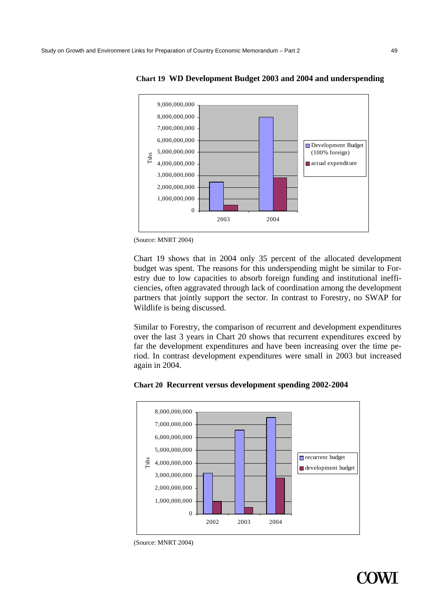

**Chart 19 WD Development Budget 2003 and 2004 and underspending** 

(Source: MNRT 2004)

Chart 19 shows that in 2004 only 35 percent of the allocated development budget was spent. The reasons for this underspending might be similar to Forestry due to low capacities to absorb foreign funding and institutional inefficiencies, often aggravated through lack of coordination among the development partners that jointly support the sector. In contrast to Forestry, no SWAP for Wildlife is being discussed.

Similar to Forestry, the comparison of recurrent and development expenditures over the last 3 years in Chart 20 shows that recurrent expenditures exceed by far the development expenditures and have been increasing over the time period. In contrast development expenditures were small in 2003 but increased again in 2004.

#### **Chart 20 Recurrent versus development spending 2002-2004**



<sup>(</sup>Source: MNRT 2004)

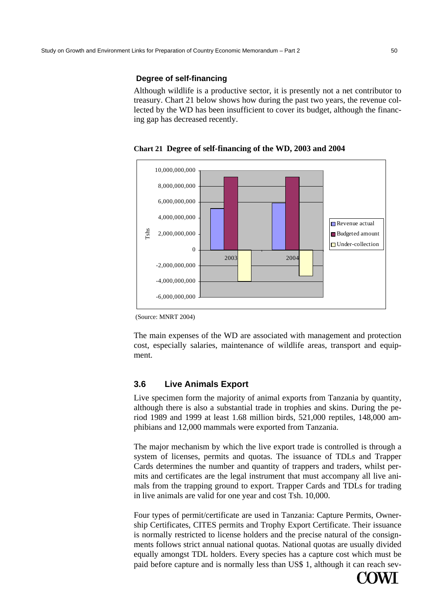#### **Degree of self-financing**

Although wildlife is a productive sector, it is presently not a net contributor to treasury. Chart 21 below shows how during the past two years, the revenue collected by the WD has been insufficient to cover its budget, although the financing gap has decreased recently.

**Chart 21 Degree of self-financing of the WD, 2003 and 2004** 



(Source: MNRT 2004)

The main expenses of the WD are associated with management and protection cost, especially salaries, maintenance of wildlife areas, transport and equipment.

# **3.6 Live Animals Export**

Live specimen form the majority of animal exports from Tanzania by quantity, although there is also a substantial trade in trophies and skins. During the period 1989 and 1999 at least 1.68 million birds, 521,000 reptiles, 148,000 amphibians and 12,000 mammals were exported from Tanzania.

The major mechanism by which the live export trade is controlled is through a system of licenses, permits and quotas. The issuance of TDLs and Trapper Cards determines the number and quantity of trappers and traders, whilst permits and certificates are the legal instrument that must accompany all live animals from the trapping ground to export. Trapper Cards and TDLs for trading in live animals are valid for one year and cost Tsh. 10,000.

Four types of permit/certificate are used in Tanzania: Capture Permits, Ownership Certificates, CITES permits and Trophy Export Certificate. Their issuance is normally restricted to license holders and the precise natural of the consignments follows strict annual national quotas. National quotas are usually divided equally amongst TDL holders. Every species has a capture cost which must be paid before capture and is normally less than US\$ 1, although it can reach sev-

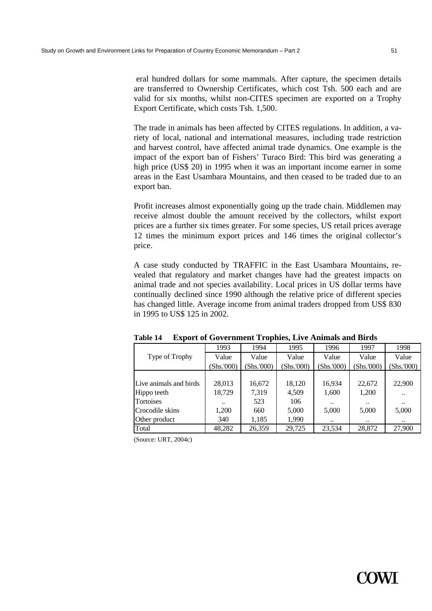eral hundred dollars for some mammals. After capture, the specimen details are transferred to Ownership Certificates, which cost Tsh. 500 each and are valid for six months, whilst non-CITES specimen are exported on a Trophy Export Certificate, which costs Tsh. 1,500.

The trade in animals has been affected by CITES regulations. In addition, a variety of local, national and international measures, including trade restriction and harvest control, have affected animal trade dynamics. One example is the impact of the export ban of Fishers' Turaco Bird: This bird was generating a high price (US\$ 20) in 1995 when it was an important income earner in some areas in the East Usambara Mountains, and then ceased to be traded due to an export ban.

Profit increases almost exponentially going up the trade chain. Middlemen may receive almost double the amount received by the collectors, whilst export prices are a further six times greater. For some species, US retail prices average 12 times the minimum export prices and 146 times the original collector's price.

A case study conducted by TRAFFIC in the East Usambara Mountains, revealed that regulatory and market changes have had the greatest impacts on animal trade and not species availability. Local prices in US dollar terms have continually declined since 1990 although the relative price of different species has changed little. Average income from animal traders dropped from US\$ 830 in 1995 to US\$ 125 in 2002.

|                        | 1993         | 1994      | 1995       | 1996      | 1997       | 1998       |
|------------------------|--------------|-----------|------------|-----------|------------|------------|
| Type of Trophy         | Value        | Value     | Value      | Value     | Value      | Value      |
|                        | (Shs.000)    | Shs.'000) | (Shs.'000) | Shs.'000) | (Shs.'000) | (Shs.'000) |
|                        |              |           |            |           |            |            |
| Live animals and birds | 28,013       | 16,672    | 18,120     | 16,934    | 22,672     | 22,900     |
| Hippo teeth            | 18,729       | 7,319     | 4,509      | 1,600     | 1,200      |            |
| Tortoises              | $\cdot\cdot$ | 523       | 106        |           |            | $\ddotsc$  |
| Crocodile skins        | 1,200        | 660       | 5,000      | 5,000     | 5,000      | 5,000      |
| Other product          | 340          | 1,185     | 1,990      | $\ddotsc$ |            | $\ddotsc$  |
| Total                  | 48,282       | 26,359    | 29,725     | 23,534    | 28,872     | 27,900     |

**Table 14 Export of Government Trophies, Live Animals and Birds** 

(Source: URT, 2004c)

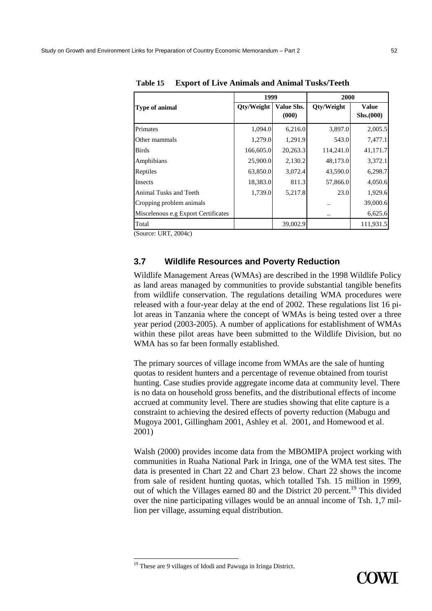|                                     | 1999       |                     | 2000       |                           |  |
|-------------------------------------|------------|---------------------|------------|---------------------------|--|
| Type of animal                      | Qty/Weight | Value Shs.<br>(000) | Qty/Weight | <b>Value</b><br>Shs.(000) |  |
| Primates                            | 1,094.0    | 6,216.0             | 3,897.0    | 2,005.5                   |  |
| Other mammals                       | 1,279.0    | 1,291.9             | 543.0      | 7,477.1                   |  |
| Birds                               | 166,605.0  | 20,263.3            | 114,241.0  | 41,171.7                  |  |
| Amphibians                          | 25,900.0   | 2,130.2             | 48,173.0   | 3,372.1                   |  |
| Reptiles                            | 63,850.0   | 3,072.4             | 43,590.0   | 6,298.7                   |  |
| Insects                             | 18,383.0   | 811.3               | 57,866.0   | 4,050.6                   |  |
| Animal Tusks and Teeth              | 1,739.0    | 5,217.8             | 23.0       | 1,929.6                   |  |
| Cropping problem animals            |            |                     |            | 39,000.6                  |  |
| Miscelenous e.g Export Certificates |            |                     |            | 6,625.6                   |  |
| Total                               |            | 39,002.9            |            | 111,931.5                 |  |

**Table 15 Export of Live Animals and Animal Tusks/Teeth** 

(Source: URT, 2004c)

#### **3.7 Wildlife Resources and Poverty Reduction**

Wildlife Management Areas (WMAs) are described in the 1998 Wildlife Policy as land areas managed by communities to provide substantial tangible benefits from wildlife conservation. The regulations detailing WMA procedures were released with a four-year delay at the end of 2002. These regulations list 16 pilot areas in Tanzania where the concept of WMAs is being tested over a three year period (2003-2005). A number of applications for establishment of WMAs within these pilot areas have been submitted to the Wildlife Division, but no WMA has so far been formally established.

The primary sources of village income from WMAs are the sale of hunting quotas to resident hunters and a percentage of revenue obtained from tourist hunting. Case studies provide aggregate income data at community level. There is no data on household gross benefits, and the distributional effects of income accrued at community level. There are studies showing that elite capture is a constraint to achieving the desired effects of poverty reduction (Mabugu and Mugoya 2001, Gillingham 2001, Ashley et al. 2001, and Homewood et al. 2001)

Walsh (2000) provides income data from the MBOMIPA project working with communities in Ruaha National Park in Iringa, one of the WMA test sites. The data is presented in Chart 22 and Chart 23 below. Chart 22 shows the income from sale of resident hunting quotas, which totalled Tsh. 15 million in 1999, out of which the Villages earned 80 and the District 20 percent.<sup>19</sup> This divided over the nine participating villages would be an annual income of Tsh. 1,7 million per village, assuming equal distribution.

<sup>&</sup>lt;sup>19</sup> These are 9 villages of Idodi and Pawuga in Iringa District.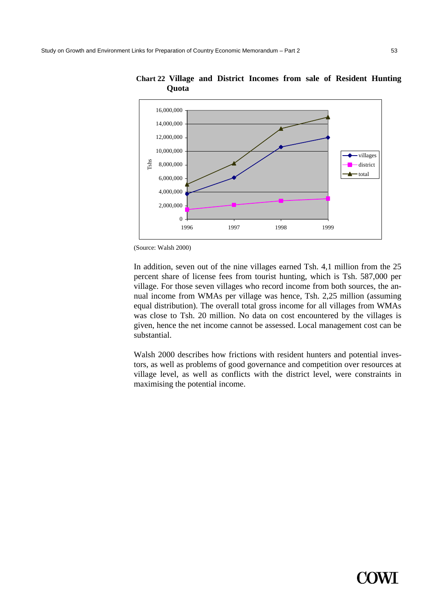

**Chart 22 Village and District Incomes from sale of Resident Hunting Quota** 

(Source: Walsh 2000)

In addition, seven out of the nine villages earned Tsh. 4,1 million from the 25 percent share of license fees from tourist hunting, which is Tsh. 587,000 per village. For those seven villages who record income from both sources, the annual income from WMAs per village was hence, Tsh. 2,25 million (assuming equal distribution). The overall total gross income for all villages from WMAs was close to Tsh. 20 million. No data on cost encountered by the villages is given, hence the net income cannot be assessed. Local management cost can be substantial.

Walsh 2000 describes how frictions with resident hunters and potential investors, as well as problems of good governance and competition over resources at village level, as well as conflicts with the district level, were constraints in maximising the potential income.

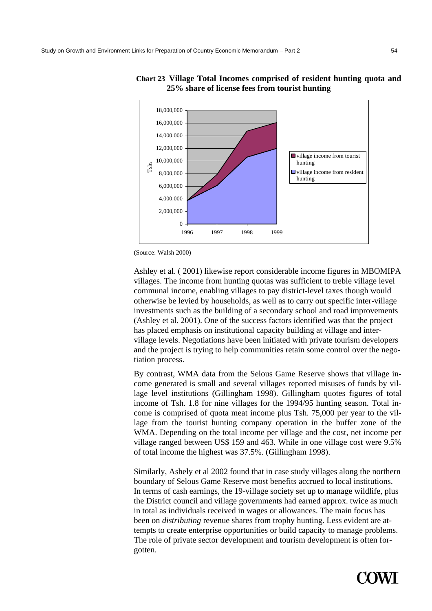

**Chart 23 Village Total Incomes comprised of resident hunting quota and 25% share of license fees from tourist hunting** 

Ashley et al. ( 2001) likewise report considerable income figures in MBOMIPA villages. The income from hunting quotas was sufficient to treble village level communal income, enabling villages to pay district-level taxes though would otherwise be levied by households, as well as to carry out specific inter-village investments such as the building of a secondary school and road improvements (Ashley et al. 2001). One of the success factors identified was that the project has placed emphasis on institutional capacity building at village and intervillage levels. Negotiations have been initiated with private tourism developers and the project is trying to help communities retain some control over the negotiation process.

By contrast, WMA data from the Selous Game Reserve shows that village income generated is small and several villages reported misuses of funds by village level institutions (Gillingham 1998). Gillingham quotes figures of total income of Tsh. 1.8 for nine villages for the 1994/95 hunting season. Total income is comprised of quota meat income plus Tsh. 75,000 per year to the village from the tourist hunting company operation in the buffer zone of the WMA. Depending on the total income per village and the cost, net income per village ranged between US\$ 159 and 463. While in one village cost were 9.5% of total income the highest was 37.5%. (Gillingham 1998).

Similarly, Ashely et al 2002 found that in case study villages along the northern boundary of Selous Game Reserve most benefits accrued to local institutions. In terms of cash earnings, the 19-village society set up to manage wildlife, plus the District council and village governments had earned approx. twice as much in total as individuals received in wages or allowances. The main focus has been on *distributing* revenue shares from trophy hunting. Less evident are attempts to create enterprise opportunities or build capacity to manage problems. The role of private sector development and tourism development is often forgotten.



<sup>(</sup>Source: Walsh 2000)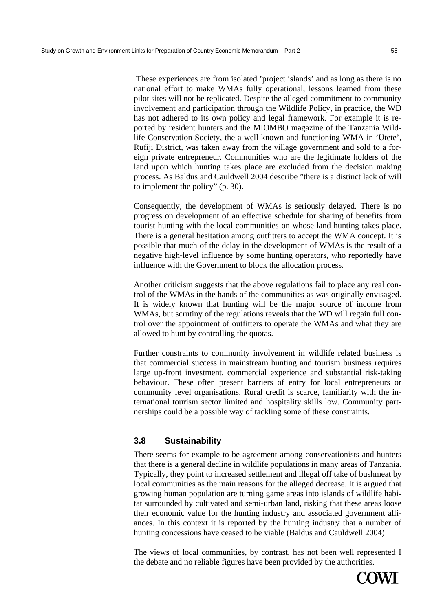These experiences are from isolated 'project islands' and as long as there is no national effort to make WMAs fully operational, lessons learned from these pilot sites will not be replicated. Despite the alleged commitment to community involvement and participation through the Wildlife Policy, in practice, the WD has not adhered to its own policy and legal framework. For example it is reported by resident hunters and the MIOMBO magazine of the Tanzania Wildlife Conservation Society, the a well known and functioning WMA in 'Utete', Rufiji District, was taken away from the village government and sold to a foreign private entrepreneur. Communities who are the legitimate holders of the land upon which hunting takes place are excluded from the decision making process. As Baldus and Cauldwell 2004 describe "there is a distinct lack of will to implement the policy" (p. 30).

Consequently, the development of WMAs is seriously delayed. There is no progress on development of an effective schedule for sharing of benefits from tourist hunting with the local communities on whose land hunting takes place. There is a general hesitation among outfitters to accept the WMA concept. It is possible that much of the delay in the development of WMAs is the result of a negative high-level influence by some hunting operators, who reportedly have influence with the Government to block the allocation process.

Another criticism suggests that the above regulations fail to place any real control of the WMAs in the hands of the communities as was originally envisaged. It is widely known that hunting will be the major source of income from WMAs, but scrutiny of the regulations reveals that the WD will regain full control over the appointment of outfitters to operate the WMAs and what they are allowed to hunt by controlling the quotas.

Further constraints to community involvement in wildlife related business is that commercial success in mainstream hunting and tourism business requires large up-front investment, commercial experience and substantial risk-taking behaviour. These often present barriers of entry for local entrepreneurs or community level organisations. Rural credit is scarce, familiarity with the international tourism sector limited and hospitality skills low. Community partnerships could be a possible way of tackling some of these constraints.

### **3.8 Sustainability**

There seems for example to be agreement among conservationists and hunters that there is a general decline in wildlife populations in many areas of Tanzania. Typically, they point to increased settlement and illegal off take of bushmeat by local communities as the main reasons for the alleged decrease. It is argued that growing human population are turning game areas into islands of wildlife habitat surrounded by cultivated and semi-urban land, risking that these areas loose their economic value for the hunting industry and associated government alliances. In this context it is reported by the hunting industry that a number of hunting concessions have ceased to be viable (Baldus and Cauldwell 2004)

The views of local communities, by contrast, has not been well represented I the debate and no reliable figures have been provided by the authorities.

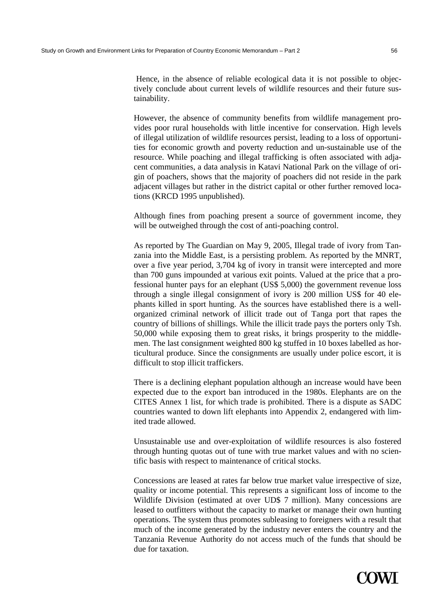Hence, in the absence of reliable ecological data it is not possible to objectively conclude about current levels of wildlife resources and their future sustainability.

However, the absence of community benefits from wildlife management provides poor rural households with little incentive for conservation. High levels of illegal utilization of wildlife resources persist, leading to a loss of opportunities for economic growth and poverty reduction and un-sustainable use of the resource. While poaching and illegal trafficking is often associated with adjacent communities, a data analysis in Katavi National Park on the village of origin of poachers, shows that the majority of poachers did not reside in the park adjacent villages but rather in the district capital or other further removed locations (KRCD 1995 unpublished).

Although fines from poaching present a source of government income, they will be outweighed through the cost of anti-poaching control.

As reported by The Guardian on May 9, 2005, Illegal trade of ivory from Tanzania into the Middle East, is a persisting problem. As reported by the MNRT, over a five year period, 3,704 kg of ivory in transit were intercepted and more than 700 guns impounded at various exit points. Valued at the price that a professional hunter pays for an elephant (US\$ 5,000) the government revenue loss through a single illegal consignment of ivory is 200 million US\$ for 40 elephants killed in sport hunting. As the sources have established there is a wellorganized criminal network of illicit trade out of Tanga port that rapes the country of billions of shillings. While the illicit trade pays the porters only Tsh. 50,000 while exposing them to great risks, it brings prosperity to the middlemen. The last consignment weighted 800 kg stuffed in 10 boxes labelled as horticultural produce. Since the consignments are usually under police escort, it is difficult to stop illicit traffickers.

There is a declining elephant population although an increase would have been expected due to the export ban introduced in the 1980s. Elephants are on the CITES Annex 1 list, for which trade is prohibited. There is a dispute as SADC countries wanted to down lift elephants into Appendix 2, endangered with limited trade allowed.

Unsustainable use and over-exploitation of wildlife resources is also fostered through hunting quotas out of tune with true market values and with no scientific basis with respect to maintenance of critical stocks.

Concessions are leased at rates far below true market value irrespective of size, quality or income potential. This represents a significant loss of income to the Wildlife Division (estimated at over UD\$ 7 million). Many concessions are leased to outfitters without the capacity to market or manage their own hunting operations. The system thus promotes subleasing to foreigners with a result that much of the income generated by the industry never enters the country and the Tanzania Revenue Authority do not access much of the funds that should be due for taxation.

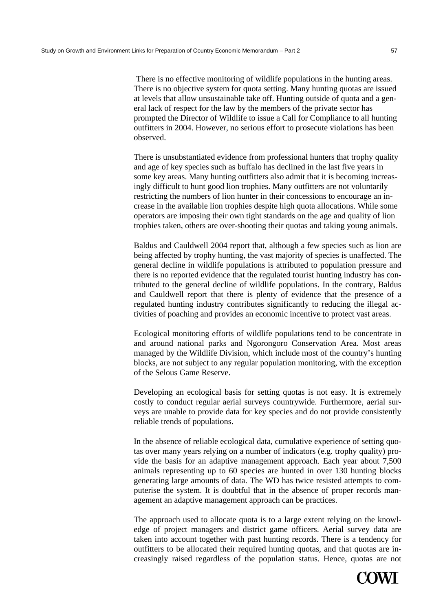There is no effective monitoring of wildlife populations in the hunting areas. There is no objective system for quota setting. Many hunting quotas are issued at levels that allow unsustainable take off. Hunting outside of quota and a general lack of respect for the law by the members of the private sector has prompted the Director of Wildlife to issue a Call for Compliance to all hunting outfitters in 2004. However, no serious effort to prosecute violations has been observed.

There is unsubstantiated evidence from professional hunters that trophy quality and age of key species such as buffalo has declined in the last five years in some key areas. Many hunting outfitters also admit that it is becoming increasingly difficult to hunt good lion trophies. Many outfitters are not voluntarily restricting the numbers of lion hunter in their concessions to encourage an increase in the available lion trophies despite high quota allocations. While some operators are imposing their own tight standards on the age and quality of lion trophies taken, others are over-shooting their quotas and taking young animals.

Baldus and Cauldwell 2004 report that, although a few species such as lion are being affected by trophy hunting, the vast majority of species is unaffected. The general decline in wildlife populations is attributed to population pressure and there is no reported evidence that the regulated tourist hunting industry has contributed to the general decline of wildlife populations. In the contrary, Baldus and Cauldwell report that there is plenty of evidence that the presence of a regulated hunting industry contributes significantly to reducing the illegal activities of poaching and provides an economic incentive to protect vast areas.

Ecological monitoring efforts of wildlife populations tend to be concentrate in and around national parks and Ngorongoro Conservation Area. Most areas managed by the Wildlife Division, which include most of the country's hunting blocks, are not subject to any regular population monitoring, with the exception of the Selous Game Reserve.

Developing an ecological basis for setting quotas is not easy. It is extremely costly to conduct regular aerial surveys countrywide. Furthermore, aerial surveys are unable to provide data for key species and do not provide consistently reliable trends of populations.

In the absence of reliable ecological data, cumulative experience of setting quotas over many years relying on a number of indicators (e.g. trophy quality) provide the basis for an adaptive management approach. Each year about 7,500 animals representing up to 60 species are hunted in over 130 hunting blocks generating large amounts of data. The WD has twice resisted attempts to computerise the system. It is doubtful that in the absence of proper records management an adaptive management approach can be practices.

The approach used to allocate quota is to a large extent relying on the knowledge of project managers and district game officers. Aerial survey data are taken into account together with past hunting records. There is a tendency for outfitters to be allocated their required hunting quotas, and that quotas are increasingly raised regardless of the population status. Hence, quotas are not

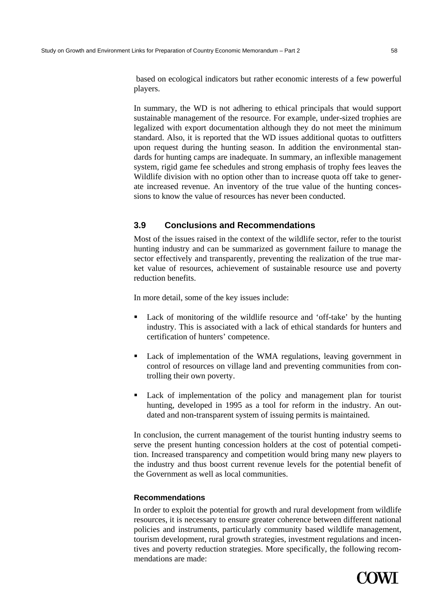based on ecological indicators but rather economic interests of a few powerful players.

In summary, the WD is not adhering to ethical principals that would support sustainable management of the resource. For example, under-sized trophies are legalized with export documentation although they do not meet the minimum standard. Also, it is reported that the WD issues additional quotas to outfitters upon request during the hunting season. In addition the environmental standards for hunting camps are inadequate. In summary, an inflexible management system, rigid game fee schedules and strong emphasis of trophy fees leaves the Wildlife division with no option other than to increase quota off take to generate increased revenue. An inventory of the true value of the hunting concessions to know the value of resources has never been conducted.

# **3.9 Conclusions and Recommendations**

Most of the issues raised in the context of the wildlife sector, refer to the tourist hunting industry and can be summarized as government failure to manage the sector effectively and transparently, preventing the realization of the true market value of resources, achievement of sustainable resource use and poverty reduction benefits.

In more detail, some of the key issues include:

- Lack of monitoring of the wildlife resource and 'off-take' by the hunting industry. This is associated with a lack of ethical standards for hunters and certification of hunters' competence.
- Lack of implementation of the WMA regulations, leaving government in control of resources on village land and preventing communities from controlling their own poverty.
- Lack of implementation of the policy and management plan for tourist hunting, developed in 1995 as a tool for reform in the industry. An outdated and non-transparent system of issuing permits is maintained.

In conclusion, the current management of the tourist hunting industry seems to serve the present hunting concession holders at the cost of potential competition. Increased transparency and competition would bring many new players to the industry and thus boost current revenue levels for the potential benefit of the Government as well as local communities.

### **Recommendations**

In order to exploit the potential for growth and rural development from wildlife resources, it is necessary to ensure greater coherence between different national policies and instruments, particularly community based wildlife management, tourism development, rural growth strategies, investment regulations and incentives and poverty reduction strategies. More specifically, the following recommendations are made:

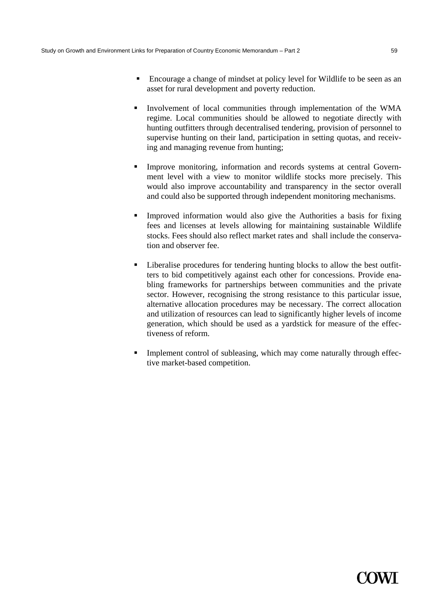- Encourage a change of mindset at policy level for Wildlife to be seen as an asset for rural development and poverty reduction.
- **Involvement of local communities through implementation of the WMA** regime. Local communities should be allowed to negotiate directly with hunting outfitters through decentralised tendering, provision of personnel to supervise hunting on their land, participation in setting quotas, and receiving and managing revenue from hunting;
- Improve monitoring, information and records systems at central Government level with a view to monitor wildlife stocks more precisely. This would also improve accountability and transparency in the sector overall and could also be supported through independent monitoring mechanisms.
- Improved information would also give the Authorities a basis for fixing fees and licenses at levels allowing for maintaining sustainable Wildlife stocks. Fees should also reflect market rates and shall include the conservation and observer fee.
- Liberalise procedures for tendering hunting blocks to allow the best outfitters to bid competitively against each other for concessions. Provide enabling frameworks for partnerships between communities and the private sector. However, recognising the strong resistance to this particular issue, alternative allocation procedures may be necessary. The correct allocation and utilization of resources can lead to significantly higher levels of income generation, which should be used as a yardstick for measure of the effectiveness of reform.
- Implement control of subleasing, which may come naturally through effective market-based competition.

# **Y WE**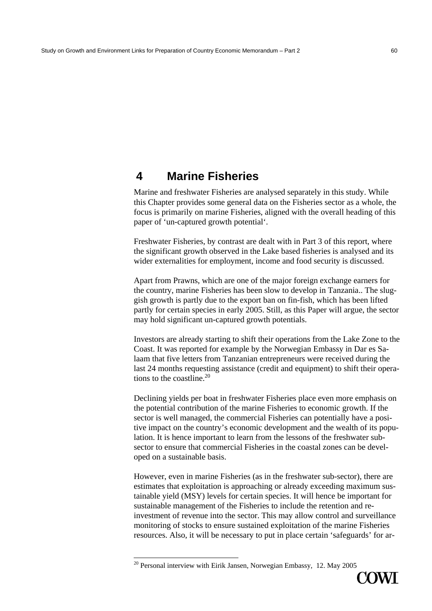# **4 Marine Fisheries**

Marine and freshwater Fisheries are analysed separately in this study. While this Chapter provides some general data on the Fisheries sector as a whole, the focus is primarily on marine Fisheries, aligned with the overall heading of this paper of 'un-captured growth potential'.

Freshwater Fisheries, by contrast are dealt with in Part 3 of this report, where the significant growth observed in the Lake based fisheries is analysed and its wider externalities for employment, income and food security is discussed.

Apart from Prawns, which are one of the major foreign exchange earners for the country, marine Fisheries has been slow to develop in Tanzania.. The sluggish growth is partly due to the export ban on fin-fish, which has been lifted partly for certain species in early 2005. Still, as this Paper will argue, the sector may hold significant un-captured growth potentials.

Investors are already starting to shift their operations from the Lake Zone to the Coast. It was reported for example by the Norwegian Embassy in Dar es Salaam that five letters from Tanzanian entrepreneurs were received during the last 24 months requesting assistance (credit and equipment) to shift their operations to the coastline.<sup>20</sup>

Declining yields per boat in freshwater Fisheries place even more emphasis on the potential contribution of the marine Fisheries to economic growth. If the sector is well managed, the commercial Fisheries can potentially have a positive impact on the country's economic development and the wealth of its population. It is hence important to learn from the lessons of the freshwater subsector to ensure that commercial Fisheries in the coastal zones can be developed on a sustainable basis.

However, even in marine Fisheries (as in the freshwater sub-sector), there are estimates that exploitation is approaching or already exceeding maximum sustainable yield (MSY) levels for certain species. It will hence be important for sustainable management of the Fisheries to include the retention and reinvestment of revenue into the sector. This may allow control and surveillance monitoring of stocks to ensure sustained exploitation of the marine Fisheries resources. Also, it will be necessary to put in place certain 'safeguards' for ar-



<sup>&</sup>lt;sup>20</sup> Personal interview with Eirik Jansen, Norwegian Embassy, 12. May 2005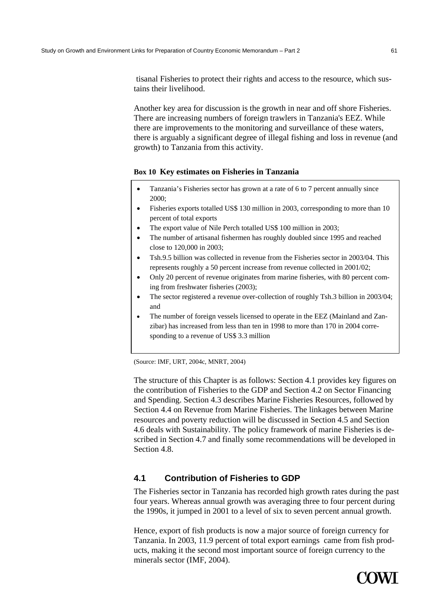tisanal Fisheries to protect their rights and access to the resource, which sustains their livelihood.

Another key area for discussion is the growth in near and off shore Fisheries. There are increasing numbers of foreign trawlers in Tanzania's EEZ. While there are improvements to the monitoring and surveillance of these waters, there is arguably a significant degree of illegal fishing and loss in revenue (and growth) to Tanzania from this activity.

#### **Box 10 Key estimates on Fisheries in Tanzania**

- Tanzania's Fisheries sector has grown at a rate of 6 to 7 percent annually since 2000;
- Fisheries exports totalled US\$ 130 million in 2003, corresponding to more than 10 percent of total exports
- The export value of Nile Perch totalled US\$ 100 million in 2003;
- The number of artisanal fishermen has roughly doubled since 1995 and reached close to 120,000 in 2003;
- Tsh.9.5 billion was collected in revenue from the Fisheries sector in 2003/04. This represents roughly a 50 percent increase from revenue collected in 2001/02;
- Only 20 percent of revenue originates from marine fisheries, with 80 percent coming from freshwater fisheries (2003);
- The sector registered a revenue over-collection of roughly Tsh.3 billion in 2003/04; and
- The number of foreign vessels licensed to operate in the EEZ (Mainland and Zanzibar) has increased from less than ten in 1998 to more than 170 in 2004 corresponding to a revenue of US\$ 3.3 million

(Source: IMF, URT, 2004c, MNRT, 2004)

The structure of this Chapter is as follows: Section 4.1 provides key figures on the contribution of Fisheries to the GDP and Section 4.2 on Sector Financing and Spending. Section 4.3 describes Marine Fisheries Resources, followed by Section 4.4 on Revenue from Marine Fisheries. The linkages between Marine resources and poverty reduction will be discussed in Section 4.5 and Section 4.6 deals with Sustainability. The policy framework of marine Fisheries is described in Section 4.7 and finally some recommendations will be developed in Section 4.8.

# **4.1 Contribution of Fisheries to GDP**

The Fisheries sector in Tanzania has recorded high growth rates during the past four years. Whereas annual growth was averaging three to four percent during the 1990s, it jumped in 2001 to a level of six to seven percent annual growth.

Hence, export of fish products is now a major source of foreign currency for Tanzania. In 2003, 11.9 percent of total export earnings came from fish products, making it the second most important source of foreign currency to the minerals sector (IMF, 2004).

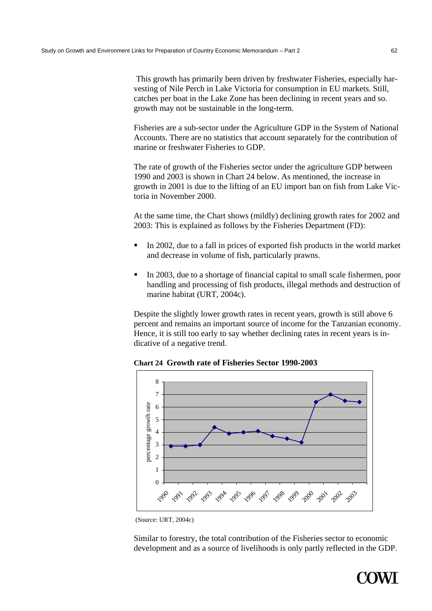This growth has primarily been driven by freshwater Fisheries, especially harvesting of Nile Perch in Lake Victoria for consumption in EU markets. Still, catches per boat in the Lake Zone has been declining in recent years and so. growth may not be sustainable in the long-term.

Fisheries are a sub-sector under the Agriculture GDP in the System of National Accounts. There are no statistics that account separately for the contribution of marine or freshwater Fisheries to GDP.

The rate of growth of the Fisheries sector under the agriculture GDP between 1990 and 2003 is shown in Chart 24 below. As mentioned, the increase in growth in 2001 is due to the lifting of an EU import ban on fish from Lake Victoria in November 2000.

At the same time, the Chart shows (mildly) declining growth rates for 2002 and 2003: This is explained as follows by the Fisheries Department (FD):

- In 2002, due to a fall in prices of exported fish products in the world market and decrease in volume of fish, particularly prawns.
- In 2003, due to a shortage of financial capital to small scale fishermen, poor handling and processing of fish products, illegal methods and destruction of marine habitat (URT, 2004c).

Despite the slightly lower growth rates in recent years, growth is still above 6 percent and remains an important source of income for the Tanzanian economy. Hence, it is still too early to say whether declining rates in recent years is indicative of a negative trend.

**Chart 24 Growth rate of Fisheries Sector 1990-2003** 



(Source: URT, 2004c)

Similar to forestry, the total contribution of the Fisheries sector to economic development and as a source of livelihoods is only partly reflected in the GDP.

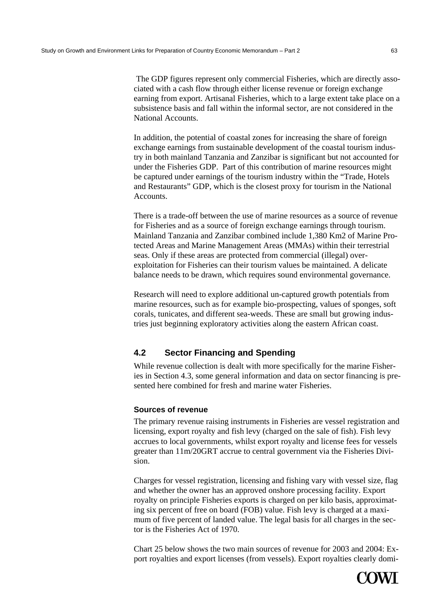The GDP figures represent only commercial Fisheries, which are directly associated with a cash flow through either license revenue or foreign exchange earning from export. Artisanal Fisheries, which to a large extent take place on a subsistence basis and fall within the informal sector, are not considered in the National Accounts.

In addition, the potential of coastal zones for increasing the share of foreign exchange earnings from sustainable development of the coastal tourism industry in both mainland Tanzania and Zanzibar is significant but not accounted for under the Fisheries GDP. Part of this contribution of marine resources might be captured under earnings of the tourism industry within the "Trade, Hotels and Restaurants" GDP, which is the closest proxy for tourism in the National Accounts.

There is a trade-off between the use of marine resources as a source of revenue for Fisheries and as a source of foreign exchange earnings through tourism. Mainland Tanzania and Zanzibar combined include 1,380 Km2 of Marine Protected Areas and Marine Management Areas (MMAs) within their terrestrial seas. Only if these areas are protected from commercial (illegal) overexploitation for Fisheries can their tourism values be maintained. A delicate balance needs to be drawn, which requires sound environmental governance.

Research will need to explore additional un-captured growth potentials from marine resources, such as for example bio-prospecting, values of sponges, soft corals, tunicates, and different sea-weeds. These are small but growing industries just beginning exploratory activities along the eastern African coast.

# **4.2 Sector Financing and Spending**

While revenue collection is dealt with more specifically for the marine Fisheries in Section 4.3, some general information and data on sector financing is presented here combined for fresh and marine water Fisheries.

### **Sources of revenue**

The primary revenue raising instruments in Fisheries are vessel registration and licensing, export royalty and fish levy (charged on the sale of fish). Fish levy accrues to local governments, whilst export royalty and license fees for vessels greater than 11m/20GRT accrue to central government via the Fisheries Division.

Charges for vessel registration, licensing and fishing vary with vessel size, flag and whether the owner has an approved onshore processing facility. Export royalty on principle Fisheries exports is charged on per kilo basis, approximating six percent of free on board (FOB) value. Fish levy is charged at a maximum of five percent of landed value. The legal basis for all charges in the sector is the Fisheries Act of 1970.

Chart 25 below shows the two main sources of revenue for 2003 and 2004: Export royalties and export licenses (from vessels). Export royalties clearly domi-

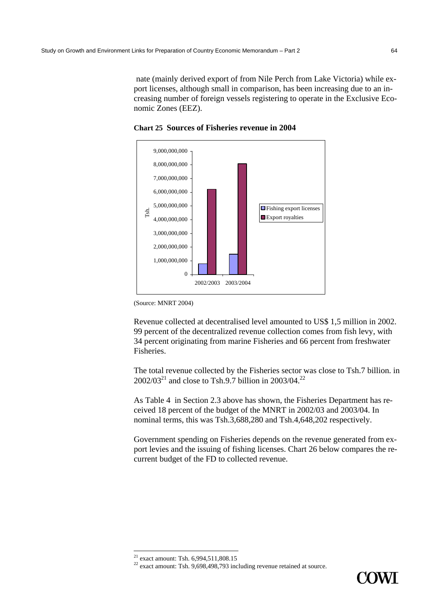nate (mainly derived export of from Nile Perch from Lake Victoria) while export licenses, although small in comparison, has been increasing due to an increasing number of foreign vessels registering to operate in the Exclusive Economic Zones (EEZ).



**Chart 25 Sources of Fisheries revenue in 2004** 

Revenue collected at decentralised level amounted to US\$ 1,5 million in 2002. 99 percent of the decentralized revenue collection comes from fish levy, with 34 percent originating from marine Fisheries and 66 percent from freshwater Fisheries.

The total revenue collected by the Fisheries sector was close to Tsh.7 billion. in 2002/03<sup>21</sup> and close to Tsh.9.7 billion in 2003/04.<sup>22</sup>

As Table 4 in Section 2.3 above has shown, the Fisheries Department has received 18 percent of the budget of the MNRT in 2002/03 and 2003/04. In nominal terms, this was Tsh.3,688,280 and Tsh.4,648,202 respectively.

Government spending on Fisheries depends on the revenue generated from export levies and the issuing of fishing licenses. Chart 26 below compares the recurrent budget of the FD to collected revenue.

 $22$  exact amount: Tsh. 9,698,498,793 including revenue retained at source.



<sup>(</sup>Source: MNRT 2004)

<sup>&</sup>lt;sup>21</sup> exact amount: Tsh.  $6,994,511,808.15$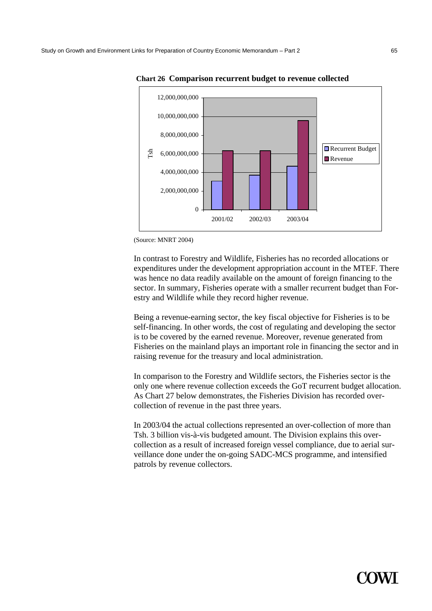

**Chart 26 Comparison recurrent budget to revenue collected** 

In contrast to Forestry and Wildlife, Fisheries has no recorded allocations or expenditures under the development appropriation account in the MTEF. There was hence no data readily available on the amount of foreign financing to the sector. In summary, Fisheries operate with a smaller recurrent budget than Forestry and Wildlife while they record higher revenue.

Being a revenue-earning sector, the key fiscal objective for Fisheries is to be self-financing. In other words, the cost of regulating and developing the sector is to be covered by the earned revenue. Moreover, revenue generated from Fisheries on the mainland plays an important role in financing the sector and in raising revenue for the treasury and local administration.

In comparison to the Forestry and Wildlife sectors, the Fisheries sector is the only one where revenue collection exceeds the GoT recurrent budget allocation. As Chart 27 below demonstrates, the Fisheries Division has recorded overcollection of revenue in the past three years.

In 2003/04 the actual collections represented an over-collection of more than Tsh. 3 billion vis-à-vis budgeted amount. The Division explains this overcollection as a result of increased foreign vessel compliance, due to aerial surveillance done under the on-going SADC-MCS programme, and intensified patrols by revenue collectors.



<sup>(</sup>Source: MNRT 2004)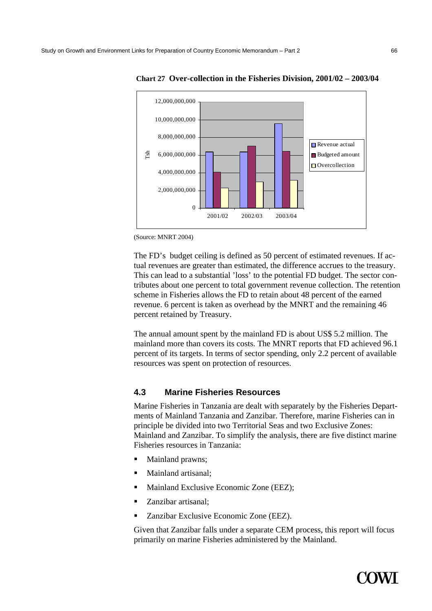

**Chart 27 Over-collection in the Fisheries Division, 2001/02 – 2003/04** 

The FD's budget ceiling is defined as 50 percent of estimated revenues. If actual revenues are greater than estimated, the difference accrues to the treasury. This can lead to a substantial 'loss' to the potential FD budget. The sector contributes about one percent to total government revenue collection. The retention scheme in Fisheries allows the FD to retain about 48 percent of the earned revenue. 6 percent is taken as overhead by the MNRT and the remaining 46 percent retained by Treasury.

The annual amount spent by the mainland FD is about US\$ 5.2 million. The mainland more than covers its costs. The MNRT reports that FD achieved 96.1 percent of its targets. In terms of sector spending, only 2.2 percent of available resources was spent on protection of resources.

#### **4.3 Marine Fisheries Resources**

Marine Fisheries in Tanzania are dealt with separately by the Fisheries Departments of Mainland Tanzania and Zanzibar. Therefore, marine Fisheries can in principle be divided into two Territorial Seas and two Exclusive Zones: Mainland and Zanzibar. To simplify the analysis, there are five distinct marine Fisheries resources in Tanzania:

- Mainland prawns;
- Mainland artisanal;
- **Mainland Exclusive Economic Zone (EEZ);**
- Zanzibar artisanal:
- Zanzibar Exclusive Economic Zone (EEZ).

Given that Zanzibar falls under a separate CEM process, this report will focus primarily on marine Fisheries administered by the Mainland.



<sup>(</sup>Source: MNRT 2004)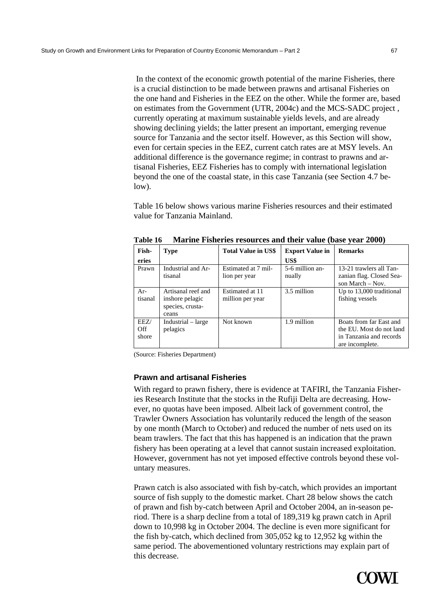In the context of the economic growth potential of the marine Fisheries, there is a crucial distinction to be made between prawns and artisanal Fisheries on the one hand and Fisheries in the EEZ on the other. While the former are, based on estimates from the Government (UTR, 2004c) and the MCS-SADC project , currently operating at maximum sustainable yields levels, and are already showing declining yields; the latter present an important, emerging revenue source for Tanzania and the sector itself. However, as this Section will show, even for certain species in the EEZ, current catch rates are at MSY levels. An additional difference is the governance regime; in contrast to prawns and artisanal Fisheries, EEZ Fisheries has to comply with international legislation beyond the one of the coastal state, in this case Tanzania (see Section 4.7 below).

Table 16 below shows various marine Fisheries resources and their estimated value for Tanzania Mainland.

| Fish-                | <b>Type</b>                                                        | <b>Total Value in US\$</b>           | <b>Export Value in</b>    | <b>Remarks</b>                                                                                    |
|----------------------|--------------------------------------------------------------------|--------------------------------------|---------------------------|---------------------------------------------------------------------------------------------------|
| eries                |                                                                    |                                      | US\$                      |                                                                                                   |
| Prawn                | Industrial and Ar-<br>tisanal                                      | Estimated at 7 mil-<br>lion per year | 5-6 million an-<br>nually | 13-21 trawlers all Tan-<br>zanian flag. Closed Sea-<br>son March $-$ Nov.                         |
| $Ar-$<br>tisanal     | Artisanal reef and<br>inshore pelagic<br>species, crusta-<br>ceans | Estimated at 11<br>million per year  | 3.5 million               | Up to 13,000 traditional<br>fishing vessels                                                       |
| EEZ/<br>Off<br>shore | Industrial – large<br>pelagics                                     | Not known                            | 1.9 million               | Boats from far East and<br>the EU. Most do not land<br>in Tanzania and records<br>are incomplete. |

**Table 16 Marine Fisheries resources and their value (base year 2000)** 

(Source: Fisheries Department)

#### **Prawn and artisanal Fisheries**

With regard to prawn fishery, there is evidence at TAFIRI, the Tanzania Fisheries Research Institute that the stocks in the Rufiji Delta are decreasing. However, no quotas have been imposed. Albeit lack of government control, the Trawler Owners Association has voluntarily reduced the length of the season by one month (March to October) and reduced the number of nets used on its beam trawlers. The fact that this has happened is an indication that the prawn fishery has been operating at a level that cannot sustain increased exploitation. However, government has not yet imposed effective controls beyond these voluntary measures.

Prawn catch is also associated with fish by-catch, which provides an important source of fish supply to the domestic market. Chart 28 below shows the catch of prawn and fish by-catch between April and October 2004, an in-season period. There is a sharp decline from a total of 189,319 kg prawn catch in April down to 10,998 kg in October 2004. The decline is even more significant for the fish by-catch, which declined from 305,052 kg to 12,952 kg within the same period. The abovementioned voluntary restrictions may explain part of this decrease.

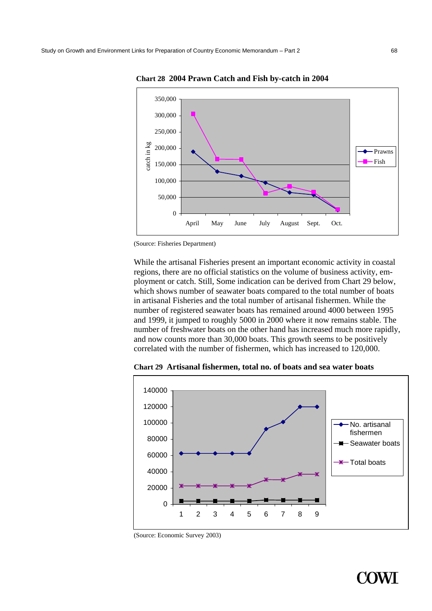

**Chart 28 2004 Prawn Catch and Fish by-catch in 2004** 

(Source: Fisheries Department)

While the artisanal Fisheries present an important economic activity in coastal regions, there are no official statistics on the volume of business activity, employment or catch. Still, Some indication can be derived from Chart 29 below, which shows number of seawater boats compared to the total number of boats in artisanal Fisheries and the total number of artisanal fishermen. While the number of registered seawater boats has remained around 4000 between 1995 and 1999, it jumped to roughly 5000 in 2000 where it now remains stable. The number of freshwater boats on the other hand has increased much more rapidly, and now counts more than 30,000 boats. This growth seems to be positively correlated with the number of fishermen, which has increased to 120,000.



**Chart 29 Artisanal fishermen, total no. of boats and sea water boats** 

(Source: Economic Survey 2003)



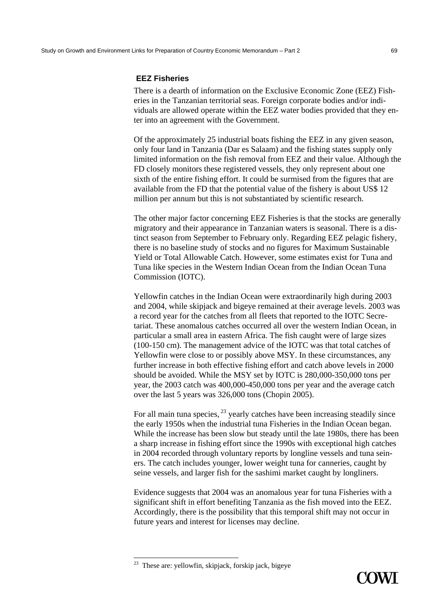There is a dearth of information on the Exclusive Economic Zone (EEZ) Fisheries in the Tanzanian territorial seas. Foreign corporate bodies and/or individuals are allowed operate within the EEZ water bodies provided that they enter into an agreement with the Government.

Of the approximately 25 industrial boats fishing the EEZ in any given season, only four land in Tanzania (Dar es Salaam) and the fishing states supply only limited information on the fish removal from EEZ and their value. Although the FD closely monitors these registered vessels, they only represent about one sixth of the entire fishing effort. It could be surmised from the figures that are available from the FD that the potential value of the fishery is about US\$ 12 million per annum but this is not substantiated by scientific research.

The other major factor concerning EEZ Fisheries is that the stocks are generally migratory and their appearance in Tanzanian waters is seasonal. There is a distinct season from September to February only. Regarding EEZ pelagic fishery, there is no baseline study of stocks and no figures for Maximum Sustainable Yield or Total Allowable Catch. However, some estimates exist for Tuna and Tuna like species in the Western Indian Ocean from the Indian Ocean Tuna Commission (IOTC).

Yellowfin catches in the Indian Ocean were extraordinarily high during 2003 and 2004, while skipjack and bigeye remained at their average levels. 2003 was a record year for the catches from all fleets that reported to the IOTC Secretariat. These anomalous catches occurred all over the western Indian Ocean, in particular a small area in eastern Africa. The fish caught were of large sizes (100-150 cm). The management advice of the IOTC was that total catches of Yellowfin were close to or possibly above MSY. In these circumstances, any further increase in both effective fishing effort and catch above levels in 2000 should be avoided. While the MSY set by IOTC is 280,000-350,000 tons per year, the 2003 catch was 400,000-450,000 tons per year and the average catch over the last 5 years was 326,000 tons (Chopin 2005).

For all main tuna species,  $^{23}$  yearly catches have been increasing steadily since the early 1950s when the industrial tuna Fisheries in the Indian Ocean began. While the increase has been slow but steady until the late 1980s, there has been a sharp increase in fishing effort since the 1990s with exceptional high catches in 2004 recorded through voluntary reports by longline vessels and tuna seiners. The catch includes younger, lower weight tuna for canneries, caught by seine vessels, and larger fish for the sashimi market caught by longliners.

Evidence suggests that 2004 was an anomalous year for tuna Fisheries with a significant shift in effort benefiting Tanzania as the fish moved into the EEZ. Accordingly, there is the possibility that this temporal shift may not occur in future years and interest for licenses may decline.

 $2<sup>23</sup>$  These are: yellowfin, skipjack, forskip jack, bigeye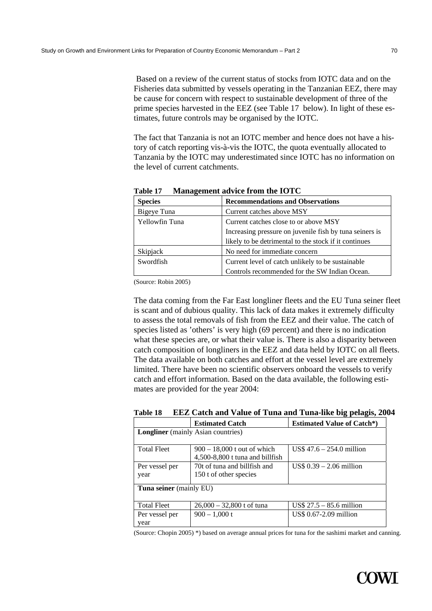Based on a review of the current status of stocks from IOTC data and on the Fisheries data submitted by vessels operating in the Tanzanian EEZ, there may be cause for concern with respect to sustainable development of three of the prime species harvested in the EEZ (see Table 17 below). In light of these estimates, future controls may be organised by the IOTC.

The fact that Tanzania is not an IOTC member and hence does not have a history of catch reporting vis-à-vis the IOTC, the quota eventually allocated to Tanzania by the IOTC may underestimated since IOTC has no information on the level of current catchments.

| <b>Species</b> | <b>Recommendations and Observations</b>                 |
|----------------|---------------------------------------------------------|
| Bigeye Tuna    | Current catches above MSY                               |
| Yellowfin Tuna | Current catches close to or above MSY                   |
|                | Increasing pressure on juvenile fish by tuna seiners is |
|                | likely to be detrimental to the stock if it continues   |
| Skipjack       | No need for immediate concern                           |
| Swordfish      | Current level of catch unlikely to be sustainable       |
|                | Controls recommended for the SW Indian Ocean.           |

**Table 17 Management advice from the IOTC** 

(Source: Robin 2005)

The data coming from the Far East longliner fleets and the EU Tuna seiner fleet is scant and of dubious quality. This lack of data makes it extremely difficulty to assess the total removals of fish from the EEZ and their value. The catch of species listed as 'others' is very high (69 percent) and there is no indication what these species are, or what their value is. There is also a disparity between catch composition of longliners in the EEZ and data held by IOTC on all fleets. The data available on both catches and effort at the vessel level are extremely limited. There have been no scientific observers onboard the vessels to verify catch and effort information. Based on the data available, the following estimates are provided for the year 2004:

|                                           | <b>Estimated Catch</b>          | <b>Estimated Value of Catch*)</b>         |  |  |
|-------------------------------------------|---------------------------------|-------------------------------------------|--|--|
| <b>Longliner</b> (mainly Asian countries) |                                 |                                           |  |  |
|                                           |                                 |                                           |  |  |
| <b>Total Fleet</b>                        | $900 - 18,000$ t out of which   | $US\$ 47.6 – 254.0 million                |  |  |
|                                           | 4,500-8,800 t tuna and billfish |                                           |  |  |
| Per vessel per                            | 70t of tuna and billfish and    | $\text{US}\$ 0.39 - 2.06 \text{ million}$ |  |  |
| year                                      | 150 t of other species          |                                           |  |  |
| Tuna seiner (mainly EU)                   |                                 |                                           |  |  |
|                                           |                                 |                                           |  |  |
| <b>Total Fleet</b>                        | $26,000 - 32,800$ t of tuna     | $\text{US}\$ 27.5 - 85.6 \text{ million}$ |  |  |
| Per vessel per                            | $900 - 1,000$ t                 | US\$ 0.67-2.09 million                    |  |  |
| vear                                      |                                 |                                           |  |  |

**Table 18 EEZ Catch and Value of Tuna and Tuna-like big pelagis, 2004** 

(Source: Chopin 2005) \*) based on average annual prices for tuna for the sashimi market and canning.

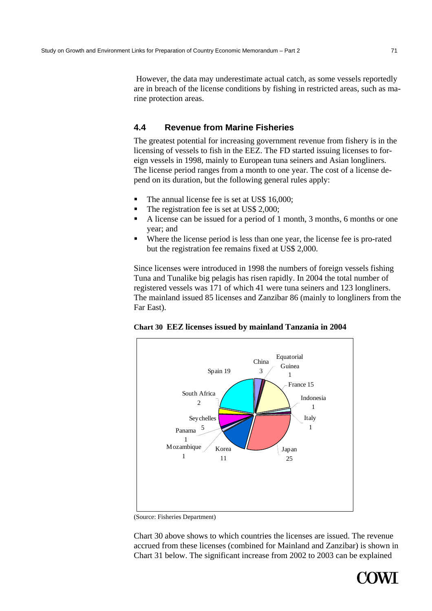However, the data may underestimate actual catch, as some vessels reportedly are in breach of the license conditions by fishing in restricted areas, such as marine protection areas.

# **4.4 Revenue from Marine Fisheries**

The greatest potential for increasing government revenue from fishery is in the licensing of vessels to fish in the EEZ. The FD started issuing licenses to foreign vessels in 1998, mainly to European tuna seiners and Asian longliners. The license period ranges from a month to one year. The cost of a license depend on its duration, but the following general rules apply:

- The annual license fee is set at US\$ 16,000;
- The registration fee is set at US\$ 2,000;
- A license can be issued for a period of 1 month, 3 months, 6 months or one year; and
- Where the license period is less than one year, the license fee is pro-rated but the registration fee remains fixed at US\$ 2,000.

Since licenses were introduced in 1998 the numbers of foreign vessels fishing Tuna and Tunalike big pelagis has risen rapidly. In 2004 the total number of registered vessels was 171 of which 41 were tuna seiners and 123 longliners. The mainland issued 85 licenses and Zanzibar 86 (mainly to longliners from the Far East).





<sup>(</sup>Source: Fisheries Department)

Chart 30 above shows to which countries the licenses are issued. The revenue accrued from these licenses (combined for Mainland and Zanzibar) is shown in Chart 31 below. The significant increase from 2002 to 2003 can be explained

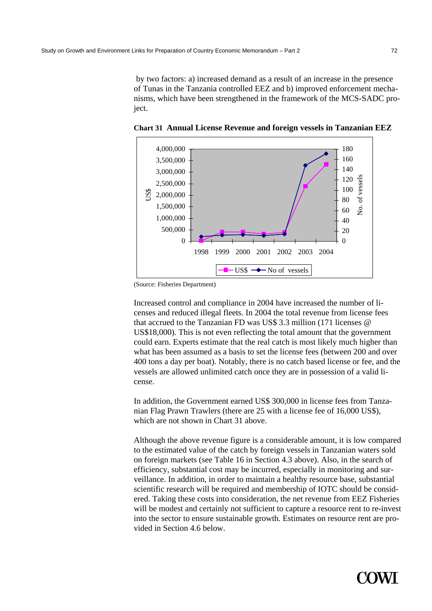by two factors: a) increased demand as a result of an increase in the presence of Tunas in the Tanzania controlled EEZ and b) improved enforcement mechanisms, which have been strengthened in the framework of the MCS-SADC project.



**Chart 31 Annual License Revenue and foreign vessels in Tanzanian EEZ** 

(Source: Fisheries Department)

Increased control and compliance in 2004 have increased the number of licenses and reduced illegal fleets. In 2004 the total revenue from license fees that accrued to the Tanzanian FD was US\$ 3.3 million (171 licenses @ US\$18,000). This is not even reflecting the total amount that the government could earn. Experts estimate that the real catch is most likely much higher than what has been assumed as a basis to set the license fees (between 200 and over 400 tons a day per boat). Notably, there is no catch based license or fee, and the vessels are allowed unlimited catch once they are in possession of a valid license.

In addition, the Government earned US\$ 300,000 in license fees from Tanzanian Flag Prawn Trawlers (there are 25 with a license fee of 16,000 US\$), which are not shown in Chart 31 above.

Although the above revenue figure is a considerable amount, it is low compared to the estimated value of the catch by foreign vessels in Tanzanian waters sold on foreign markets (see Table 16 in Section 4.3 above). Also, in the search of efficiency, substantial cost may be incurred, especially in monitoring and surveillance. In addition, in order to maintain a healthy resource base, substantial scientific research will be required and membership of IOTC should be considered. Taking these costs into consideration, the net revenue from EEZ Fisheries will be modest and certainly not sufficient to capture a resource rent to re-invest into the sector to ensure sustainable growth. Estimates on resource rent are provided in Section 4.6 below.

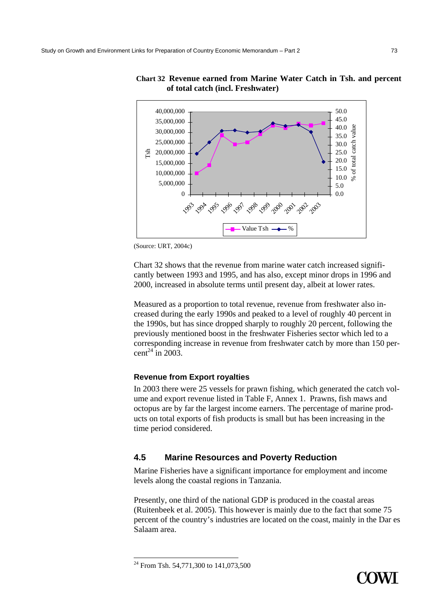

## **Chart 32 Revenue earned from Marine Water Catch in Tsh. and percent of total catch (incl. Freshwater)**

(Source: URT, 2004c)

Chart 32 shows that the revenue from marine water catch increased significantly between 1993 and 1995, and has also, except minor drops in 1996 and 2000, increased in absolute terms until present day, albeit at lower rates.

Measured as a proportion to total revenue, revenue from freshwater also increased during the early 1990s and peaked to a level of roughly 40 percent in the 1990s, but has since dropped sharply to roughly 20 percent, following the previously mentioned boost in the freshwater Fisheries sector which led to a corresponding increase in revenue from freshwater catch by more than 150 percent<sup>24</sup> in 2003.

## **Revenue from Export royalties**

In 2003 there were 25 vessels for prawn fishing, which generated the catch volume and export revenue listed in Table F, Annex 1. Prawns, fish maws and octopus are by far the largest income earners. The percentage of marine products on total exports of fish products is small but has been increasing in the time period considered.

# **4.5 Marine Resources and Poverty Reduction**

Marine Fisheries have a significant importance for employment and income levels along the coastal regions in Tanzania.

Presently, one third of the national GDP is produced in the coastal areas (Ruitenbeek et al. 2005). This however is mainly due to the fact that some 75 percent of the country's industries are located on the coast, mainly in the Dar es Salaam area.



<sup>&</sup>lt;sup>24</sup> From Tsh. 54,771,300 to 141,073,500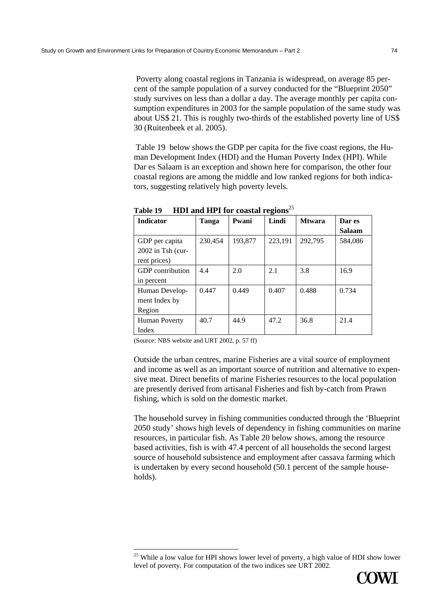Poverty along coastal regions in Tanzania is widespread, on average 85 percent of the sample population of a survey conducted for the "Blueprint 2050" study survives on less than a dollar a day. The average monthly per capita consumption expenditures in 2003 for the sample population of the same study was about US\$ 21. This is roughly two-thirds of the established poverty line of US\$ 30 (Ruitenbeek et al. 2005).

 Table 19 below shows the GDP per capita for the five coast regions, the Human Development Index (HDI) and the Human Poverty Index (HPI). While Dar es Salaam is an exception and shown here for comparison, the other four coastal regions are among the middle and low ranked regions for both indicators, suggesting relatively high poverty levels.

|                      |         |         | ີ       |               |               |  |
|----------------------|---------|---------|---------|---------------|---------------|--|
| <b>Indicator</b>     | Tanga   | Pwani   | Lindi   | <b>Mtwara</b> | Dar es        |  |
|                      |         |         |         |               | <b>Salaam</b> |  |
| GDP per capita       | 230.454 | 193,877 | 223,191 | 292,795       | 584,086       |  |
| 2002 in Tsh (cur-    |         |         |         |               |               |  |
| rent prices)         |         |         |         |               |               |  |
| GDP contribution     | 4.4     | 2.0     | 2.1     | 3.8           | 16.9          |  |
| in percent           |         |         |         |               |               |  |
| Human Develop-       | 0.447   | 0.449   | 0.407   | 0.488         | 0.734         |  |
| ment Index by        |         |         |         |               |               |  |
| Region               |         |         |         |               |               |  |
| <b>Human Poverty</b> | 40.7    | 44.9    | 47.2    | 36.8          | 21.4          |  |
| Index                |         |         |         |               |               |  |

**Table 19 HDI and HPI for coastal regions**<sup>25</sup>

(Source: NBS website and URT 2002, p. 57 ff)

Outside the urban centres, marine Fisheries are a vital source of employment and income as well as an important source of nutrition and alternative to expensive meat. Direct benefits of marine Fisheries resources to the local population are presently derived from artisanal Fisheries and fish by-catch from Prawn fishing, which is sold on the domestic market.

The household survey in fishing communities conducted through the 'Blueprint 2050 study' shows high levels of dependency in fishing communities on marine resources, in particular fish. As Table 20 below shows, among the resource based activities, fish is with 47.4 percent of all households the second largest source of household subsistence and employment after cassava farming which is undertaken by every second household (50.1 percent of the sample households).

<sup>&</sup>lt;sup>25</sup> While a low value for HPI shows lower level of poverty, a high value of HDI show lower level of poverty. For computation of the two indices see URT 2002.

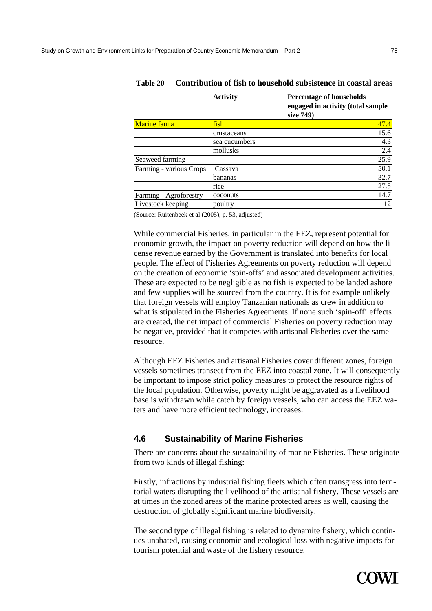|                         | <b>Activity</b> | <b>Percentage of households</b><br>engaged in activity (total sample<br>size 749) |
|-------------------------|-----------------|-----------------------------------------------------------------------------------|
| Marine fauna            | fish            | 47.4                                                                              |
|                         | crustaceans     | 15.6                                                                              |
|                         | sea cucumbers   | 4.3                                                                               |
|                         | mollusks        | 2.4                                                                               |
| Seaweed farming         |                 | 25.9                                                                              |
| Farming - various Crops | Cassava         | 50.1                                                                              |
|                         | bananas         | 32.7                                                                              |
|                         | rice            | 27.5                                                                              |
| Farming - Agroforestry  | coconuts        | 14.7                                                                              |
| Livestock keeping       | poultry         | 12                                                                                |

**Table 20 Contribution of fish to household subsistence in coastal areas** 

(Source: Ruitenbeek et al (2005), p. 53, adjusted)

While commercial Fisheries, in particular in the EEZ, represent potential for economic growth, the impact on poverty reduction will depend on how the license revenue earned by the Government is translated into benefits for local people. The effect of Fisheries Agreements on poverty reduction will depend on the creation of economic 'spin-offs' and associated development activities. These are expected to be negligible as no fish is expected to be landed ashore and few supplies will be sourced from the country. It is for example unlikely that foreign vessels will employ Tanzanian nationals as crew in addition to what is stipulated in the Fisheries Agreements. If none such 'spin-off' effects are created, the net impact of commercial Fisheries on poverty reduction may be negative, provided that it competes with artisanal Fisheries over the same resource.

Although EEZ Fisheries and artisanal Fisheries cover different zones, foreign vessels sometimes transect from the EEZ into coastal zone. It will consequently be important to impose strict policy measures to protect the resource rights of the local population. Otherwise, poverty might be aggravated as a livelihood base is withdrawn while catch by foreign vessels, who can access the EEZ waters and have more efficient technology, increases.

## **4.6 Sustainability of Marine Fisheries**

There are concerns about the sustainability of marine Fisheries. These originate from two kinds of illegal fishing:

Firstly, infractions by industrial fishing fleets which often transgress into territorial waters disrupting the livelihood of the artisanal fishery. These vessels are at times in the zoned areas of the marine protected areas as well, causing the destruction of globally significant marine biodiversity.

The second type of illegal fishing is related to dynamite fishery, which continues unabated, causing economic and ecological loss with negative impacts for tourism potential and waste of the fishery resource.

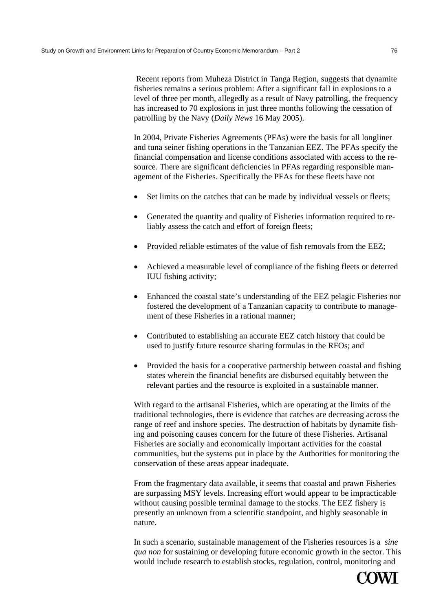Recent reports from Muheza District in Tanga Region, suggests that dynamite fisheries remains a serious problem: After a significant fall in explosions to a level of three per month, allegedly as a result of Navy patrolling, the frequency has increased to 70 explosions in just three months following the cessation of patrolling by the Navy (*Daily News* 16 May 2005).

In 2004, Private Fisheries Agreements (PFAs) were the basis for all longliner and tuna seiner fishing operations in the Tanzanian EEZ. The PFAs specify the financial compensation and license conditions associated with access to the resource. There are significant deficiencies in PFAs regarding responsible management of the Fisheries. Specifically the PFAs for these fleets have not

- Set limits on the catches that can be made by individual vessels or fleets;
- Generated the quantity and quality of Fisheries information required to reliably assess the catch and effort of foreign fleets;
- Provided reliable estimates of the value of fish removals from the EEZ;
- Achieved a measurable level of compliance of the fishing fleets or deterred IUU fishing activity;
- Enhanced the coastal state's understanding of the EEZ pelagic Fisheries nor fostered the development of a Tanzanian capacity to contribute to management of these Fisheries in a rational manner;
- Contributed to establishing an accurate EEZ catch history that could be used to justify future resource sharing formulas in the RFOs; and
- Provided the basis for a cooperative partnership between coastal and fishing states wherein the financial benefits are disbursed equitably between the relevant parties and the resource is exploited in a sustainable manner.

With regard to the artisanal Fisheries, which are operating at the limits of the traditional technologies, there is evidence that catches are decreasing across the range of reef and inshore species. The destruction of habitats by dynamite fishing and poisoning causes concern for the future of these Fisheries. Artisanal Fisheries are socially and economically important activities for the coastal communities, but the systems put in place by the Authorities for monitoring the conservation of these areas appear inadequate.

From the fragmentary data available, it seems that coastal and prawn Fisheries are surpassing MSY levels. Increasing effort would appear to be impracticable without causing possible terminal damage to the stocks. The EEZ fishery is presently an unknown from a scientific standpoint, and highly seasonable in nature.

In such a scenario, sustainable management of the Fisheries resources is a *sine qua non* for sustaining or developing future economic growth in the sector. This would include research to establish stocks, regulation, control, monitoring and

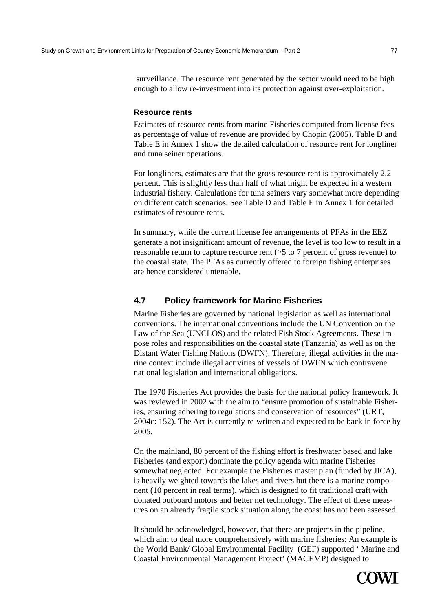surveillance. The resource rent generated by the sector would need to be high enough to allow re-investment into its protection against over-exploitation.

#### **Resource rents**

Estimates of resource rents from marine Fisheries computed from license fees as percentage of value of revenue are provided by Chopin (2005). Table D and Table E in Annex 1 show the detailed calculation of resource rent for longliner and tuna seiner operations.

For longliners, estimates are that the gross resource rent is approximately 2.2 percent. This is slightly less than half of what might be expected in a western industrial fishery. Calculations for tuna seiners vary somewhat more depending on different catch scenarios. See Table D and Table E in Annex 1 for detailed estimates of resource rents.

In summary, while the current license fee arrangements of PFAs in the EEZ generate a not insignificant amount of revenue, the level is too low to result in a reasonable return to capture resource rent (>5 to 7 percent of gross revenue) to the coastal state. The PFAs as currently offered to foreign fishing enterprises are hence considered untenable.

# **4.7 Policy framework for Marine Fisheries**

Marine Fisheries are governed by national legislation as well as international conventions. The international conventions include the UN Convention on the Law of the Sea (UNCLOS) and the related Fish Stock Agreements. These impose roles and responsibilities on the coastal state (Tanzania) as well as on the Distant Water Fishing Nations (DWFN). Therefore, illegal activities in the marine context include illegal activities of vessels of DWFN which contravene national legislation and international obligations.

The 1970 Fisheries Act provides the basis for the national policy framework. It was reviewed in 2002 with the aim to "ensure promotion of sustainable Fisheries, ensuring adhering to regulations and conservation of resources" (URT, 2004c: 152). The Act is currently re-written and expected to be back in force by 2005.

On the mainland, 80 percent of the fishing effort is freshwater based and lake Fisheries (and export) dominate the policy agenda with marine Fisheries somewhat neglected. For example the Fisheries master plan (funded by JICA), is heavily weighted towards the lakes and rivers but there is a marine component (10 percent in real terms), which is designed to fit traditional craft with donated outboard motors and better net technology. The effect of these measures on an already fragile stock situation along the coast has not been assessed.

It should be acknowledged, however, that there are projects in the pipeline, which aim to deal more comprehensively with marine fisheries: An example is the World Bank/ Global Environmental Facility (GEF) supported ' Marine and Coastal Environmental Management Project' (MACEMP) designed to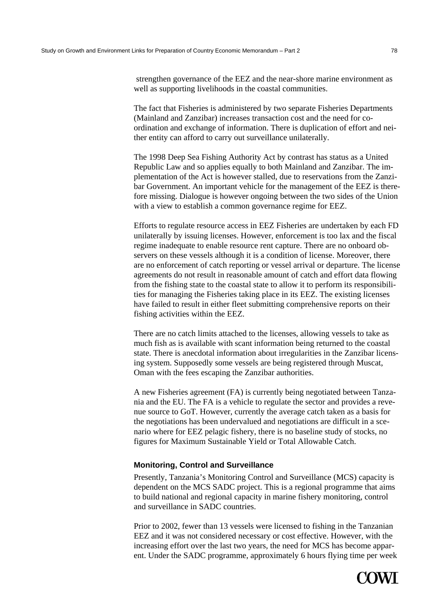strengthen governance of the EEZ and the near-shore marine environment as well as supporting livelihoods in the coastal communities.

The fact that Fisheries is administered by two separate Fisheries Departments (Mainland and Zanzibar) increases transaction cost and the need for coordination and exchange of information. There is duplication of effort and neither entity can afford to carry out surveillance unilaterally.

The 1998 Deep Sea Fishing Authority Act by contrast has status as a United Republic Law and so applies equally to both Mainland and Zanzibar. The implementation of the Act is however stalled, due to reservations from the Zanzibar Government. An important vehicle for the management of the EEZ is therefore missing. Dialogue is however ongoing between the two sides of the Union with a view to establish a common governance regime for EEZ.

Efforts to regulate resource access in EEZ Fisheries are undertaken by each FD unilaterally by issuing licenses. However, enforcement is too lax and the fiscal regime inadequate to enable resource rent capture. There are no onboard observers on these vessels although it is a condition of license. Moreover, there are no enforcement of catch reporting or vessel arrival or departure. The license agreements do not result in reasonable amount of catch and effort data flowing from the fishing state to the coastal state to allow it to perform its responsibilities for managing the Fisheries taking place in its EEZ. The existing licenses have failed to result in either fleet submitting comprehensive reports on their fishing activities within the EEZ.

There are no catch limits attached to the licenses, allowing vessels to take as much fish as is available with scant information being returned to the coastal state. There is anecdotal information about irregularities in the Zanzibar licensing system. Supposedly some vessels are being registered through Muscat, Oman with the fees escaping the Zanzibar authorities.

A new Fisheries agreement (FA) is currently being negotiated between Tanzania and the EU. The FA is a vehicle to regulate the sector and provides a revenue source to GoT. However, currently the average catch taken as a basis for the negotiations has been undervalued and negotiations are difficult in a scenario where for EEZ pelagic fishery, there is no baseline study of stocks, no figures for Maximum Sustainable Yield or Total Allowable Catch.

#### **Monitoring, Control and Surveillance**

Presently, Tanzania's Monitoring Control and Surveillance (MCS) capacity is dependent on the MCS SADC project. This is a regional programme that aims to build national and regional capacity in marine fishery monitoring, control and surveillance in SADC countries.

Prior to 2002, fewer than 13 vessels were licensed to fishing in the Tanzanian EEZ and it was not considered necessary or cost effective. However, with the increasing effort over the last two years, the need for MCS has become apparent. Under the SADC programme, approximately 6 hours flying time per week

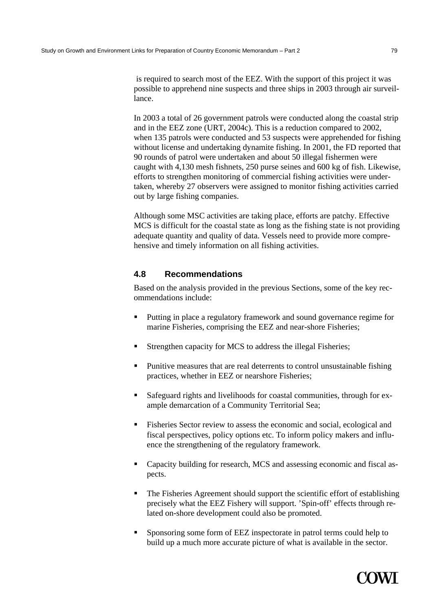is required to search most of the EEZ. With the support of this project it was possible to apprehend nine suspects and three ships in 2003 through air surveillance.

In 2003 a total of 26 government patrols were conducted along the coastal strip and in the EEZ zone (URT, 2004c). This is a reduction compared to 2002, when 135 patrols were conducted and 53 suspects were apprehended for fishing without license and undertaking dynamite fishing. In 2001, the FD reported that 90 rounds of patrol were undertaken and about 50 illegal fishermen were caught with 4,130 mesh fishnets, 250 purse seines and 600 kg of fish. Likewise, efforts to strengthen monitoring of commercial fishing activities were undertaken, whereby 27 observers were assigned to monitor fishing activities carried out by large fishing companies.

Although some MSC activities are taking place, efforts are patchy. Effective MCS is difficult for the coastal state as long as the fishing state is not providing adequate quantity and quality of data. Vessels need to provide more comprehensive and timely information on all fishing activities.

# **4.8 Recommendations**

Based on the analysis provided in the previous Sections, some of the key recommendations include:

- **Putting in place a regulatory framework and sound governance regime for** marine Fisheries, comprising the EEZ and near-shore Fisheries;
- **Strengthen capacity for MCS to address the illegal Fisheries;**
- Punitive measures that are real deterrents to control unsustainable fishing practices, whether in EEZ or nearshore Fisheries;
- Safeguard rights and livelihoods for coastal communities, through for example demarcation of a Community Territorial Sea;
- Fisheries Sector review to assess the economic and social, ecological and fiscal perspectives, policy options etc. To inform policy makers and influence the strengthening of the regulatory framework.
- Capacity building for research, MCS and assessing economic and fiscal aspects.
- The Fisheries Agreement should support the scientific effort of establishing precisely what the EEZ Fishery will support. 'Spin-off' effects through related on-shore development could also be promoted.
- Sponsoring some form of EEZ inspectorate in patrol terms could help to build up a much more accurate picture of what is available in the sector.

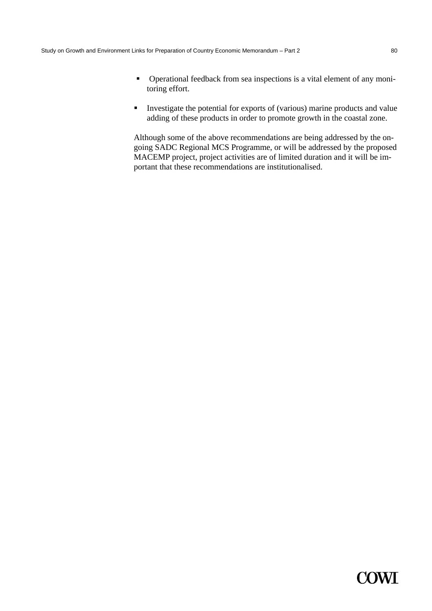- Operational feedback from sea inspections is a vital element of any monitoring effort.
- Investigate the potential for exports of (various) marine products and value adding of these products in order to promote growth in the coastal zone.

Although some of the above recommendations are being addressed by the ongoing SADC Regional MCS Programme, or will be addressed by the proposed MACEMP project, project activities are of limited duration and it will be important that these recommendations are institutionalised.

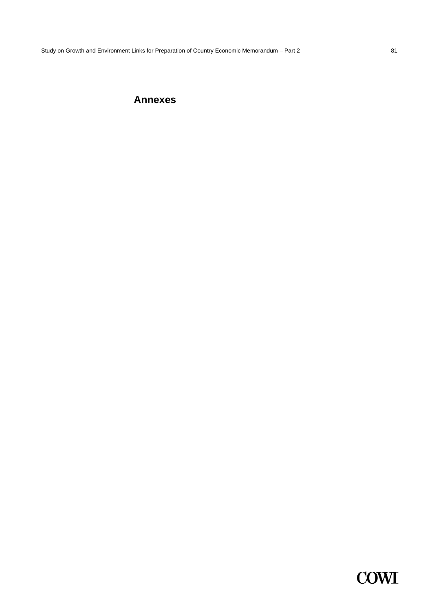# **Annexes**

# **COWI**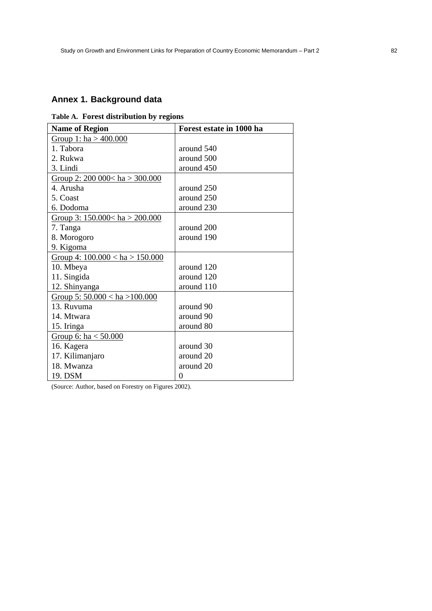# **Annex 1. Background data**

|  |  | Table A. Forest distribution by regions |  |  |
|--|--|-----------------------------------------|--|--|
|--|--|-----------------------------------------|--|--|

| <b>Name of Region</b>              | Forest estate in 1000 ha |
|------------------------------------|--------------------------|
| Group 1: $ha > 400.000$            |                          |
| 1. Tabora                          | around 540               |
| 2. Rukwa                           | around 500               |
| 3. Lindi                           | around 450               |
| Group 2: $200\,000 < ha > 300.000$ |                          |
| 4. Arusha                          | around 250               |
| 5. Coast                           | around 250               |
| 6. Dodoma                          | around 230               |
| Group 3: $150.000 < ha > 200.000$  |                          |
| 7. Tanga                           | around 200               |
| 8. Morogoro                        | around 190               |
| 9. Kigoma                          |                          |
| Group 4: $100.000 < ha > 150.000$  |                          |
| 10. Mbeya                          | around 120               |
| 11. Singida                        | around 120               |
| 12. Shinyanga                      | around 110               |
| Group 5: $50.000 < ha > 100.000$   |                          |
| 13. Ruvuma                         | around 90                |
| 14. Mtwara                         | around 90                |
| 15. Iringa                         | around 80                |
| Group 6: ha $< 50.000$             |                          |
| 16. Kagera                         | around 30                |
| 17. Kilimanjaro                    | around 20                |
| 18. Mwanza                         | around 20                |
| 19. DSM                            | 0                        |

(Source: Author, based on Forestry on Figures 2002).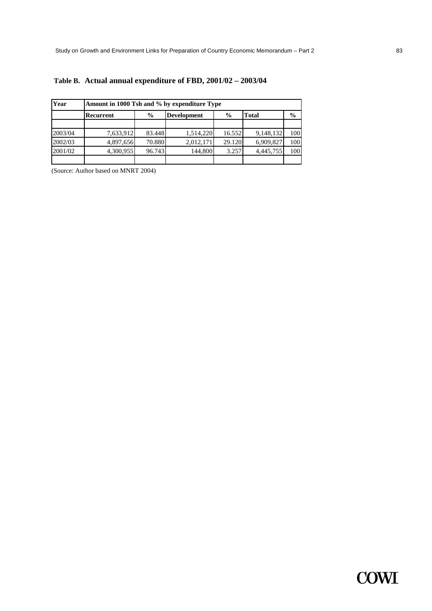| Year    | Amount in 1000 Tsh and % by expenditure Type |                                     |           |        |              |               |  |  |  |  |  |
|---------|----------------------------------------------|-------------------------------------|-----------|--------|--------------|---------------|--|--|--|--|--|
|         | Recurrent                                    | $\frac{0}{0}$<br><b>Development</b> |           | $\%$   | <b>Total</b> | $\frac{0}{0}$ |  |  |  |  |  |
| 2003/04 | 7,633,912                                    | 83.448                              | 1,514,220 | 16.552 | 9,148,132    | 100           |  |  |  |  |  |
| 2002/03 | 4,897,656                                    | 70.880                              | 2,012,171 | 29.120 | 6,909,827    | 100           |  |  |  |  |  |
| 2001/02 | 4,300,955                                    | 96.743                              | 144,800   | 3.257  | 4,445,755    | 100           |  |  |  |  |  |
|         |                                              |                                     |           |        |              |               |  |  |  |  |  |

# **Table B. Actual annual expenditure of FBD, 2001/02 – 2003/04**

(Source: Author based on MNRT 2004)

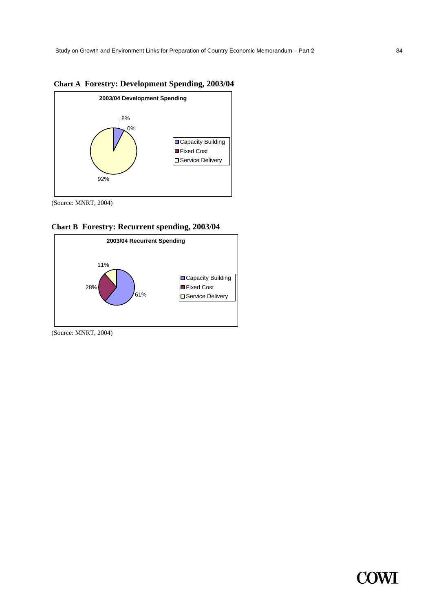



(Source: MNRT, 2004)





(Source: MNRT, 2004)

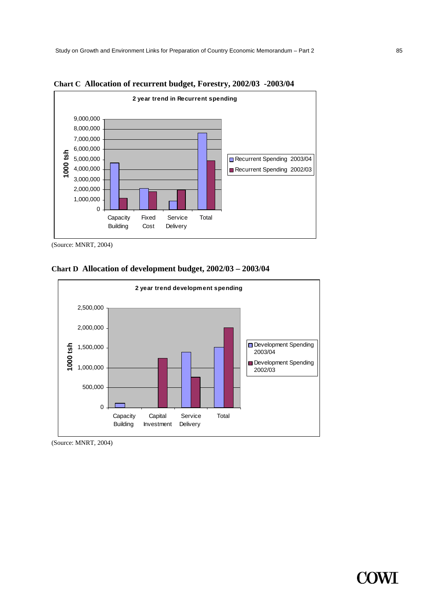

**Chart C Allocation of recurrent budget, Forestry, 2002/03 -2003/04** 

<sup>(</sup>Source: MNRT, 2004)





(Source: MNRT, 2004)

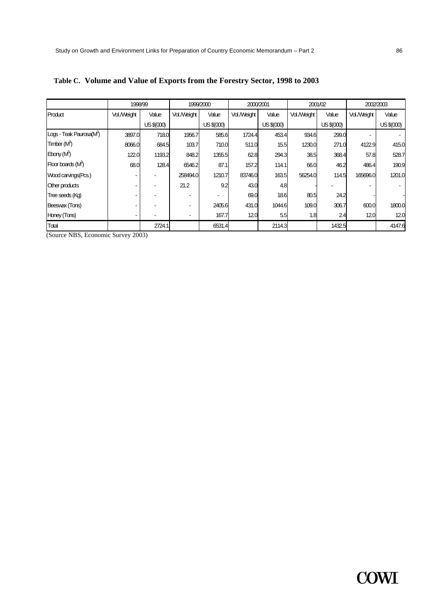|                                      | 1998/99     |            | 1999/2000   |            | 2000/2001   |            | 2001/02     |            | 2002/2003   |            |
|--------------------------------------|-------------|------------|-------------|------------|-------------|------------|-------------|------------|-------------|------------|
| Product                              | Vol./Weight | Value      | Vol./Weight | Value      | Vol./Weight | Value      | Vol./Weight | Value      | Vol./Weight | Value      |
|                                      |             | US \$(000) |             | US \$(000) |             | US \$(000) |             | US \$(000) |             | US \$(000) |
| Logs - Teak Paurosa(M <sup>3</sup> ) | 3897.0      | 718.0      | 1956.7      | 585.6      | 1724.4      | 453.4      | 934.6       | 299.0      |             |            |
| Timber (M <sup>3</sup> )             | 8066.0      | 684.5      | 103.7       | 710.0      | 511.0       | 15.5       | 1230.0      | 271.0      | 4122.9      | 415.0      |
| Ebony (M <sup>3</sup> )              | 122.0       | 1193.2     | 848.2       | 1355.5     | 62.8        | 294.3      | 38.5        | 368.4      | 57.8        | 528.7      |
| Floor boards (M <sup>3</sup> )       | 68.0        | 128.4      | 6546.2      | 87.1       | 157.2       | 114.1      | 66.0        | 46.2       | 486.4       | 190.9      |
| Wood carvings (Pcs.)                 |             |            | 258494.0    | 1210.7     | 83746.0     | 163.5      | 56254.0     | 114.5      | 165696.0    | 1201.0     |
| Other products                       |             |            | 21.2        | 9.2        | 43.0        | 4.8        |             |            |             |            |
| Tree seeds (Kg)                      |             |            |             |            | 69.0        | 18.6       | 80.5        | 24.2       |             |            |
| Beeswax (Tons)                       |             |            |             | 2405.6     | 431.0       | 1044.6     | 109.0       | 306.7      | 600.0       | 1800.0     |
| Honey (Tons)                         |             |            |             | 167.7      | 12.0        | 5.5        | 1.8         | 2.4        | 12.0        | 12.0       |
| Total                                |             | 2724.1     |             | 6531.4     |             | 2114.3     |             | 1432.5     |             | 4147.6     |

**Table C. Volume and Value of Exports from the Forestry Sector, 1998 to 2003** 

(Source NBS, Economic Survey 2003)

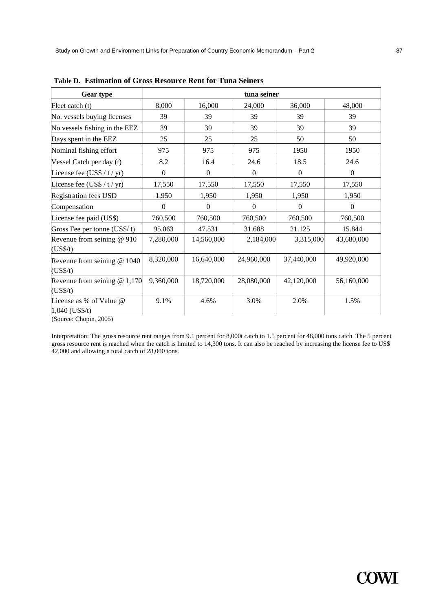| <b>Gear type</b>                          | tuna seiner    |              |                |                  |              |  |  |  |  |
|-------------------------------------------|----------------|--------------|----------------|------------------|--------------|--|--|--|--|
| Fleet catch (t)                           | 8,000          | 16,000       | 24,000         | 36,000           | 48,000       |  |  |  |  |
| No. vessels buying licenses               | 39             | 39           | 39             | 39               | 39           |  |  |  |  |
| No vessels fishing in the EEZ             | 39             | 39           | 39             | 39               | 39           |  |  |  |  |
| Days spent in the EEZ                     | 25             | 25           | 25             | 50               | 50           |  |  |  |  |
| Nominal fishing effort                    | 975            | 975          | 975            | 1950             | 1950         |  |  |  |  |
| Vessel Catch per day (t)                  | 8.2            | 16.4         | 24.6           | 18.5             | 24.6         |  |  |  |  |
| License fee $(US$ / t / yr)$              | $\overline{0}$ | $\mathbf{0}$ | $\overline{0}$ | $\boldsymbol{0}$ | $\mathbf{0}$ |  |  |  |  |
| License fee $(US$ / t / yr)$              | 17,550         | 17,550       | 17,550         | 17,550           | 17,550       |  |  |  |  |
| <b>Registration fees USD</b>              | 1,950          | 1,950        | 1,950          | 1,950            | 1,950        |  |  |  |  |
| Compensation                              | $\Omega$       | $\Omega$     | $\Omega$       | $\Omega$         | $\Omega$     |  |  |  |  |
| License fee paid (US\$)                   | 760,500        | 760,500      | 760,500        | 760,500          | 760,500      |  |  |  |  |
| Gross Fee per tonne $(US\frac{6}{5})$ t)  | 95.063         | 47.531       | 31.688         | 21.125           | 15.844       |  |  |  |  |
| Revenue from seining $@910$<br>(US\$/t)   | 7,280,000      | 14,560,000   | 2,184,000      | 3,315,000        | 43,680,000   |  |  |  |  |
| Revenue from seining @ 1040<br>(US\$/t)   | 8,320,000      | 16,640,000   | 24,960,000     | 37,440,000       | 49,920,000   |  |  |  |  |
| Revenue from seining $@1,170$<br>(US\$/t) | 9,360,000      | 18,720,000   | 28,080,000     | 42,120,000       | 56,160,000   |  |  |  |  |
| License as % of Value @<br>1,040 (US\$/t) | 9.1%           | 4.6%         | 3.0%           | 2.0%             | 1.5%         |  |  |  |  |

**Table D. Estimation of Gross Resource Rent for Tuna Seiners** 

(Source: Chopin, 2005)

Interpretation: The gross resource rent ranges from 9.1 percent for 8,000t catch to 1.5 percent for 48,000 tons catch. The 5 percent gross resource rent is reached when the catch is limited to 14,300 tons. It can also be reached by increasing the license fee to US\$ 42,000 and allowing a total catch of 28,000 tons.

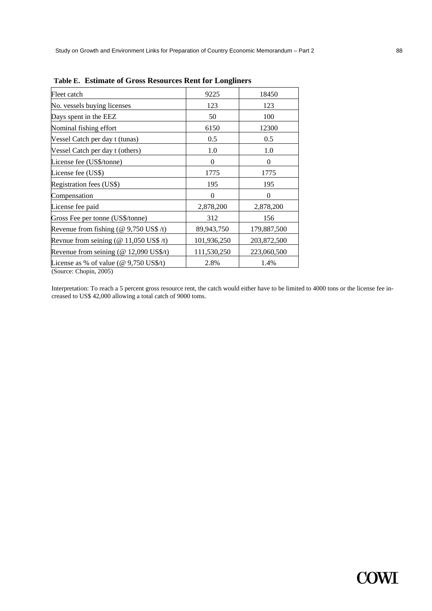| Fleet catch                                                                 | 9225        | 18450       |
|-----------------------------------------------------------------------------|-------------|-------------|
| No. vessels buying licenses                                                 | 123         | 123         |
| Days spent in the EEZ                                                       | 50          | 100         |
| Nominal fishing effort                                                      | 6150        | 12300       |
| Vessel Catch per day t (tunas)                                              | 0.5         | 0.5         |
| Vessel Catch per day t (others)                                             | 1.0         | 1.0         |
| License fee (US\$/tonne)                                                    | $\Omega$    | $\Omega$    |
| License fee (US\$)                                                          | 1775        | 1775        |
| Registration fees (US\$)                                                    | 195         | 195         |
| Compensation                                                                | $\Omega$    | $\Omega$    |
| License fee paid                                                            | 2,878,200   | 2,878,200   |
| Gross Fee per tonne (US\$/tonne)                                            | 312         | 156         |
| Revenue from fishing ( $@9,750$ US\$ /t)                                    | 89,943,750  | 179,887,500 |
| Revnue from seining ( $@11,050$ US\$ /t)                                    | 101,936,250 | 203,872,500 |
| Revenue from seining $(\textcircled{a} 12,090 \text{ US}\$ \$/t)            | 111,530,250 | 223,060,500 |
| License as % of value ( $\omega$ 9,750 US\$/t)<br>$(SoutC \cap K0 \cap K0)$ | 2.8%        | 1.4%        |

**Table E. Estimate of Gross Resources Rent for Longliners** 

(Source: Chopin, 2005)

Interpretation: To reach a 5 percent gross resource rent, the catch would either have to be limited to 4000 tons or the license fee increased to US\$ 42,000 allowing a total catch of 9000 toms.

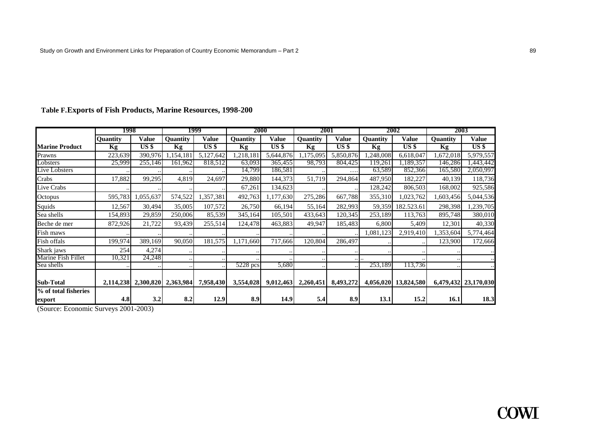|                                | 1998            |                     |           | 1999            | 2000            |           | 2001            |                 |                 | 2002                 | 2003            |                      |
|--------------------------------|-----------------|---------------------|-----------|-----------------|-----------------|-----------|-----------------|-----------------|-----------------|----------------------|-----------------|----------------------|
|                                | <b>Quantity</b> | Value               | Quantity  | Value           | <b>Ouantity</b> | Value     | <b>Ouantity</b> | Value           | <b>Quantity</b> | <b>Value</b>         | <b>Ouantity</b> | Value                |
| <b>Marine Product</b>          | Kg              | US <sub>s</sub>     | Kg        | US <sub>s</sub> | Kg              | $US$ \$   | Kg              | US <sub>3</sub> | Kg              | US \$                | Kg              | US <sub>3</sub>      |
| Prawns                         | 223,639         | 390,976             | ,154,18   | 5,127,642       | 1,218,181       | 5,644,876 | 1,175,095       | 5,850,876       | ,248,008        | 6,618,047            | 1,672,018       | 5,979,557            |
| Lobsters                       | 25,999          | 255,146             | 161,962   | 818,512         | 63,093          | 365,455   | 98,793          | 804,425         | 119,261         | 1,189,357            | 146,286         | ,443,442             |
| Live Lobsters                  |                 |                     |           |                 | 14,799          | 186,581   |                 | $\cdots$        | 63,589          | 852,366              | 165,580         | 2,050,997            |
| Crabs                          | 17,882          | 99,295              | 4,819     | 24,697          | 29,880          | 144,373   | 51,719          | 294,864         | 487,950         | 182,227              | 40,139          | 118,736              |
| Live Crabs                     |                 |                     |           |                 | 67,261          | 134,623   |                 |                 | 128,242         | 806,503              | 168,002         | 925,586              |
| Octopus                        | 595,783         | 1,055,637           | 574,522   | 1,357,381       | 492,763         | 1,177,630 | 275,286         | 667,788         | 355,310         | .023,762             | 1,603,456       | 5,044,536            |
| Squids                         | 12,567          | 30,494              | 35,005    | 107,572         | 26,750          | 66,194    | 55,164          | 282,993         | 59,359          | 182.523.61           | 298,398         | ,239,705             |
| Sea shells                     | 154,893         | 29,859              | 250,006   | 85,539          | 345,164         | 105,501   | 433,643         | 120,345         | 253,189         | 113,763              | 895,748         | 380,010              |
| Beche de mer                   | 872,926         | 21,722              | 93,439    | 255,514         | 124,478         | 463,883   | 49,947          | 185,483         | 6,800           | 5,409                | 12,301          | 40,330               |
| Fish maws                      |                 |                     |           |                 |                 |           |                 |                 | 1,081,123       | 2,919,410            | 1,353,604       | 5,774,464            |
| Fish offals                    | 199,974         | 389,169             | 90,050    | 181,575         | 1,171,660       | 717,666   | 120,804         | 286,497         |                 |                      | 123,900         | 172,666              |
| Shark jaws                     | 254             | 4,274               |           |                 |                 |           |                 |                 |                 |                      |                 |                      |
| Marine Fish Fillet             | 10,321          | 24,248              |           | $\ddotsc$       |                 |           |                 |                 |                 |                      |                 |                      |
| Sea shells                     |                 |                     |           |                 | 5228 pcs        | 5,680     |                 |                 | 253,189         | 113,736              |                 |                      |
| <b>Sub-Total</b>               |                 | 2,114,238 2,300,820 | 2,363,984 | 7,958,430       | 3,554,028       | 9,012,463 | 2,260,451       | 8,493,272       |                 | 4,056,020 13,824,580 |                 | 6,479,432 23,170,030 |
| % of total fisheries<br>export | 4.8             | 3.2                 | 8.2       | 12.9            | 8.9             | 14.9      | 5.4             | 8.9             | 13.1            | 15.2                 | 16.1            | 18.3                 |

# **Table F. Exports of Fish Products, Marine Resources, 1998-200**

(Source: Economic Surveys 2001-2003)

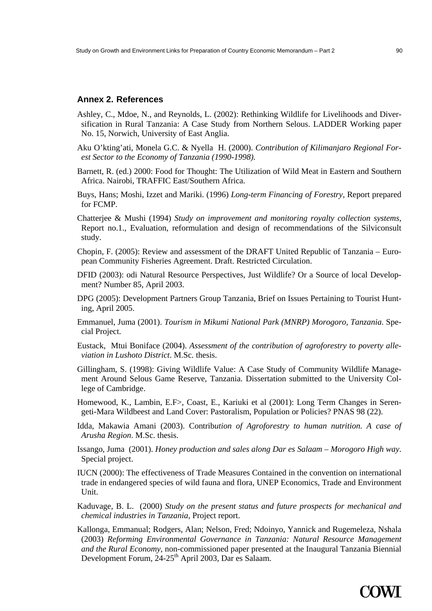### **Annex 2. References**

- Ashley, C., Mdoe, N., and Reynolds, L. (2002): Rethinking Wildlife for Livelihoods and Diversification in Rural Tanzania: A Case Study from Northern Selous. LADDER Working paper No. 15, Norwich, University of East Anglia.
- Aku O'kting'ati, Monela G.C. & Nyella H. (2000). *Contribution of Kilimanjaro Regional Forest Sector to the Economy of Tanzania (1990-1998).*
- Barnett, R. (ed.) 2000: Food for Thought: The Utilization of Wild Meat in Eastern and Southern Africa. Nairobi, TRAFFIC East/Southern Africa.
- Buys, Hans; Moshi, Izzet and Mariki. (1996) *Long-term Financing of Forestry,* Report prepared for FCMP.
- Chatterjee & Mushi (1994) *Study on improvement and monitoring royalty collection systems,*  Report no.1., Evaluation, reformulation and design of recommendations of the Silviconsult study.
- Chopin, F. (2005): Review and assessment of the DRAFT United Republic of Tanzania European Community Fisheries Agreement. Draft. Restricted Circulation.
- DFID (2003): odi Natural Resource Perspectives, Just Wildlife? Or a Source of local Development? Number 85, April 2003.
- DPG (2005): Development Partners Group Tanzania, Brief on Issues Pertaining to Tourist Hunting, April 2005.
- Emmanuel, Juma (2001). *Tourism in Mikumi National Park (MNRP) Morogoro, Tanzania*. Special Project.
- Eustack, Mtui Boniface (2004). *Assessment of the contribution of agroforestry to poverty alleviation in Lushoto District*. M.Sc. thesis.
- Gillingham, S. (1998): Giving Wildlife Value: A Case Study of Community Wildlife Management Around Selous Game Reserve, Tanzania. Dissertation submitted to the University College of Cambridge.
- Homewood, K., Lambin, E.F>, Coast, E., Kariuki et al (2001): Long Term Changes in Serengeti-Mara Wildbeest and Land Cover: Pastoralism, Population or Policies? PNAS 98 (22).
- Idda, Makawia Amani (2003). Contrib*ution of Agroforestry to human nutrition. A case of Arusha Region*. M.Sc. thesis.
- Issango, Juma (2001). *Honey production and sales along Dar es Salaam Morogoro High way*. Special project.
- IUCN (2000): The effectiveness of Trade Measures Contained in the convention on international trade in endangered species of wild fauna and flora, UNEP Economics, Trade and Environment Unit.
- Kaduvage, B. L. (2000) *Study on the present status and future prospects for mechanical and chemical industries in Tanzania,* Project report.
- Kallonga, Emmanual; Rodgers, Alan; Nelson, Fred; Ndoinyo, Yannick and Rugemeleza, Nshala (2003) *Reforming Environmental Governance in Tanzania: Natural Resource Management and the Rural Economy,* non-commissioned paper presented at the Inaugural Tanzania Biennial Development Forum, 24-25<sup>th</sup> April 2003, Dar es Salaam.

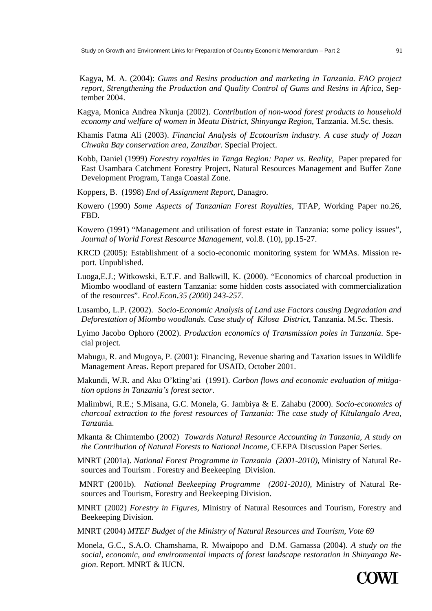Kagya, M. A. (2004): *Gums and Resins production and marketing in Tanzania. FAO project report, Strengthening the Production and Quality Control of Gums and Resins in Africa, Sep*tember 2004.

- Kagya, Monica Andrea Nkunja (2002). *Contribution of non-wood forest products to household economy and welfare of women in Meatu District, Shinyanga Region*, Tanzania. M.Sc. thesis.
- Khamis Fatma Ali (2003). *Financial Analysis of Ecotourism industry. A case study of Jozan Chwaka Bay conservation area, Zanzibar*. Special Project.
- Kobb, Daniel (1999) *Forestry royalties in Tanga Region: Paper vs. Reality,* Paper prepared for East Usambara Catchment Forestry Project, Natural Resources Management and Buffer Zone Development Program, Tanga Coastal Zone.
- Koppers, B. (1998) *End of Assignment Report,* Danagro.
- Kowero (1990) *Some Aspects of Tanzanian Forest Royalties,* TFAP, Working Paper no.26, FBD.
- Kowero (1991) "Management and utilisation of forest estate in Tanzania: some policy issues"*, Journal of World Forest Resource Management,* vol.8. (10), pp.15-27.
- KRCD (2005): Establishment of a socio-economic monitoring system for WMAs. Mission report. Unpublished.
- Luoga,E.J.; Witkowski, E.T.F. and Balkwill, K. (2000). "Economics of charcoal production in Miombo woodland of eastern Tanzania: some hidden costs associated with commercialization of the resources". *Ecol.Econ.35 (2000) 243-257.*
- Lusambo, L.P. (2002). *Socio-Economic Analysis of Land use Factors causing Degradation and Deforestation of Miombo woodlands. Case study of Kilosa District*, Tanzania. M.Sc. Thesis.
- Lyimo Jacobo Ophoro (2002). *Production economics of Transmission poles in Tanzania*. Special project.
- Mabugu, R. and Mugoya, P. (2001): Financing, Revenue sharing and Taxation issues in Wildlife Management Areas. Report prepared for USAID, October 2001.
- Makundi, W.R. and Aku O'kting'ati (1991). *Carbon flows and economic evaluation of mitigation options in Tanzania's forest sector*.
- Malimbwi, R.E.; S.Misana, G.C. Monela, G. Jambiya & E. Zahabu (2000). *Socio-economics of charcoal extraction to the forest resources of Tanzania: The case study of Kitulangalo Area, Tanzan*ia.
- Mkanta & Chimtembo (2002) *Towards Natural Resource Accounting in Tanzania, A study on the Contribution of Natural Forests to National Income,* CEEPA Discussion Paper Series.
- MNRT (2001a). *National Forest Programme in Tanzania (2001-2010),* Ministry of Natural Resources and Tourism . Forestry and Beekeeping Division.
- MNRT (2001b). *National Beekeeping Programme (2001-2010),* Ministry of Natural Resources and Tourism, Forestry and Beekeeping Division.
- MNRT (2002) *Forestry in Figures*, Ministry of Natural Resources and Tourism, Forestry and Beekeeping Division.
- MNRT (2004) *MTEF Budget of the Ministry of Natural Resources and Tourism, Vote 69*
- Monela, G.C., S.A.O. Chamshama, R. Mwaipopo and D.M. Gamassa (2004). *A study on the social, economic, and environmental impacts of forest landscape restoration in Shinyanga Region*. Report. MNRT & IUCN.

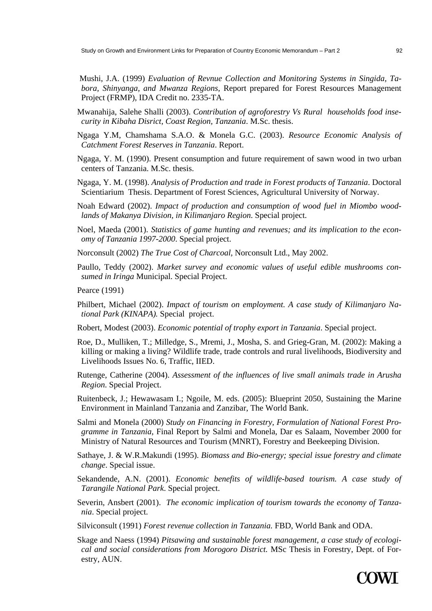- Mushi, J.A. (1999) *Evaluation of Revnue Collection and Monitoring Systems in Singida, Tabora, Shinyanga, and Mwanza Regions,* Report prepared for Forest Resources Management Project (FRMP), IDA Credit no. 2335-TA.
- Mwanahija, Salehe Shalli (2003). *Contribution of agroforestry Vs Rural households food insecurity in Kibaha Disrict, Coast Region, Tanzania*. M.Sc. thesis.
- Ngaga Y.M, Chamshama S.A.O. & Monela G.C. (2003). *Resource Economic Analysis of Catchment Forest Reserves in Tanzania*. Report.
- Ngaga, Y. M. (1990). Present consumption and future requirement of sawn wood in two urban centers of Tanzania. M.Sc. thesis.
- Ngaga, Y. M. (1998). *Analysis of Production and trade in Forest products of Tanzania*. Doctoral Scientiarium Thesis. Department of Forest Sciences, Agricultural University of Norway.
- Noah Edward (2002). *Impact of production and consumption of wood fuel in Miombo woodlands of Makanya Division, in Kilimanjaro Region*. Special project.
- Noel, Maeda (2001). *Statistics of game hunting and revenues; and its implication to the economy of Tanzania 1997-2000*. Special project.
- Norconsult (2002) *The True Cost of Charcoal,* Norconsult Ltd., May 2002.
- Paullo, Teddy (2002). *Market survey and economic values of useful edible mushrooms consumed in Iringa* Municipal. Special Project.

Pearce (1991)

- Philbert, Michael (2002). *Impact of tourism on employment. A case study of Kilimanjaro National Park (KINAPA).* Special project.
- Robert, Modest (2003). *Economic potential of trophy export in Tanzania*. Special project.
- Roe, D., Mulliken, T.; Milledge, S., Mremi, J., Mosha, S. and Grieg-Gran, M. (2002): Making a killing or making a living? Wildlife trade, trade controls and rural livelihoods, Biodiversity and Livelihoods Issues No. 6, Traffic, IIED.
- Rutenge, Catherine (2004). *Assessment of the influences of live small animals trade in Arusha Region*. Special Project.
- Ruitenbeck, J.; Hewawasam I.; Ngoile, M. eds. (2005): Blueprint 2050, Sustaining the Marine Environment in Mainland Tanzania and Zanzibar, The World Bank.
- Salmi and Monela (2000) *Study on Financing in Forestry, Formulation of National Forest Programme in Tanzania*, Final Report by Salmi and Monela, Dar es Salaam, November 2000 for Ministry of Natural Resources and Tourism (MNRT), Forestry and Beekeeping Division.
- Sathaye, J. & W.R.Makundi (1995). *Biomass and Bio-energy; special issue forestry and climate change*. Special issue.
- Sekandende, A.N. (2001). *Economic benefits of wildlife-based tourism. A case study of Tarangile National Park*. Special project.
- Severin, Ansbert (2001). *The economic implication of tourism towards the economy of Tanzania*. Special project.
- Silviconsult (1991) *Forest revenue collection in Tanzania.* FBD, World Bank and ODA.
- Skage and Naess (1994) *Pitsawing and sustainable forest management, a case study of ecological and social considerations from Morogoro District.* MSc Thesis in Forestry, Dept. of Forestry, AUN.